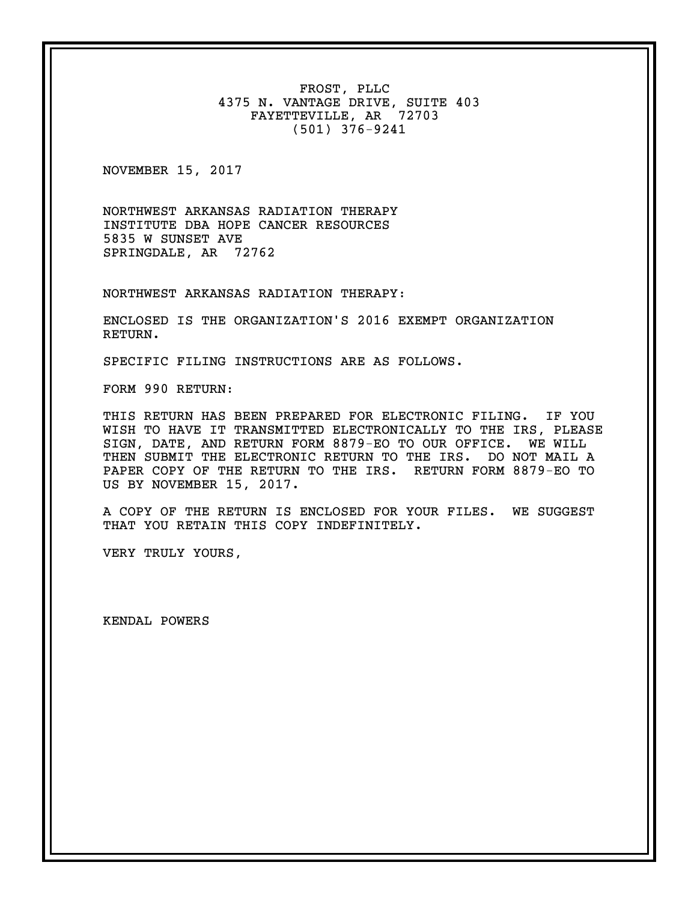FROST, PLLC 4375 N. VANTAGE DRIVE, SUITE 403 FAYETTEVILLE, AR 72703 (501) 376-9241

NOVEMBER 15, 2017

NORTHWEST ARKANSAS RADIATION THERAPY INSTITUTE DBA HOPE CANCER RESOURCES 5835 W SUNSET AVE SPRINGDALE, AR 72762

NORTHWEST ARKANSAS RADIATION THERAPY:

ENCLOSED IS THE ORGANIZATION'S 2016 EXEMPT ORGANIZATION RETURN.

SPECIFIC FILING INSTRUCTIONS ARE AS FOLLOWS.

FORM 990 RETURN:

THIS RETURN HAS BEEN PREPARED FOR ELECTRONIC FILING. IF YOU WISH TO HAVE IT TRANSMITTED ELECTRONICALLY TO THE IRS, PLEASE SIGN, DATE, AND RETURN FORM 8879-EO TO OUR OFFICE. WE WILL THEN SUBMIT THE ELECTRONIC RETURN TO THE IRS. DO NOT MAIL A PAPER COPY OF THE RETURN TO THE IRS. RETURN FORM 8879-EO TO US BY NOVEMBER 15, 2017.

A COPY OF THE RETURN IS ENCLOSED FOR YOUR FILES. WE SUGGEST THAT YOU RETAIN THIS COPY INDEFINITELY.

VERY TRULY YOURS,

KENDAL POWERS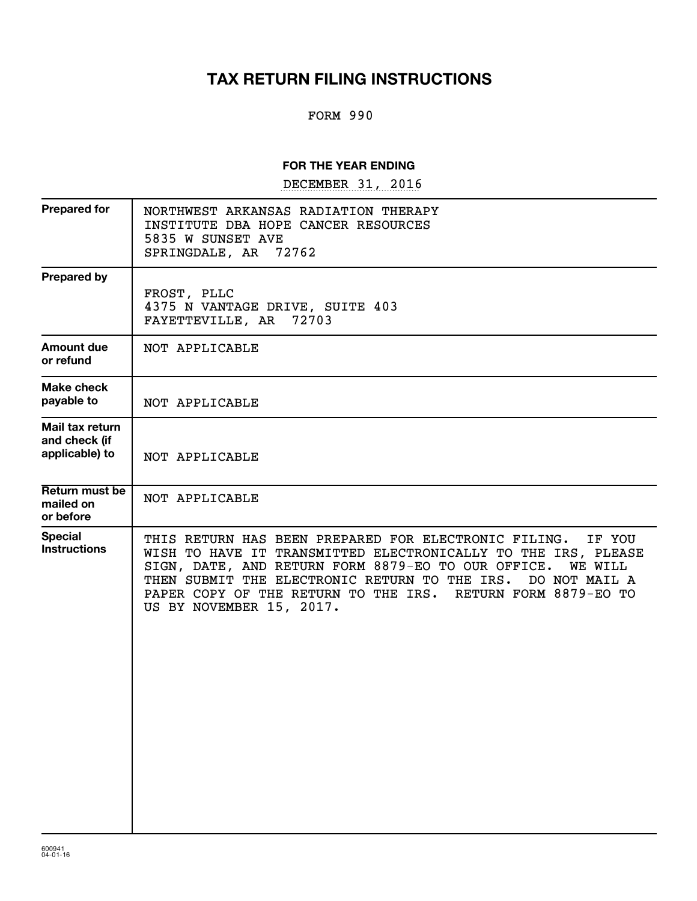# **TAX RETURN FILING INSTRUCTIONS**

## FORM 990

#### **FOR THE YEAR ENDING**

DECEMBER 31, 2016

| NORTHWEST ARKANSAS RADIATION THERAPY<br>INSTITUTE DBA HOPE CANCER RESOURCES<br>5835 W SUNSET AVE<br>72762<br>SPRINGDALE, AR                                                                                                                                                                                                                                          |
|----------------------------------------------------------------------------------------------------------------------------------------------------------------------------------------------------------------------------------------------------------------------------------------------------------------------------------------------------------------------|
| FROST, PLLC<br>4375 N VANTAGE DRIVE, SUITE 403<br>FAYETTEVILLE, AR<br>72703                                                                                                                                                                                                                                                                                          |
| NOT APPLICABLE                                                                                                                                                                                                                                                                                                                                                       |
| NOT APPLICABLE                                                                                                                                                                                                                                                                                                                                                       |
| NOT APPLICABLE                                                                                                                                                                                                                                                                                                                                                       |
| NOT APPLICABLE                                                                                                                                                                                                                                                                                                                                                       |
| THIS RETURN HAS BEEN PREPARED FOR ELECTRONIC FILING.<br>IF YOU<br>WISH TO HAVE IT TRANSMITTED ELECTRONICALLY TO THE IRS, PLEASE<br>SIGN, DATE, AND RETURN FORM 8879-EO TO OUR OFFICE.<br><b>WE WILL</b><br>THEN SUBMIT THE ELECTRONIC RETURN TO THE IRS.<br>DO NOT MAIL A<br>PAPER COPY OF THE RETURN TO THE IRS. RETURN FORM 8879-EO TO<br>US BY NOVEMBER 15, 2017. |
|                                                                                                                                                                                                                                                                                                                                                                      |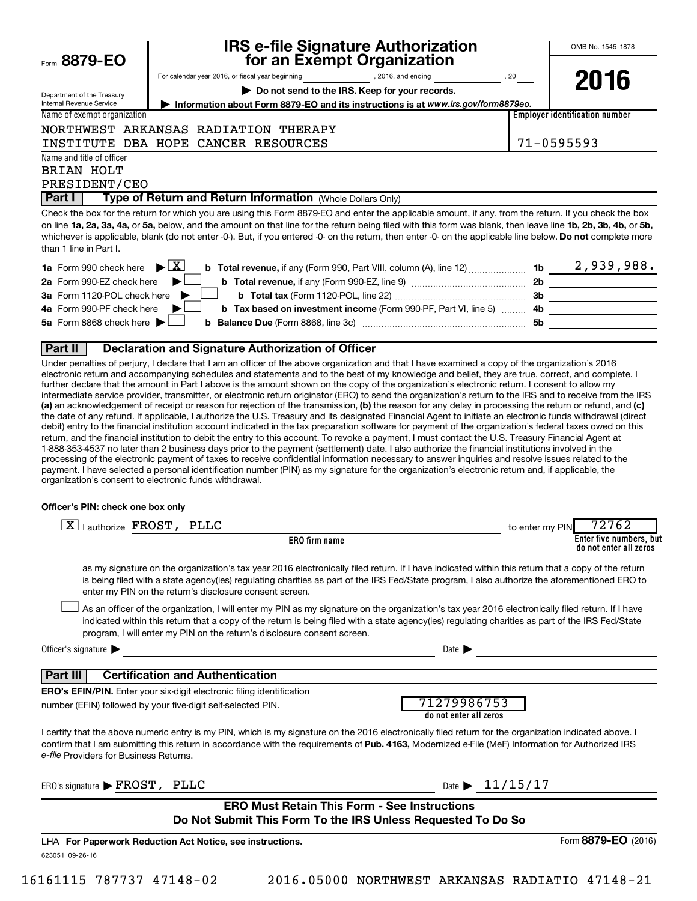| Form 8879-EO                                             | <b>IRS e-file Signature Authorization</b><br>for an Exempt Organization                                                                                                                                                                                                                                                                                                                                                                                                                                                                                                                                            | OMB No. 1545-1878                                                                                                                                                                                                                                                                                                                                                                                     |
|----------------------------------------------------------|--------------------------------------------------------------------------------------------------------------------------------------------------------------------------------------------------------------------------------------------------------------------------------------------------------------------------------------------------------------------------------------------------------------------------------------------------------------------------------------------------------------------------------------------------------------------------------------------------------------------|-------------------------------------------------------------------------------------------------------------------------------------------------------------------------------------------------------------------------------------------------------------------------------------------------------------------------------------------------------------------------------------------------------|
|                                                          | For calendar year 2016, or fiscal year beginning (2016, and ending state of the state of the state of the state of the state of the state of the state of the state of the state of the state of the state of the state of the                                                                                                                                                                                                                                                                                                                                                                                     |                                                                                                                                                                                                                                                                                                                                                                                                       |
| Department of the Treasury                               | Do not send to the IRS. Keep for your records.                                                                                                                                                                                                                                                                                                                                                                                                                                                                                                                                                                     | 2016                                                                                                                                                                                                                                                                                                                                                                                                  |
| <b>Internal Revenue Service</b>                          | Information about Form 8879-EO and its instructions is at www.irs.gov/form8879eo.                                                                                                                                                                                                                                                                                                                                                                                                                                                                                                                                  |                                                                                                                                                                                                                                                                                                                                                                                                       |
| Name of exempt organization                              |                                                                                                                                                                                                                                                                                                                                                                                                                                                                                                                                                                                                                    | <b>Employer identification number</b>                                                                                                                                                                                                                                                                                                                                                                 |
|                                                          | NORTHWEST ARKANSAS RADIATION THERAPY                                                                                                                                                                                                                                                                                                                                                                                                                                                                                                                                                                               |                                                                                                                                                                                                                                                                                                                                                                                                       |
|                                                          | INSTITUTE DBA HOPE CANCER RESOURCES                                                                                                                                                                                                                                                                                                                                                                                                                                                                                                                                                                                | 71-0595593                                                                                                                                                                                                                                                                                                                                                                                            |
| Name and title of officer<br>BRIAN HOLT<br>PRESIDENT/CEO |                                                                                                                                                                                                                                                                                                                                                                                                                                                                                                                                                                                                                    |                                                                                                                                                                                                                                                                                                                                                                                                       |
| Part I                                                   | Type of Return and Return Information (Whole Dollars Only)                                                                                                                                                                                                                                                                                                                                                                                                                                                                                                                                                         |                                                                                                                                                                                                                                                                                                                                                                                                       |
| than 1 line in Part I.                                   | Check the box for the return for which you are using this Form 8879-EO and enter the applicable amount, if any, from the return. If you check the box<br>on line 1a, 2a, 3a, 4a, or 5a, below, and the amount on that line for the return being filed with this form was blank, then leave line 1b, 2b, 3b, 4b, or 5b,<br>whichever is applicable, blank (do not enter -0-). But, if you entered -0- on the return, then enter -0- on the applicable line below. Do not complete more                                                                                                                              |                                                                                                                                                                                                                                                                                                                                                                                                       |
| 1a Form 990 check here $\blacktriangleright \boxed{X}$   |                                                                                                                                                                                                                                                                                                                                                                                                                                                                                                                                                                                                                    |                                                                                                                                                                                                                                                                                                                                                                                                       |
| 2a Form 990-EZ check here                                |                                                                                                                                                                                                                                                                                                                                                                                                                                                                                                                                                                                                                    |                                                                                                                                                                                                                                                                                                                                                                                                       |
| 3a Form 1120-POL check here                              |                                                                                                                                                                                                                                                                                                                                                                                                                                                                                                                                                                                                                    |                                                                                                                                                                                                                                                                                                                                                                                                       |
| 4a Form 990-PF check here                                | b Tax based on investment income (Form 990-PF, Part VI, line 5)                                                                                                                                                                                                                                                                                                                                                                                                                                                                                                                                                    | $\overline{\mathbf{a}}$ and $\overline{\mathbf{a}}$ and $\overline{\mathbf{a}}$ and $\overline{\mathbf{a}}$ and $\overline{\mathbf{a}}$ and $\overline{\mathbf{a}}$ and $\overline{\mathbf{a}}$ and $\overline{\mathbf{a}}$ and $\overline{\mathbf{a}}$ and $\overline{\mathbf{a}}$ and $\overline{\mathbf{a}}$ and $\overline{\mathbf{a}}$ and $\overline{\mathbf{a}}$ and $\overline{\mathbf{a}}$ a |
| 5a Form 8868 check here                                  | b                                                                                                                                                                                                                                                                                                                                                                                                                                                                                                                                                                                                                  |                                                                                                                                                                                                                                                                                                                                                                                                       |
| Part II                                                  | Declaration and Signature Authorization of Officer                                                                                                                                                                                                                                                                                                                                                                                                                                                                                                                                                                 |                                                                                                                                                                                                                                                                                                                                                                                                       |
|                                                          | Under penalties of perjury, I declare that I am an officer of the above organization and that I have examined a copy of the organization's 2016<br>electronic return and accompanying schedules and statements and to the best of my knowledge and belief, they are true, correct, and complete. I<br>further declare that the amount in Part I above is the amount shown on the copy of the organization's electronic return. I consent to allow my<br>intermediate service provider, transmitter, or electronic return originator (ERO) to send the organization's return to the IRS and to receive from the IRS |                                                                                                                                                                                                                                                                                                                                                                                                       |

(a) an acknowledgement of receipt or reason for rejection of the transmission, (b) the reason for any delay in processing the return or refund, and (c) an acknowledgement of receipt or reason for rejection of the transmission, (b) the reason for any delay in processing the return or refund, and the date of any refund. If applicable, I authorize the U.S. Treasury and its designated Financial Agent to initiate an electronic funds withdrawal (direct debit) entry to the financial institution account indicated in the tax preparation software for payment of the organization's federal taxes owed on this return, and the financial institution to debit the entry to this account. To revoke a payment, I must contact the U.S. Treasury Financial Agent at 1-888-353-4537 no later than 2 business days prior to the payment (settlement) date. I also authorize the financial institutions involved in the processing of the electronic payment of taxes to receive confidential information necessary to answer inquiries and resolve issues related to the payment. I have selected a personal identification number (PIN) as my signature for the organization's electronic return and, if applicable, the organization's consent to electronic funds withdrawal.

#### **Officer's PIN: check one box only**

| lauthorize FROST, PLLC                                                                                                                                                                                                                                                                                                                                 | 72762<br>to enter my PIN                                                                                                                                                                                                                                                                              |
|--------------------------------------------------------------------------------------------------------------------------------------------------------------------------------------------------------------------------------------------------------------------------------------------------------------------------------------------------------|-------------------------------------------------------------------------------------------------------------------------------------------------------------------------------------------------------------------------------------------------------------------------------------------------------|
| <b>ERO</b> firm name                                                                                                                                                                                                                                                                                                                                   | Enter five numbers, but<br>do not enter all zeros                                                                                                                                                                                                                                                     |
| enter my PIN on the return's disclosure consent screen.                                                                                                                                                                                                                                                                                                | as my signature on the organization's tax year 2016 electronically filed return. If I have indicated within this return that a copy of the return<br>is being filed with a state agency(ies) regulating charities as part of the IRS Fed/State program, I also authorize the aforementioned ERO to    |
| program, I will enter my PIN on the return's disclosure consent screen.                                                                                                                                                                                                                                                                                | As an officer of the organization, I will enter my PIN as my signature on the organization's tax year 2016 electronically filed return. If I have<br>indicated within this return that a copy of the return is being filed with a state agency(ies) regulating charities as part of the IRS Fed/State |
| Officer's signature $\blacktriangleright$                                                                                                                                                                                                                                                                                                              | Date $\blacktriangleright$                                                                                                                                                                                                                                                                            |
| <b>Certification and Authentication</b><br><b>Part III</b>                                                                                                                                                                                                                                                                                             |                                                                                                                                                                                                                                                                                                       |
| <b>ERO's EFIN/PIN.</b> Enter your six-digit electronic filing identification                                                                                                                                                                                                                                                                           |                                                                                                                                                                                                                                                                                                       |
| number (EFIN) followed by your five-digit self-selected PIN.                                                                                                                                                                                                                                                                                           | 71279986753<br>do not enter all zeros                                                                                                                                                                                                                                                                 |
| I certify that the above numeric entry is my PIN, which is my signature on the 2016 electronically filed return for the organization indicated above. I<br>confirm that I am submitting this return in accordance with the requirements of Pub. 4163, Modernized e-File (MeF) Information for Authorized IRS<br>e-file Providers for Business Returns. |                                                                                                                                                                                                                                                                                                       |
| ERO's signature $\blacktriangleright$ FROST,<br>PLLC                                                                                                                                                                                                                                                                                                   | Date $\blacktriangleright$ 11/15/17                                                                                                                                                                                                                                                                   |
| <b>ERO Must Retain This Form - See Instructions</b>                                                                                                                                                                                                                                                                                                    |                                                                                                                                                                                                                                                                                                       |
| Do Not Submit This Form To the IRS Unless Requested To Do So                                                                                                                                                                                                                                                                                           |                                                                                                                                                                                                                                                                                                       |
| LHA For Paperwork Reduction Act Notice, see instructions.                                                                                                                                                                                                                                                                                              | Form 8879-EO (2016)                                                                                                                                                                                                                                                                                   |
| 623051 09-26-16                                                                                                                                                                                                                                                                                                                                        |                                                                                                                                                                                                                                                                                                       |

16161115 787737 47148-02 2016.05000 NORTHWEST ARKANSAS RADIATIO 47148-21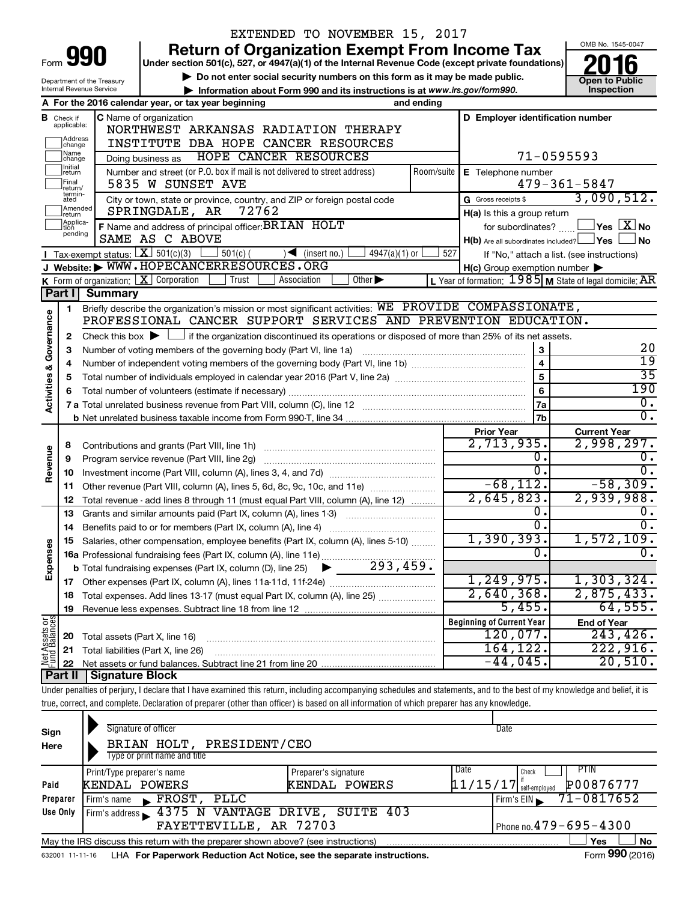|                                |                                  |                                                   | EXTENDED TO NOVEMBER 15, 2017                                                                                                                                                            |            |                                                     |                                                           |
|--------------------------------|----------------------------------|---------------------------------------------------|------------------------------------------------------------------------------------------------------------------------------------------------------------------------------------------|------------|-----------------------------------------------------|-----------------------------------------------------------|
|                                |                                  |                                                   | <b>Return of Organization Exempt From Income Tax</b>                                                                                                                                     |            |                                                     | OMB No. 1545-0047                                         |
| Form                           |                                  | 990                                               | Under section 501(c), 527, or 4947(a)(1) of the Internal Revenue Code (except private foundations)                                                                                       |            |                                                     |                                                           |
|                                |                                  | Department of the Treasury                        | Do not enter social security numbers on this form as it may be made public.                                                                                                              |            |                                                     | <b>Open to Public</b>                                     |
|                                |                                  | Internal Revenue Service                          | Information about Form 990 and its instructions is at www.irs.gov/form990.                                                                                                               |            |                                                     | Inspection                                                |
|                                |                                  |                                                   | A For the 2016 calendar year, or tax year beginning<br>and ending                                                                                                                        |            |                                                     |                                                           |
|                                | <b>B</b> Check if<br>applicable: |                                                   | C Name of organization                                                                                                                                                                   |            | D Employer identification number                    |                                                           |
|                                | Address                          |                                                   | NORTHWEST ARKANSAS RADIATION THERAPY                                                                                                                                                     |            |                                                     |                                                           |
|                                | change<br> Name                  |                                                   | INSTITUTE DBA HOPE CANCER RESOURCES                                                                                                                                                      |            |                                                     |                                                           |
|                                | change<br>Initial                |                                                   | HOPE CANCER RESOURCES<br>Doing business as                                                                                                                                               |            | 71-0595593                                          |                                                           |
|                                | return<br>Final                  |                                                   | Number and street (or P.O. box if mail is not delivered to street address)                                                                                                               | Room/suite | E Telephone number                                  |                                                           |
|                                | return/<br>termin-               |                                                   | 5835 W SUNSET AVE                                                                                                                                                                        |            |                                                     | $479 - 361 - 5847$<br>3,090,512.                          |
|                                | ated<br>Amended                  |                                                   | City or town, state or province, country, and ZIP or foreign postal code<br>SPRINGDALE, AR<br>72762                                                                                      |            | G Gross receipts \$                                 |                                                           |
|                                | return<br>Applica-               |                                                   |                                                                                                                                                                                          |            | H(a) Is this a group return                         | $\Box$ Yes $[X]$ No                                       |
|                                | tion<br>pending                  |                                                   | F Name and address of principal officer: BRIAN HOLT<br>SAME AS C ABOVE                                                                                                                   |            | for subordinates?                                   | No                                                        |
|                                |                                  | Tax-exempt status: $\boxed{\textbf{X}}$ 501(c)(3) | $501(c)$ (<br>$4947(a)(1)$ or<br>$\sqrt{\frac{1}{1}}$ (insert no.)                                                                                                                       | 527        | $H(b)$ Are all subordinates included? $\Box$ Yes    |                                                           |
|                                |                                  |                                                   | J Website: WWW.HOPECANCERRESOURCES.ORG                                                                                                                                                   |            | $H(c)$ Group exemption number $\blacktriangleright$ | If "No," attach a list. (see instructions)                |
|                                |                                  |                                                   | K Form of organization: $X$ Corporation<br>Other $\blacktriangleright$<br>Trust<br>Association                                                                                           |            |                                                     | L Year of formation: $1985$ M State of legal domicile: AR |
|                                | Part I                           | <b>Summary</b>                                    |                                                                                                                                                                                          |            |                                                     |                                                           |
|                                | 1.                               |                                                   | Briefly describe the organization's mission or most significant activities: WE PROVIDE COMPASSIONATE,                                                                                    |            |                                                     |                                                           |
|                                |                                  |                                                   | PROFESSIONAL CANCER SUPPORT SERVICES AND PREVENTION EDUCATION.                                                                                                                           |            |                                                     |                                                           |
|                                | $\mathbf{2}$                     |                                                   | Check this box $\blacktriangleright$ $\Box$ if the organization discontinued its operations or disposed of more than 25% of its net assets.                                              |            |                                                     |                                                           |
|                                | 3                                |                                                   | Number of voting members of the governing body (Part VI, line 1a)                                                                                                                        |            | ${\bf 3}$                                           | 20                                                        |
|                                | 4                                |                                                   |                                                                                                                                                                                          |            | $\overline{4}$                                      | $\overline{19}$                                           |
|                                | 5                                |                                                   |                                                                                                                                                                                          |            | 5                                                   | $\overline{35}$                                           |
|                                | 6                                |                                                   |                                                                                                                                                                                          |            | 6                                                   | 190                                                       |
| Activities & Governance        |                                  |                                                   |                                                                                                                                                                                          |            | 7a                                                  | 0.                                                        |
|                                |                                  |                                                   |                                                                                                                                                                                          |            | 7b                                                  | $\overline{0}$ .                                          |
|                                |                                  |                                                   |                                                                                                                                                                                          |            | <b>Prior Year</b>                                   | <b>Current Year</b>                                       |
|                                | 8                                |                                                   |                                                                                                                                                                                          |            | 2,713,935.                                          | 2,998,297.                                                |
| Revenue                        | 9                                |                                                   | Program service revenue (Part VIII, line 2g)                                                                                                                                             |            | 0.                                                  | О.                                                        |
|                                | 10                               |                                                   |                                                                                                                                                                                          |            | $\overline{0}$ .                                    | $\overline{0}$ .                                          |
|                                | 11                               |                                                   | Other revenue (Part VIII, column (A), lines 5, 6d, 8c, 9c, 10c, and 11e)                                                                                                                 |            | $-68, 112.$                                         | $-58,309.$                                                |
|                                | 12                               |                                                   | Total revenue - add lines 8 through 11 (must equal Part VIII, column (A), line 12)                                                                                                       |            | 2,645,823.<br>0.                                    | 2,939,988.                                                |
|                                | 13                               |                                                   | Grants and similar amounts paid (Part IX, column (A), lines 1-3)<br><u> 1986 - Jan Stein Stein Stein Stein Stein Stein Stein Stein Stein Stein Stein Stein Stein Stein Stein Stein S</u> |            | $\overline{0}$ .                                    | σ.                                                        |
|                                | 14                               |                                                   | Benefits paid to or for members (Part IX, column (A), line 4)                                                                                                                            |            | 1,390,393.                                          | $1,572,109$ .                                             |
| Expenses                       |                                  |                                                   | Salaries, other compensation, employee benefits (Part IX, column (A), lines 5-10)                                                                                                        |            | $\Omega$                                            | $\overline{0}$ .                                          |
|                                |                                  |                                                   |                                                                                                                                                                                          |            |                                                     |                                                           |
|                                | 17                               |                                                   |                                                                                                                                                                                          |            | 1,249,975.                                          | 1,303,324.                                                |
|                                | 18                               |                                                   | Total expenses. Add lines 13-17 (must equal Part IX, column (A), line 25)                                                                                                                |            | $2,640,368$ .                                       | 2,875,433.                                                |
|                                | 19                               |                                                   |                                                                                                                                                                                          |            | 5,455.                                              | 64,555.                                                   |
|                                |                                  |                                                   |                                                                                                                                                                                          |            | <b>Beginning of Current Year</b>                    | <b>End of Year</b>                                        |
|                                | 20                               | Total assets (Part X, line 16)                    |                                                                                                                                                                                          |            | 120,077.                                            | 243, 426.                                                 |
| Net Assets or<br>Fund Balances | 21                               |                                                   | Total liabilities (Part X, line 26)                                                                                                                                                      |            | 164, 122.                                           | 222,916.                                                  |
|                                | 22                               |                                                   |                                                                                                                                                                                          |            | $-44,045$ .                                         | 20,510.                                                   |
|                                | <b>Part II</b>                   | <b>Signature Block</b>                            |                                                                                                                                                                                          |            |                                                     |                                                           |
|                                |                                  |                                                   | Under penalties of perjury, I declare that I have examined this return, including accompanying schedules and statements, and to the best of my knowledge and belief, it is               |            |                                                     |                                                           |
|                                |                                  |                                                   | true, correct, and complete. Declaration of preparer (other than officer) is based on all information of which preparer has any knowledge.                                               |            |                                                     |                                                           |
|                                |                                  |                                                   |                                                                                                                                                                                          |            |                                                     |                                                           |

| Sign<br>Here | Signature of officer<br>BRIAN HOLT, PRESIDENT/CEO<br>Type or print name and title |                                       | Date                                                           |
|--------------|-----------------------------------------------------------------------------------|---------------------------------------|----------------------------------------------------------------|
| Paid         | Print/Type preparer's name<br>KENDAL POWERS                                       | Preparer's signature<br>KENDAL POWERS | PTIN<br>Date<br>Check<br>P00876777<br>$11/15/17$ self-employed |
| Preparer     | FROST,<br>PLLC<br>Firm's name<br>$\mathbf{E}$                                     |                                       | $71 - 0817652$<br>Firm's $EIN$                                 |
| Use Only     | Firm's address 1375 N VANTAGE DRIVE, SUITE 403<br>FAYETTEVILLE, AR 72703          |                                       | Phone no. $479 - 695 - 4300$                                   |
|              | May the IRS discuss this return with the preparer shown above? (see instructions) |                                       | No<br>Yes<br>$\mathbf{A}$                                      |

632001 11-11-16 **For Paperwork Reduction Act Notice, see the separate instructions.** LHA Form (2016)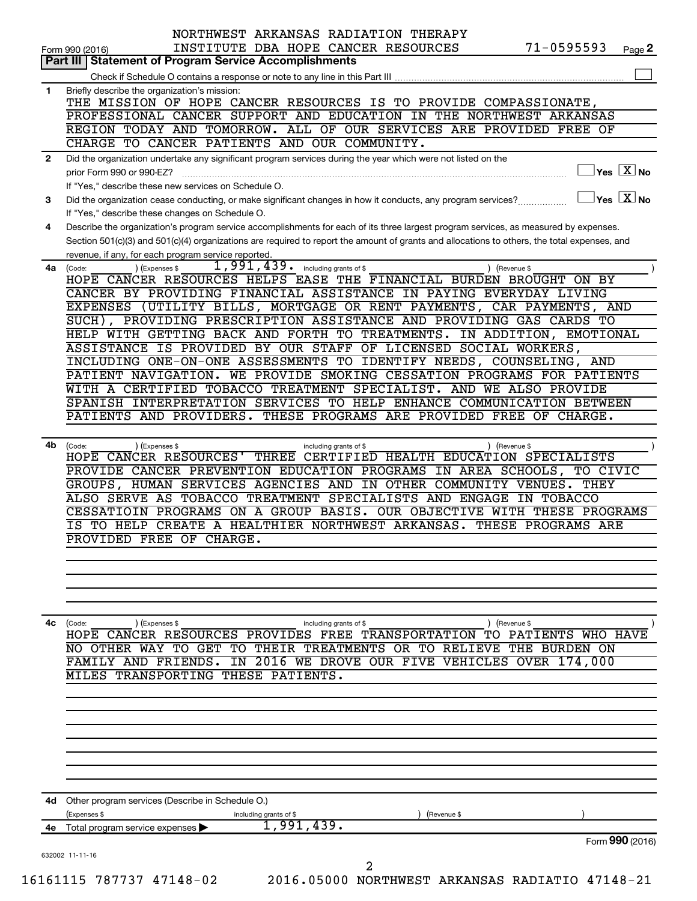|              | $71 - 0595593$<br>INSTITUTE DBA HOPE CANCER RESOURCES<br>Form 990 (2016)                                                                                                                                                                                                             |        |
|--------------|--------------------------------------------------------------------------------------------------------------------------------------------------------------------------------------------------------------------------------------------------------------------------------------|--------|
|              | Part III   Statement of Program Service Accomplishments                                                                                                                                                                                                                              | Page 2 |
|              |                                                                                                                                                                                                                                                                                      |        |
| 1            | Briefly describe the organization's mission:                                                                                                                                                                                                                                         |        |
|              | THE MISSION OF HOPE CANCER RESOURCES IS TO PROVIDE COMPASSIONATE,                                                                                                                                                                                                                    |        |
|              | PROFESSIONAL CANCER SUPPORT AND EDUCATION IN THE NORTHWEST ARKANSAS                                                                                                                                                                                                                  |        |
|              | REGION TODAY AND TOMORROW. ALL OF OUR SERVICES ARE PROVIDED FREE OF                                                                                                                                                                                                                  |        |
|              | CHARGE TO CANCER PATIENTS AND OUR COMMUNITY.                                                                                                                                                                                                                                         |        |
| $\mathbf{2}$ | Did the organization undertake any significant program services during the year which were not listed on the                                                                                                                                                                         |        |
|              | $\sqrt{\mathsf{Yes}\ \mathbf{X}}$ No<br>prior Form 990 or 990-EZ?                                                                                                                                                                                                                    |        |
|              | If "Yes," describe these new services on Schedule O.<br>$\sqrt{\ }$ Yes $\sqrt{\ \text{X}}$ No                                                                                                                                                                                       |        |
| 3            | Did the organization cease conducting, or make significant changes in how it conducts, any program services?                                                                                                                                                                         |        |
|              | If "Yes," describe these changes on Schedule O.                                                                                                                                                                                                                                      |        |
| 4            | Describe the organization's program service accomplishments for each of its three largest program services, as measured by expenses.<br>Section 501(c)(3) and 501(c)(4) organizations are required to report the amount of grants and allocations to others, the total expenses, and |        |
|              | revenue, if any, for each program service reported.                                                                                                                                                                                                                                  |        |
|              | $1,991,439.$ including grants of \$<br>(Expenses \$<br>4a (Code:<br>) (Revenue \$                                                                                                                                                                                                    |        |
|              | HOPE CANCER RESOURCES HELPS EASE THE FINANCIAL BURDEN BROUGHT ON BY                                                                                                                                                                                                                  |        |
|              | CANCER BY PROVIDING FINANCIAL ASSISTANCE IN PAYING EVERYDAY LIVING                                                                                                                                                                                                                   |        |
|              | EXPENSES (UTILITY BILLS, MORTGAGE OR RENT PAYMENTS, CAR PAYMENTS, AND                                                                                                                                                                                                                |        |
|              | SUCH), PROVIDING PRESCRIPTION ASSISTANCE AND PROVIDING GAS CARDS TO                                                                                                                                                                                                                  |        |
|              | HELP WITH GETTING BACK AND FORTH TO TREATMENTS. IN ADDITION, EMOTIONAL                                                                                                                                                                                                               |        |
|              | ASSISTANCE IS PROVIDED BY OUR STAFF OF LICENSED SOCIAL WORKERS,                                                                                                                                                                                                                      |        |
|              | INCLUDING ONE-ON-ONE ASSESSMENTS TO IDENTIFY NEEDS, COUNSELING, AND                                                                                                                                                                                                                  |        |
|              | PATIENT NAVIGATION. WE PROVIDE SMOKING CESSATION PROGRAMS FOR PATIENTS                                                                                                                                                                                                               |        |
|              | WITH A CERTIFIED TOBACCO TREATMENT SPECIALIST. AND WE ALSO PROVIDE                                                                                                                                                                                                                   |        |
|              | SPANISH INTERPRETATION SERVICES TO HELP ENHANCE COMMUNICATION BETWEEN                                                                                                                                                                                                                |        |
|              | PATIENTS AND PROVIDERS. THESE PROGRAMS ARE PROVIDED FREE OF CHARGE.                                                                                                                                                                                                                  |        |
|              |                                                                                                                                                                                                                                                                                      |        |
|              | 4b (Code:<br>(Expenses \$<br>) (Revenue \$<br>including grants of \$                                                                                                                                                                                                                 |        |
|              | HOPE CANCER RESOURCES' THREE CERTIFIED HEALTH EDUCATION SPECIALISTS                                                                                                                                                                                                                  |        |
|              | PROVIDE CANCER PREVENTION EDUCATION PROGRAMS IN AREA SCHOOLS, TO CIVIC                                                                                                                                                                                                               |        |
|              | GROUPS, HUMAN SERVICES AGENCIES AND IN OTHER COMMUNITY VENUES.<br>THEY                                                                                                                                                                                                               |        |
|              | ALSO SERVE AS TOBACCO TREATMENT SPECIALISTS AND ENGAGE IN TOBACCO                                                                                                                                                                                                                    |        |
|              | CESSATIOIN PROGRAMS ON A GROUP BASIS. OUR OBJECTIVE WITH THESE PROGRAMS<br>IS TO HELP CREATE A HEALTHIER NORTHWEST ARKANSAS. THESE PROGRAMS ARE                                                                                                                                      |        |
|              | PROVIDED FREE OF CHARGE.                                                                                                                                                                                                                                                             |        |
|              |                                                                                                                                                                                                                                                                                      |        |
|              |                                                                                                                                                                                                                                                                                      |        |
|              |                                                                                                                                                                                                                                                                                      |        |
|              |                                                                                                                                                                                                                                                                                      |        |
|              |                                                                                                                                                                                                                                                                                      |        |
| 4c           | (Expenses \$<br>) (Revenue \$<br>(Code:<br>including grants of \$                                                                                                                                                                                                                    |        |
|              | CANCER RESOURCES PROVIDES FREE TRANSPORTATION<br>PATIENTS<br>WHO HAVE<br>HOPE<br>TO.                                                                                                                                                                                                 |        |
|              | TO GET<br>THEIR TREATMENTS OR TO<br>THE<br><b>BURDEN ON</b><br>OTHER<br>TО<br>RELIEVE<br>WAY<br>NO                                                                                                                                                                                   |        |
|              | <b>FAMILY AND</b><br>FRIENDS.<br>2016 WE DROVE OUR FIVE<br>VEHICLES<br><b>OVER</b><br>174,000<br>IN                                                                                                                                                                                  |        |
|              | <b>TRANSPORTING</b><br>THESE PATIENTS.<br>MILES                                                                                                                                                                                                                                      |        |
|              |                                                                                                                                                                                                                                                                                      |        |
|              |                                                                                                                                                                                                                                                                                      |        |
|              |                                                                                                                                                                                                                                                                                      |        |
|              |                                                                                                                                                                                                                                                                                      |        |
|              |                                                                                                                                                                                                                                                                                      |        |
|              |                                                                                                                                                                                                                                                                                      |        |
|              |                                                                                                                                                                                                                                                                                      |        |
|              |                                                                                                                                                                                                                                                                                      |        |
| 4d           | Other program services (Describe in Schedule O.)                                                                                                                                                                                                                                     |        |
|              | (Expenses \$<br>(Revenue \$<br>including grants of \$                                                                                                                                                                                                                                |        |
|              |                                                                                                                                                                                                                                                                                      |        |
| 4е           | 1,991,439 <b>.</b><br>Total program service expenses                                                                                                                                                                                                                                 |        |
|              | Form 990 (2016)                                                                                                                                                                                                                                                                      |        |
|              | 632002 11-11-16<br>2                                                                                                                                                                                                                                                                 |        |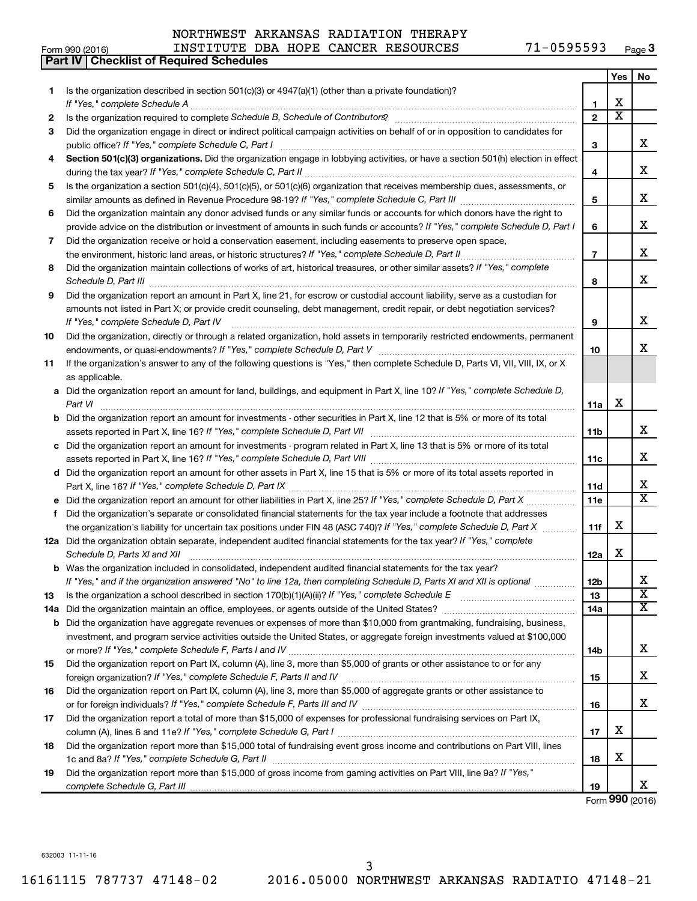**Part IV Checklist of Required Schedules**

#### Form 990 (2016) Page INSTITUTE DBA HOPE CANCER RESOURCES 71-0595593 **3**

|     |                                                                                                                                                                                                                        |                | Yes                     | No                           |
|-----|------------------------------------------------------------------------------------------------------------------------------------------------------------------------------------------------------------------------|----------------|-------------------------|------------------------------|
| 1.  | Is the organization described in section 501(c)(3) or 4947(a)(1) (other than a private foundation)?                                                                                                                    |                |                         |                              |
|     | If "Yes," complete Schedule A                                                                                                                                                                                          | 1.             | X                       |                              |
| 2   |                                                                                                                                                                                                                        | $\overline{2}$ | $\overline{\texttt{x}}$ |                              |
| 3   | Did the organization engage in direct or indirect political campaign activities on behalf of or in opposition to candidates for<br>public office? If "Yes," complete Schedule C, Part I                                | З              |                         | x                            |
| 4   | Section 501(c)(3) organizations. Did the organization engage in lobbying activities, or have a section 501(h) election in effect                                                                                       |                |                         |                              |
|     |                                                                                                                                                                                                                        | 4              |                         | x                            |
| 5   | Is the organization a section 501(c)(4), 501(c)(5), or 501(c)(6) organization that receives membership dues, assessments, or                                                                                           |                |                         |                              |
|     |                                                                                                                                                                                                                        | 5              |                         | x                            |
| 6   | Did the organization maintain any donor advised funds or any similar funds or accounts for which donors have the right to                                                                                              |                |                         |                              |
|     | provide advice on the distribution or investment of amounts in such funds or accounts? If "Yes," complete Schedule D, Part I                                                                                           | 6              |                         | x                            |
| 7   | Did the organization receive or hold a conservation easement, including easements to preserve open space,                                                                                                              |                |                         |                              |
|     | the environment, historic land areas, or historic structures? If "Yes," complete Schedule D, Part II                                                                                                                   | $\overline{7}$ |                         | x                            |
| 8   | Did the organization maintain collections of works of art, historical treasures, or other similar assets? If "Yes," complete<br>Schedule D, Part III                                                                   | 8              |                         | x                            |
| 9   | Did the organization report an amount in Part X, line 21, for escrow or custodial account liability, serve as a custodian for                                                                                          |                |                         |                              |
|     | amounts not listed in Part X; or provide credit counseling, debt management, credit repair, or debt negotiation services?                                                                                              |                |                         |                              |
|     | If "Yes," complete Schedule D, Part IV                                                                                                                                                                                 | 9              |                         | x                            |
| 10  | Did the organization, directly or through a related organization, hold assets in temporarily restricted endowments, permanent                                                                                          |                |                         |                              |
|     |                                                                                                                                                                                                                        | 10             |                         | x                            |
| 11  | If the organization's answer to any of the following questions is "Yes," then complete Schedule D, Parts VI, VII, VIII, IX, or X                                                                                       |                |                         |                              |
|     | as applicable.                                                                                                                                                                                                         |                |                         |                              |
| а   | Did the organization report an amount for land, buildings, and equipment in Part X, line 10? If "Yes," complete Schedule D,                                                                                            |                |                         |                              |
|     | Part VI                                                                                                                                                                                                                | 11a            | X                       |                              |
| b   | Did the organization report an amount for investments - other securities in Part X, line 12 that is 5% or more of its total                                                                                            |                |                         |                              |
|     |                                                                                                                                                                                                                        | 11b            |                         | x                            |
| с   | Did the organization report an amount for investments - program related in Part X, line 13 that is 5% or more of its total                                                                                             |                |                         |                              |
|     |                                                                                                                                                                                                                        | 11c            |                         | x                            |
| d   | Did the organization report an amount for other assets in Part X, line 15 that is 5% or more of its total assets reported in                                                                                           |                |                         |                              |
|     |                                                                                                                                                                                                                        | 11d            |                         | x                            |
| е   | Did the organization report an amount for other liabilities in Part X, line 25? If "Yes," complete Schedule D, Part X                                                                                                  | 11e            |                         | $\overline{\mathbf{x}}$      |
| f   | Did the organization's separate or consolidated financial statements for the tax year include a footnote that addresses                                                                                                |                |                         |                              |
|     | the organization's liability for uncertain tax positions under FIN 48 (ASC 740)? If "Yes," complete Schedule D, Part X                                                                                                 | 11f            | X                       |                              |
|     | 12a Did the organization obtain separate, independent audited financial statements for the tax year? If "Yes," complete                                                                                                |                |                         |                              |
|     | Schedule D, Parts XI and XII                                                                                                                                                                                           | 12a            | x                       |                              |
|     | <b>b</b> Was the organization included in consolidated, independent audited financial statements for the tax year?                                                                                                     |                |                         |                              |
|     | If "Yes," and if the organization answered "No" to line 12a, then completing Schedule D, Parts XI and XII is optional                                                                                                  | 12b            |                         | ▵<br>$\overline{\textbf{x}}$ |
| 13  | Is the organization a school described in section 170(b)(1)(A)(ii)? If "Yes," complete Schedule E                                                                                                                      | 13<br>14a      |                         | $\overline{\mathbf{X}}$      |
| 14a | Did the organization maintain an office, employees, or agents outside of the United States?<br>Did the organization have aggregate revenues or expenses of more than \$10,000 from grantmaking, fundraising, business, |                |                         |                              |
| b   | investment, and program service activities outside the United States, or aggregate foreign investments valued at \$100,000                                                                                             |                |                         |                              |
|     |                                                                                                                                                                                                                        | 14b            |                         | x                            |
| 15  | Did the organization report on Part IX, column (A), line 3, more than \$5,000 of grants or other assistance to or for any                                                                                              |                |                         |                              |
|     |                                                                                                                                                                                                                        | 15             |                         | x                            |
| 16  | Did the organization report on Part IX, column (A), line 3, more than \$5,000 of aggregate grants or other assistance to                                                                                               |                |                         |                              |
|     |                                                                                                                                                                                                                        | 16             |                         | x                            |
| 17  | Did the organization report a total of more than \$15,000 of expenses for professional fundraising services on Part IX,                                                                                                |                |                         |                              |
|     |                                                                                                                                                                                                                        | 17             | х                       |                              |
| 18  | Did the organization report more than \$15,000 total of fundraising event gross income and contributions on Part VIII, lines                                                                                           |                |                         |                              |
|     |                                                                                                                                                                                                                        | 18             | х                       |                              |
| 19  | Did the organization report more than \$15,000 of gross income from gaming activities on Part VIII, line 9a? If "Yes,"                                                                                                 |                |                         |                              |
|     |                                                                                                                                                                                                                        | 19             |                         | x                            |
|     |                                                                                                                                                                                                                        |                |                         | Form 990 (2016)              |

632003 11-11-16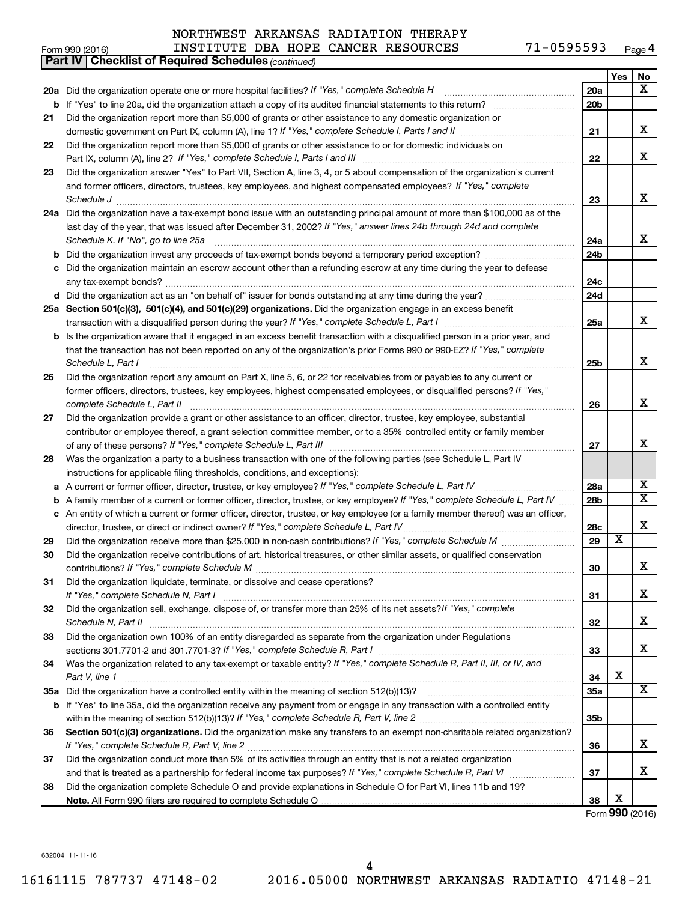#### **Yes No 20 a** *If "Yes," complete Schedule H* Did the organization operate one or more hospital facilities? ~~~~~~~~~~~~~~~~ **21 22 23** Did the organization answer "Yes" to Part VII, Section A, line 3, 4, or 5 about compensation of the organization's current **24 a** Did the organization have a tax-exempt bond issue with an outstanding principal amount of more than \$100,000 as of the **25 a Section 501(c)(3), 501(c)(4), and 501(c)(29) organizations.**  Did the organization engage in an excess benefit **26 27 28 29 30 31 32 33 34 35 a** Did the organization have a controlled entity within the meaning of section 512(b)(13)? **36 37 38 b** If "Yes" to line 20a, did the organization attach a copy of its audited financial statements to this return? ~~~~~~~~~~ **20a 20b 21 22 23 24a 24b 24c 24d 25a 25b 26 27 28a 28b 28c 29 30 31 32 33 34 35a 35b 36 37 38 b** Did the organization invest any proceeds of tax-exempt bonds beyond a temporary period exception? *www.communimi* **c** Did the organization maintain an escrow account other than a refunding escrow at any time during the year to defease **d** Did the organization act as an "on behalf of" issuer for bonds outstanding at any time during the year? ~~~~~~~~~~~ **b** Is the organization aware that it engaged in an excess benefit transaction with a disqualified person in a prior year, and **a** *If "Yes," complete Schedule L, Part IV* A current or former officer, director, trustee, or key employee? ~~~~~~~~~~~ **b c b** If "Yes" to line 35a, did the organization receive any payment from or engage in any transaction with a controlled entity Section 501(c)(3) organizations. Did the organization make any transfers to an exempt non-charitable related organization? **Note.**  All Form 990 filers are required to complete Schedule O *(continued)* **Part IV Checklist of Required Schedules** domestic government on Part IX, column (A), line 1? If "Yes," complete Schedule I, Parts I and II medicinoment on Part IX, column (A), line 1? If "Yes," complete Schedule I, Parts I and II Part IX, column (A), line 2? If "Yes," complete Schedule I, Parts I and III [11] [12] [12] [12] [12] [12] [12] [ and former officers, directors, trustees, key employees, and highest compensated employees? If "Yes," complete *Schedule J* ~~~~~~~~~~~~~~~~~~~~~~~~~~~~~~~~~~~~~~~~~~~~~~~~~~~~~~~~ last day of the year, that was issued after December 31, 2002? If "Yes," answer lines 24b through 24d and complete *Schedule K. If "No", go to line 25a* transaction with a disqualified person during the year? If "Yes," complete Schedule L, Part I \_\_\_\_\_\_\_\_\_\_\_\_\_\_\_\_\_\_\_\_\_\_\_\_\_ that the transaction has not been reported on any of the organization's prior Forms 990 or 990-EZ? If "Yes," complete *Schedule L, Part I* former officers, directors, trustees, key employees, highest compensated employees, or disqualified persons? If "Yes," *complete Schedule L, Part II* ~~~~~~~~~~~~~~~~~~~~~~~~~~~~~~~~~~~~~~~~~~~~~~~ *If "Yes," complete Schedule L, Part III* of any of these persons? ~~~~~~~~~~~~~~~~~~~~~~~~~~~~~~ A family member of a current or former officer, director, trustee, or key employee? If "Yes," complete Schedule L, Part IV ...... *If "Yes," complete Schedule L, Part IV* director, trustee, or direct or indirect owner? ~~~~~~~~~~~~~~~~~~~~~ *If "Yes," complete Schedule M* Did the organization receive more than \$25,000 in non-cash contributions? ~~~~~~~~~ *If "Yes," complete Schedule M* contributions? ~~~~~~~~~~~~~~~~~~~~~~~~~~~~~~~~~~~~~~~ *If "Yes," complete Schedule N, Part I* ~~~~~~~~~~~~~~~~~~~~~~~~~~~~~~~~~~~~~~~~~~~ Did the organization sell, exchange, dispose of, or transfer more than 25% of its net assets?*If "Yes," complete Schedule N, Part II* ~~~~~~~~~~~~~~~~~~~~~~~~~~~~~~~~~~~~~~~~~~~~~~~~~~~~ *If "Yes," complete Schedule R, Part I* sections 301.7701-2 and 301.7701-3? ~~~~~~~~~~~~~~~~~~~~~~~~ Was the organization related to any tax-exempt or taxable entity? If "Yes," complete Schedule R, Part II, III, or IV, and *Part V, line 1 If "Yes," complete Schedule R, Part V, line 2* within the meaning of section 512(b)(13)? ~~~~~~~~~~~~~~~~~~~ *If "Yes," complete Schedule R, Part V, line 2* ~~~~~~~~~~~~~~~~~~~~~~~~~~~~~~~~~~~~~~~~ and that is treated as a partnership for federal income tax purposes? If "Yes," complete Schedule R, Part VI medi Did the organization report more than \$5,000 of grants or other assistance to any domestic organization or Did the organization report more than \$5,000 of grants or other assistance to or for domestic individuals on ~~~~~~~~~~~~~~~~~~~~~~~~~~~~~~~~~~~~~~~~~~~~ any tax-exempt bonds? ~~~~~~~~~~~~~~~~~~~~~~~~~~~~~~~~~~~~~~~~~~~~~~~~~~ ~~~~~~~~~~~~~~~~~~~~~~~~~~~~~~~~~~~~~~~~~~~~~~~~~~~~ Did the organization report any amount on Part X, line 5, 6, or 22 for receivables from or payables to any current or Did the organization provide a grant or other assistance to an officer, director, trustee, key employee, substantial contributor or employee thereof, a grant selection committee member, or to a 35% controlled entity or family member Was the organization a party to a business transaction with one of the following parties (see Schedule L, Part IV instructions for applicable filing thresholds, conditions, and exceptions): An entity of which a current or former officer, director, trustee, or key employee (or a family member thereof) was an officer, Did the organization receive contributions of art, historical treasures, or other similar assets, or qualified conservation Did the organization liquidate, terminate, or dissolve and cease operations? Did the organization own 100% of an entity disregarded as separate from the organization under Regulations ~~~~~~~~~~~~~~~~~~ Did the organization conduct more than 5% of its activities through an entity that is not a related organization Did the organization complete Schedule O and provide explanations in Schedule O for Part VI, lines 11b and 19? X X X X X X X X X X  $\overline{\mathtt{x}}$ X X X X X X X X X X X

Form (2016) **990**

632004 11-11-16

4

16161115 787737 47148-02 2016.05000 NORTHWEST ARKANSAS RADIATIO 47148-21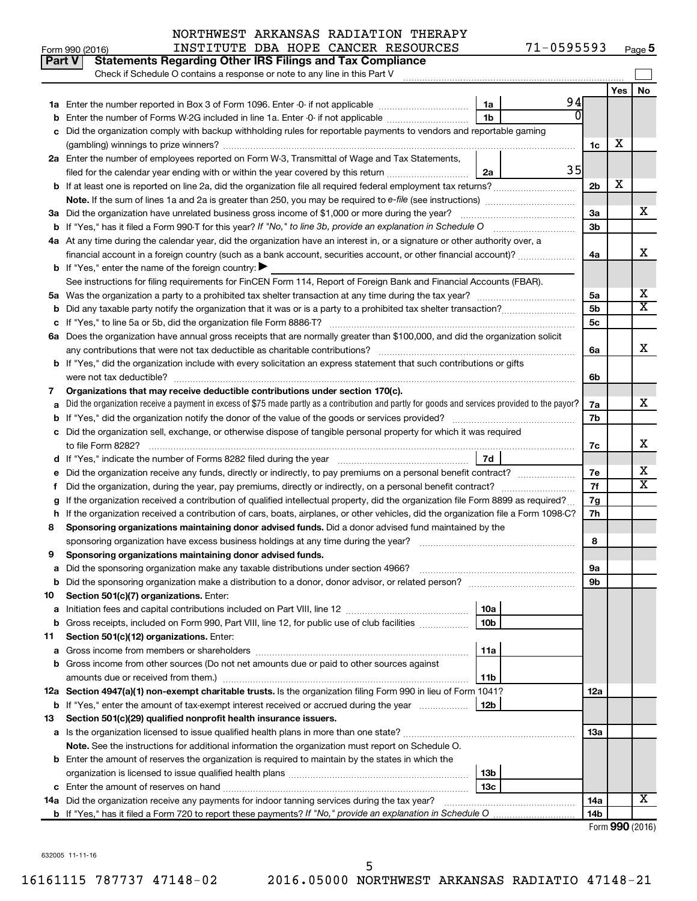|    | Part V<br><b>Statements Regarding Other IRS Filings and Tax Compliance</b><br>Check if Schedule O contains a response or note to any line in this Part V                                                                                         |          |     |           |
|----|--------------------------------------------------------------------------------------------------------------------------------------------------------------------------------------------------------------------------------------------------|----------|-----|-----------|
|    |                                                                                                                                                                                                                                                  |          | Yes | <b>No</b> |
|    | 1a                                                                                                                                                                                                                                               | 94       |     |           |
|    | 1 <sub>b</sub><br>Enter the number of Forms W-2G included in line 1a. Enter -0- if not applicable                                                                                                                                                | N        |     |           |
|    | Did the organization comply with backup withholding rules for reportable payments to vendors and reportable gaming                                                                                                                               |          |     |           |
|    |                                                                                                                                                                                                                                                  | 1c       | х   |           |
|    | 2a Enter the number of employees reported on Form W-3, Transmittal of Wage and Tax Statements,                                                                                                                                                   |          |     |           |
|    | filed for the calendar year ending with or within the year covered by this return<br>2a                                                                                                                                                          | 35       |     |           |
|    |                                                                                                                                                                                                                                                  | 2b       | х   |           |
|    |                                                                                                                                                                                                                                                  |          |     |           |
|    | 3a Did the organization have unrelated business gross income of \$1,000 or more during the year?                                                                                                                                                 | За       |     | x         |
|    | <b>b</b> If "Yes," has it filed a Form 990-T for this year? If "No," to line 3b, provide an explanation in Schedule O                                                                                                                            | 3b       |     |           |
|    | 4a At any time during the calendar year, did the organization have an interest in, or a signature or other authority over, a                                                                                                                     |          |     |           |
|    | financial account in a foreign country (such as a bank account, securities account, or other financial account)?                                                                                                                                 | 4a       |     | x         |
|    | <b>b</b> If "Yes," enter the name of the foreign country: $\blacktriangleright$                                                                                                                                                                  |          |     |           |
|    | See instructions for filing requirements for FinCEN Form 114, Report of Foreign Bank and Financial Accounts (FBAR).                                                                                                                              |          |     |           |
|    |                                                                                                                                                                                                                                                  | 5a       |     | х         |
|    |                                                                                                                                                                                                                                                  | 5b       |     | X         |
|    |                                                                                                                                                                                                                                                  | 5с       |     |           |
|    | 6a Does the organization have annual gross receipts that are normally greater than \$100,000, and did the organization solicit                                                                                                                   |          |     |           |
|    |                                                                                                                                                                                                                                                  | 6a       |     | X         |
|    | b If "Yes," did the organization include with every solicitation an express statement that such contributions or gifts                                                                                                                           |          |     |           |
|    | were not tax deductible?                                                                                                                                                                                                                         | 6b       |     |           |
| 7  | Organizations that may receive deductible contributions under section 170(c).                                                                                                                                                                    |          |     |           |
|    | Did the organization receive a payment in excess of \$75 made partly as a contribution and partly for goods and services provided to the payor?                                                                                                  | 7a       |     | x         |
|    |                                                                                                                                                                                                                                                  | 7b       |     |           |
| с  | Did the organization sell, exchange, or otherwise dispose of tangible personal property for which it was required                                                                                                                                |          |     | x         |
|    |                                                                                                                                                                                                                                                  | 7c       |     |           |
|    | 7d                                                                                                                                                                                                                                               |          |     | х         |
|    |                                                                                                                                                                                                                                                  | 7е<br>7f |     | X         |
| t  | Did the organization, during the year, pay premiums, directly or indirectly, on a personal benefit contract?<br>If the organization received a contribution of qualified intellectual property, did the organization file Form 8899 as required? | 7g       |     |           |
| h  | If the organization received a contribution of cars, boats, airplanes, or other vehicles, did the organization file a Form 1098-C?                                                                                                               | 7h       |     |           |
| 8  | Sponsoring organizations maintaining donor advised funds. Did a donor advised fund maintained by the                                                                                                                                             |          |     |           |
|    |                                                                                                                                                                                                                                                  | 8        |     |           |
| 9  | Sponsoring organizations maintaining donor advised funds.                                                                                                                                                                                        |          |     |           |
|    |                                                                                                                                                                                                                                                  | υа       |     |           |
|    | <b>b</b> Did the sponsoring organization make a distribution to a donor, donor advisor, or related person?                                                                                                                                       | 9b       |     |           |
| 10 | Section 501(c)(7) organizations. Enter:                                                                                                                                                                                                          |          |     |           |
| а  | 10a                                                                                                                                                                                                                                              |          |     |           |
|    | b Gross receipts, included on Form 990, Part VIII, line 12, for public use of club facilities<br>10b                                                                                                                                             |          |     |           |
| 11 | Section 501(c)(12) organizations. Enter:                                                                                                                                                                                                         |          |     |           |
| а  | 11a                                                                                                                                                                                                                                              |          |     |           |
|    | b Gross income from other sources (Do not net amounts due or paid to other sources against                                                                                                                                                       |          |     |           |
|    | amounts due or received from them.)<br>11b                                                                                                                                                                                                       |          |     |           |
|    | 12a Section 4947(a)(1) non-exempt charitable trusts. Is the organization filing Form 990 in lieu of Form 1041?                                                                                                                                   | 12a      |     |           |
|    | b If "Yes," enter the amount of tax-exempt interest received or accrued during the year<br>12b                                                                                                                                                   |          |     |           |
| 13 | Section 501(c)(29) qualified nonprofit health insurance issuers.                                                                                                                                                                                 |          |     |           |
|    | a Is the organization licensed to issue qualified health plans in more than one state?                                                                                                                                                           | 13a      |     |           |
|    | Note. See the instructions for additional information the organization must report on Schedule O.                                                                                                                                                |          |     |           |
|    | <b>b</b> Enter the amount of reserves the organization is required to maintain by the states in which the                                                                                                                                        |          |     |           |
|    | 13 <sub>b</sub>                                                                                                                                                                                                                                  |          |     |           |
|    | 13 <sub>c</sub>                                                                                                                                                                                                                                  |          |     |           |
|    | 14a Did the organization receive any payments for indoor tanning services during the tax year?                                                                                                                                                   | 14a      |     | x         |
|    |                                                                                                                                                                                                                                                  | 14b      |     |           |

Form (2016) **990**

632005 11-11-16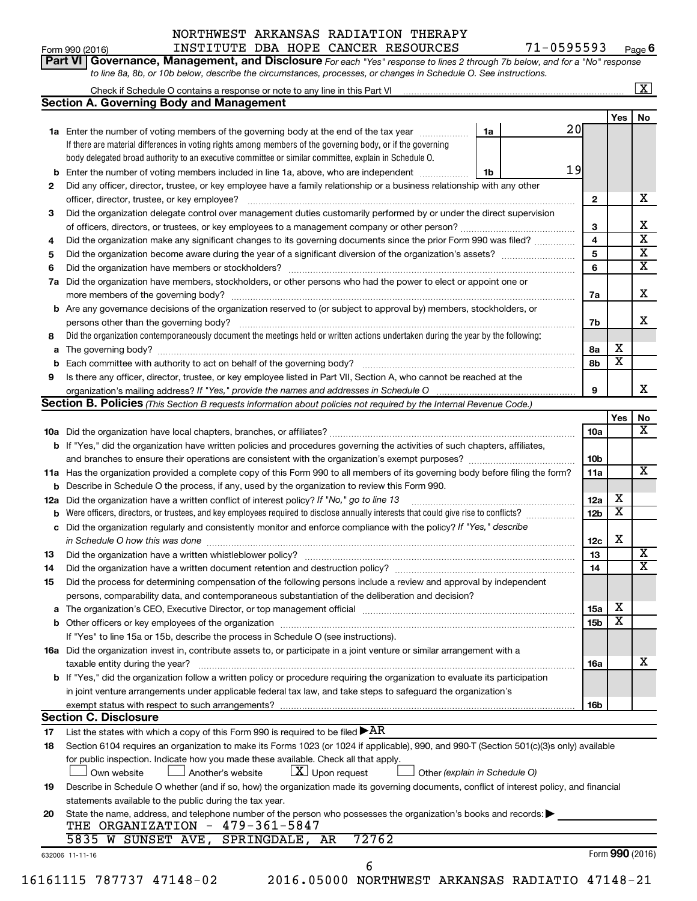#### Form 990 (2016) Page INSTITUTE DBA HOPE CANCER RESOURCES 71-0595593 NORTHWEST ARKANSAS RADIATION THERAPY

| Form 990 (2016) |                                                                             |  | INSTITUTE DBA HOPE CANCER RESOURCES                                                                              | 71-0595593                                                                                                                  | Page $\boldsymbol{\mathsf{f}}$ |
|-----------------|-----------------------------------------------------------------------------|--|------------------------------------------------------------------------------------------------------------------|-----------------------------------------------------------------------------------------------------------------------------|--------------------------------|
|                 |                                                                             |  |                                                                                                                  | Part VI Governance, Management, and Disclosure For each "Yes" response to lines 2 through 7b below, and for a "No" response |                                |
|                 |                                                                             |  | to line 8a, 8b, or 10b below, describe the circumstances, processes, or changes in Schedule O. See instructions. |                                                                                                                             |                                |
|                 | Check if Schedule O contains a response or note to any line in this Part VI |  |                                                                                                                  |                                                                                                                             | $\overline{\mathbf{x}}$        |

|     |                                                                                                                                                                                                                                |                         | Yes                     | No |
|-----|--------------------------------------------------------------------------------------------------------------------------------------------------------------------------------------------------------------------------------|-------------------------|-------------------------|----|
|     | 20<br>1a<br>1a Enter the number of voting members of the governing body at the end of the tax year                                                                                                                             |                         |                         |    |
|     | If there are material differences in voting rights among members of the governing body, or if the governing                                                                                                                    |                         |                         |    |
|     | body delegated broad authority to an executive committee or similar committee, explain in Schedule O.                                                                                                                          |                         |                         |    |
| b   | 19<br>Enter the number of voting members included in line 1a, above, who are independent <i>manumum</i><br>1b                                                                                                                  |                         |                         |    |
| 2   | Did any officer, director, trustee, or key employee have a family relationship or a business relationship with any other                                                                                                       |                         |                         |    |
|     | officer, director, trustee, or key employee?<br>.                                                                                                                                                                              | $\mathbf{2}$            |                         |    |
| 3   | Did the organization delegate control over management duties customarily performed by or under the direct supervision                                                                                                          |                         |                         |    |
|     |                                                                                                                                                                                                                                | 3                       |                         |    |
| 4   | Did the organization make any significant changes to its governing documents since the prior Form 990 was filed?                                                                                                               | $\overline{\mathbf{4}}$ |                         |    |
| 5   |                                                                                                                                                                                                                                | 5                       |                         |    |
| 6   |                                                                                                                                                                                                                                | 6                       |                         |    |
| 7a  | Did the organization have members, stockholders, or other persons who had the power to elect or appoint one or                                                                                                                 |                         |                         |    |
|     |                                                                                                                                                                                                                                | 7a                      |                         |    |
|     | <b>b</b> Are any governance decisions of the organization reserved to (or subject to approval by) members, stockholders, or                                                                                                    |                         |                         |    |
|     | persons other than the governing body?                                                                                                                                                                                         | 7b                      |                         |    |
| 8   | Did the organization contemporaneously document the meetings held or written actions undertaken during the year by the following:                                                                                              |                         |                         |    |
|     |                                                                                                                                                                                                                                | 8а                      | х                       |    |
| b   |                                                                                                                                                                                                                                | 8b                      | $\overline{\textbf{x}}$ |    |
| 9   | Is there any officer, director, trustee, or key employee listed in Part VII, Section A, who cannot be reached at the                                                                                                           |                         |                         |    |
|     | organization's mailing address? If "Yes," provide the names and addresses in Schedule O munically contained mail increases                                                                                                     | 9                       |                         |    |
|     | Section B. Policies (This Section B requests information about policies not required by the Internal Revenue Code.)                                                                                                            |                         |                         |    |
|     |                                                                                                                                                                                                                                |                         | Yes                     |    |
|     |                                                                                                                                                                                                                                | 10a                     |                         |    |
|     | b If "Yes," did the organization have written policies and procedures governing the activities of such chapters, affiliates,                                                                                                   |                         |                         |    |
|     |                                                                                                                                                                                                                                | 10 <sub>b</sub>         |                         |    |
|     | 11a Has the organization provided a complete copy of this Form 990 to all members of its governing body before filing the form?                                                                                                | 11a                     |                         |    |
|     | Describe in Schedule O the process, if any, used by the organization to review this Form 990.                                                                                                                                  |                         |                         |    |
| 12a | Did the organization have a written conflict of interest policy? If "No," go to line 13                                                                                                                                        | 12a                     | х                       |    |
| b   | Were officers, directors, or trustees, and key employees required to disclose annually interests that could give rise to conflicts?                                                                                            | 12 <sub>b</sub>         | $\overline{\mathbf{X}}$ |    |
| с   | Did the organization regularly and consistently monitor and enforce compliance with the policy? If "Yes," describe                                                                                                             |                         |                         |    |
|     | in Schedule O how this was done manufactured and continuum and contact the way to the set of the set of the schedule O how this was done                                                                                       | 12c                     | х                       |    |
| 13  |                                                                                                                                                                                                                                | 13                      |                         |    |
| 14  | Did the organization have a written document retention and destruction policy? [11] manufaction manufaction in                                                                                                                 | 14                      |                         |    |
| 15  | Did the process for determining compensation of the following persons include a review and approval by independent                                                                                                             |                         |                         |    |
|     | persons, comparability data, and contemporaneous substantiation of the deliberation and decision?                                                                                                                              |                         |                         |    |
|     | a The organization's CEO, Executive Director, or top management official [11] [12] The organization's CEO, Executive Director, or top management official [12] [12] [12] The organization's CEO, Executive Director, or top ma | 15a                     | $\mathbf X$             |    |
|     |                                                                                                                                                                                                                                | <b>15b</b>              | X                       |    |
|     | If "Yes" to line 15a or 15b, describe the process in Schedule O (see instructions).                                                                                                                                            |                         |                         |    |
|     | 16a Did the organization invest in, contribute assets to, or participate in a joint venture or similar arrangement with a                                                                                                      |                         |                         |    |
|     | taxable entity during the year?                                                                                                                                                                                                | 16a                     |                         |    |
|     | b If "Yes," did the organization follow a written policy or procedure requiring the organization to evaluate its participation                                                                                                 |                         |                         |    |
|     | in joint venture arrangements under applicable federal tax law, and take steps to safeguard the organization's                                                                                                                 |                         |                         |    |
|     | exempt status with respect to such arrangements?                                                                                                                                                                               | 16b                     |                         |    |
|     | <b>Section C. Disclosure</b>                                                                                                                                                                                                   |                         |                         |    |
| 17  | List the states with which a copy of this Form 990 is required to be filed $\blacktriangleright$ AR                                                                                                                            |                         |                         |    |
| 18  | Section 6104 requires an organization to make its Forms 1023 (or 1024 if applicable), 990, and 990-T (Section 501(c)(3)s only) available                                                                                       |                         |                         |    |
|     | for public inspection. Indicate how you made these available. Check all that apply.                                                                                                                                            |                         |                         |    |
|     | $\lfloor x \rfloor$ Upon request<br>Own website<br>Another's website<br>Other (explain in Schedule O)                                                                                                                          |                         |                         |    |
| 19  | Describe in Schedule O whether (and if so, how) the organization made its governing documents, conflict of interest policy, and financial                                                                                      |                         |                         |    |
|     | statements available to the public during the tax year.                                                                                                                                                                        |                         |                         |    |
| 20  | State the name, address, and telephone number of the person who possesses the organization's books and records:                                                                                                                |                         |                         |    |
|     | THE ORGANIZATION - 479-361-5847                                                                                                                                                                                                |                         |                         |    |
|     | 5835 W SUNSET AVE, SPRINGDALE, AR<br>72762                                                                                                                                                                                     |                         |                         |    |
|     |                                                                                                                                                                                                                                |                         |                         |    |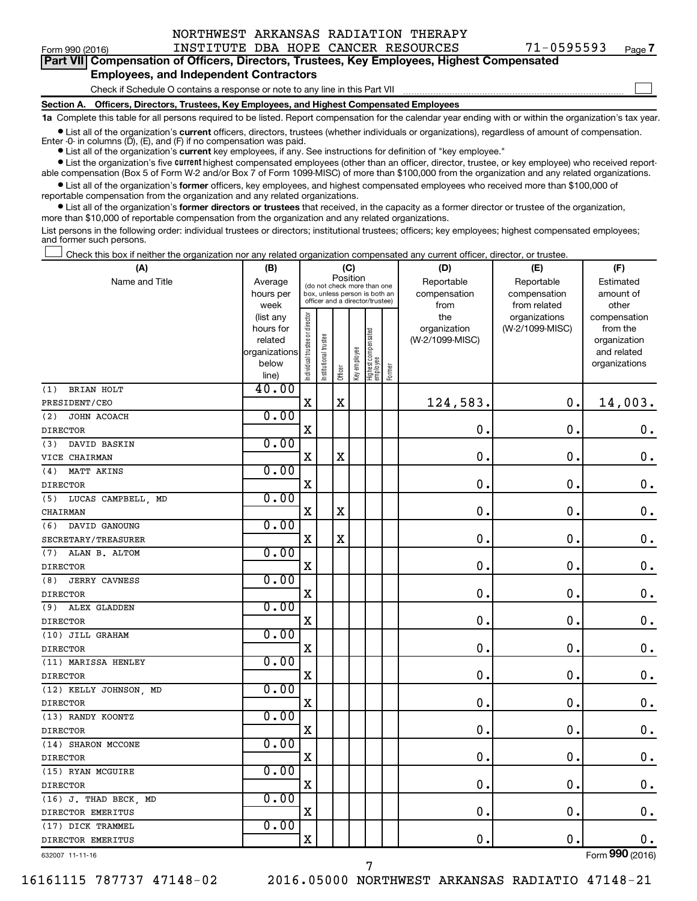| Form 990 (2016) |  |
|-----------------|--|
|-----------------|--|

Form 990 (2016) Page INSTITUTE DBA HOPE CANCER RESOURCES 71-0595593 **Part VII Compensation of Officers, Directors, Trustees, Key Employees, Highest Compensated**

#### **Employees, and Independent Contractors**

Check if Schedule O contains a response or note to any line in this Part VII

**Section A. Officers, Directors, Trustees, Key Employees, and Highest Compensated Employees**

**1a**  Complete this table for all persons required to be listed. Report compensation for the calendar year ending with or within the organization's tax year.

**•** List all of the organization's current officers, directors, trustees (whether individuals or organizations), regardless of amount of compensation. Enter -0- in columns  $(D)$ ,  $(E)$ , and  $(F)$  if no compensation was paid.

**•** List all of the organization's **current** key employees, if any. See instructions for definition of "key employee."

**•** List the organization's five current highest compensated employees (other than an officer, director, trustee, or key employee) who received reportable compensation (Box 5 of Form W-2 and/or Box 7 of Form 1099-MISC) of more than \$100,000 from the organization and any related organizations.

**•** List all of the organization's former officers, key employees, and highest compensated employees who received more than \$100,000 of reportable compensation from the organization and any related organizations.

**•** List all of the organization's former directors or trustees that received, in the capacity as a former director or trustee of the organization, more than \$10,000 of reportable compensation from the organization and any related organizations.

List persons in the following order: individual trustees or directors; institutional trustees; officers; key employees; highest compensated employees; and former such persons.

Check this box if neither the organization nor any related organization compensated any current officer, director, or trustee.  $\Box$ 

| (A)                         | (B)                      | (C)                            |                                                              |             |              |                                   |        | (D)                        | (E)                        | (F)                          |
|-----------------------------|--------------------------|--------------------------------|--------------------------------------------------------------|-------------|--------------|-----------------------------------|--------|----------------------------|----------------------------|------------------------------|
| Name and Title              | Average<br>hours per     |                                | (do not check more than one<br>box, unless person is both an | Position    |              |                                   |        | Reportable<br>compensation | Reportable<br>compensation | Estimated<br>amount of       |
|                             | week                     |                                | officer and a director/trustee)                              |             |              |                                   |        | from                       | from related               | other                        |
|                             | (list any                |                                |                                                              |             |              |                                   |        | the                        | organizations              | compensation                 |
|                             | hours for                |                                |                                                              |             |              |                                   |        | organization               | (W-2/1099-MISC)            | from the                     |
|                             | related<br>organizations |                                | trustee                                                      |             |              |                                   |        | (W-2/1099-MISC)            |                            | organization                 |
|                             | below                    |                                |                                                              |             |              |                                   |        |                            |                            | and related<br>organizations |
|                             | line)                    | Individual trustee or director | Institutional t                                              | Officer     | Key employee | Highest compensated<br>  employee | Former |                            |                            |                              |
| BRIAN HOLT<br>(1)           | 40.00                    |                                |                                                              |             |              |                                   |        |                            |                            |                              |
| PRESIDENT/CEO               |                          | $\mathbf x$                    |                                                              | $\mathbf x$ |              |                                   |        | 124,583.                   | 0.                         | 14,003.                      |
| (2)<br>JOHN ACOACH          | 0.00                     |                                |                                                              |             |              |                                   |        |                            |                            |                              |
| <b>DIRECTOR</b>             |                          | $\mathbf x$                    |                                                              |             |              |                                   |        | $\mathbf 0$ .              | $\mathbf 0$ .              | $\mathbf 0$ .                |
| (3)<br>DAVID BASKIN         | 0.00                     |                                |                                                              |             |              |                                   |        |                            |                            |                              |
| VICE CHAIRMAN               |                          | $\mathbf X$                    |                                                              | $\mathbf X$ |              |                                   |        | $\mathbf 0$ .              | $\mathbf 0$ .              | $\boldsymbol{0}$ .           |
| MATT AKINS<br>(4)           | 0.00                     |                                |                                                              |             |              |                                   |        |                            |                            |                              |
| <b>DIRECTOR</b>             |                          | $\mathbf x$                    |                                                              |             |              |                                   |        | $\mathbf 0$ .              | $\mathbf 0$ .              | $\mathbf 0$ .                |
| (5) LUCAS CAMPBELL, MD      | 0.00                     |                                |                                                              |             |              |                                   |        |                            |                            |                              |
| CHAIRMAN                    |                          | $\mathbf X$                    |                                                              | $\mathbf X$ |              |                                   |        | 0.                         | $\mathbf 0$ .              | $\mathbf 0$ .                |
| (6) DAVID GANOUNG           | 0.00                     |                                |                                                              |             |              |                                   |        |                            |                            |                              |
| SECRETARY/TREASURER         |                          | X                              |                                                              | $\mathbf X$ |              |                                   |        | $\mathbf 0$ .              | О.                         | $\mathbf 0$ .                |
| (7) ALAN B. ALTOM           | 0.00                     |                                |                                                              |             |              |                                   |        |                            |                            |                              |
| <b>DIRECTOR</b>             |                          | $\mathbf X$                    |                                                              |             |              |                                   |        | $\mathbf 0$ .              | $\mathbf 0$ .              | $\mathbf 0$ .                |
| (8)<br><b>JERRY CAVNESS</b> | 0.00                     |                                |                                                              |             |              |                                   |        |                            |                            |                              |
| <b>DIRECTOR</b>             |                          | $\mathbf x$                    |                                                              |             |              |                                   |        | $\mathbf 0$ .              | $\mathbf 0$ .              | $\mathbf 0$ .                |
| (9) ALEX GLADDEN            | 0.00                     |                                |                                                              |             |              |                                   |        |                            |                            |                              |
| <b>DIRECTOR</b>             |                          | $\mathbf X$                    |                                                              |             |              |                                   |        | $\mathbf 0$ .              | $\mathbf 0$ .              | $\boldsymbol{0}$ .           |
| (10) JILL GRAHAM            | 0.00                     |                                |                                                              |             |              |                                   |        |                            |                            |                              |
| <b>DIRECTOR</b>             |                          | $\mathbf X$                    |                                                              |             |              |                                   |        | 0.                         | $\mathbf 0$ .              | $0$ .                        |
| (11) MARISSA HENLEY         | 0.00                     |                                |                                                              |             |              |                                   |        |                            |                            |                              |
| <b>DIRECTOR</b>             |                          | $\mathbf X$                    |                                                              |             |              |                                   |        | $\mathbf 0$ .              | $\mathbf 0$ .              | $\mathbf 0$ .                |
| (12) KELLY JOHNSON, MD      | 0.00                     |                                |                                                              |             |              |                                   |        |                            |                            |                              |
| <b>DIRECTOR</b>             |                          | $\mathbf X$                    |                                                              |             |              |                                   |        | $\mathbf 0$ .              | $\mathbf 0$ .              | $\mathbf 0$ .                |
| (13) RANDY KOONTZ           | 0.00                     |                                |                                                              |             |              |                                   |        |                            |                            |                              |
| <b>DIRECTOR</b>             |                          | $\mathbf X$                    |                                                              |             |              |                                   |        | $\mathbf 0$ .              | $\mathbf 0$ .              | $\mathbf 0$ .                |
| (14) SHARON MCCONE          | 0.00                     |                                |                                                              |             |              |                                   |        |                            |                            |                              |
| <b>DIRECTOR</b>             |                          | $\mathbf X$                    |                                                              |             |              |                                   |        | 0.                         | $\mathbf 0$ .              | $\mathbf 0$ .                |
| (15) RYAN MCGUIRE           | 0.00                     |                                |                                                              |             |              |                                   |        |                            |                            |                              |
| <b>DIRECTOR</b>             |                          | $\mathbf X$                    |                                                              |             |              |                                   |        | 0.                         | $\mathbf 0$ .              | $\mathbf 0$ .                |
| (16) J. THAD BECK, MD       | 0.00                     |                                |                                                              |             |              |                                   |        |                            |                            |                              |
| DIRECTOR EMERITUS           |                          | $\overline{\mathbf{X}}$        |                                                              |             |              |                                   |        | $\mathbf 0$ .              | $\mathbf 0$ .              | $\mathbf 0$ .                |
| (17) DICK TRAMMEL           | 0.00                     |                                |                                                              |             |              |                                   |        |                            |                            |                              |
| DIRECTOR EMERITUS           |                          | $\mathbf x$                    |                                                              |             |              |                                   |        | $\mathbf 0$ .              | $\mathbf 0$ .              | $\mathbf 0$ .                |

632007 11-11-16

16161115 787737 47148-02 2016.05000 NORTHWEST ARKANSAS RADIATIO 47148-21

**7**

 $\Box$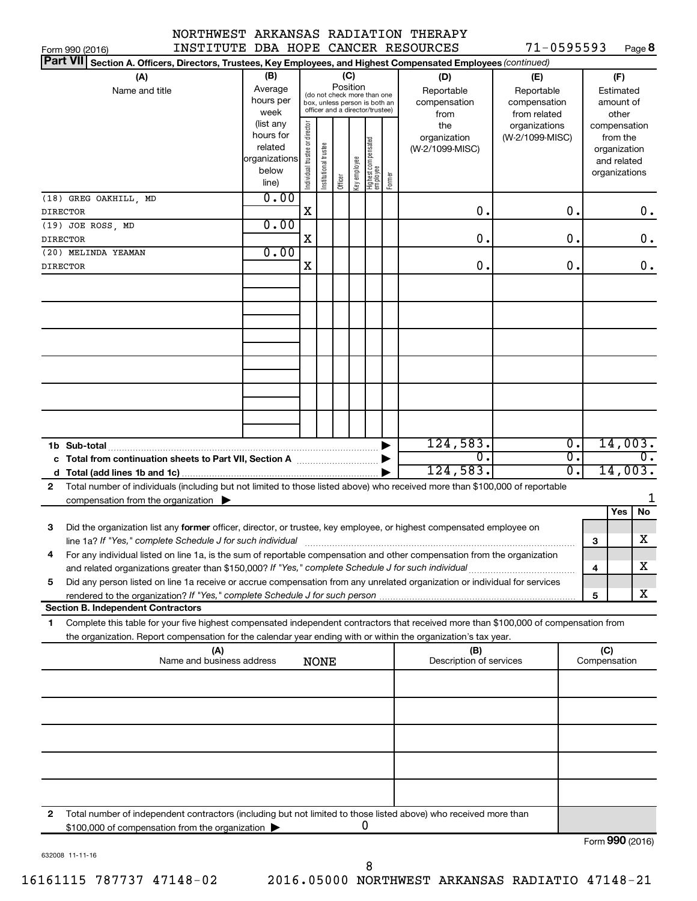#### NORTHWEST ARKANSAS RADIATION THERAPY INSTITUTE DBA

|  | HOPE CANCER RESOURCES |  |
|--|-----------------------|--|
|  |                       |  |

 $71 - 0595593$  P<sub>308</sub>8

| INSTITUTE DBA HOPE CANCER RESOURCES<br>Form 990 (2016)                                                                                                                                                   |                                                                     |                                |                      |         |                 |                                                                                                 |        |                                                                  | 71-0595593                                                                            |                  |     |                                                                    | Page 8                      |
|----------------------------------------------------------------------------------------------------------------------------------------------------------------------------------------------------------|---------------------------------------------------------------------|--------------------------------|----------------------|---------|-----------------|-------------------------------------------------------------------------------------------------|--------|------------------------------------------------------------------|---------------------------------------------------------------------------------------|------------------|-----|--------------------------------------------------------------------|-----------------------------|
| <b>Part VII</b><br>Section A. Officers, Directors, Trustees, Key Employees, and Highest Compensated Employees (continued)                                                                                |                                                                     |                                |                      |         |                 |                                                                                                 |        |                                                                  |                                                                                       |                  |     |                                                                    |                             |
| (A)<br>Name and title                                                                                                                                                                                    | (B)<br>Average<br>hours per<br>week<br>(list any<br>hours for       |                                |                      |         | (C)<br>Position | (do not check more than one<br>box, unless person is both an<br>officer and a director/trustee) |        | (D)<br>Reportable<br>compensation<br>from<br>the<br>organization | (E)<br>Reportable<br>compensation<br>from related<br>organizations<br>(W-2/1099-MISC) |                  |     | (F)<br>Estimated<br>amount of<br>other<br>compensation<br>from the |                             |
|                                                                                                                                                                                                          | related<br>organizations<br>below<br>line)<br>0.00                  | Individual trustee or director | nstitutional trustee | Officer | Key employee    | Highest compensated<br> employee                                                                | Former | (W-2/1099-MISC)                                                  |                                                                                       |                  |     | organization<br>and related<br>organizations                       |                             |
| (18) GREG OAKHILL, MD<br><b>DIRECTOR</b>                                                                                                                                                                 |                                                                     | X                              |                      |         |                 |                                                                                                 |        | 0.                                                               |                                                                                       | 0.               |     |                                                                    | 0.                          |
| (19) JOE ROSS, MD                                                                                                                                                                                        | 0.00                                                                |                                |                      |         |                 |                                                                                                 |        |                                                                  |                                                                                       |                  |     |                                                                    |                             |
| <b>DIRECTOR</b>                                                                                                                                                                                          |                                                                     | X                              |                      |         |                 |                                                                                                 |        | 0.                                                               |                                                                                       | 0.               |     |                                                                    | 0.                          |
| (20) MELINDA YEAMAN                                                                                                                                                                                      | 0.00                                                                |                                |                      |         |                 |                                                                                                 |        |                                                                  |                                                                                       |                  |     |                                                                    |                             |
| <b>DIRECTOR</b>                                                                                                                                                                                          |                                                                     | Χ                              |                      |         |                 |                                                                                                 |        | 0.                                                               |                                                                                       | 0.               |     |                                                                    | 0.                          |
|                                                                                                                                                                                                          |                                                                     |                                |                      |         |                 |                                                                                                 |        |                                                                  |                                                                                       |                  |     |                                                                    |                             |
|                                                                                                                                                                                                          |                                                                     |                                |                      |         |                 |                                                                                                 |        |                                                                  |                                                                                       |                  |     |                                                                    |                             |
|                                                                                                                                                                                                          |                                                                     |                                |                      |         |                 |                                                                                                 |        |                                                                  |                                                                                       |                  |     |                                                                    |                             |
|                                                                                                                                                                                                          |                                                                     |                                |                      |         |                 |                                                                                                 |        |                                                                  |                                                                                       |                  |     |                                                                    |                             |
|                                                                                                                                                                                                          |                                                                     |                                |                      |         |                 |                                                                                                 |        |                                                                  |                                                                                       |                  |     |                                                                    |                             |
|                                                                                                                                                                                                          |                                                                     |                                |                      |         |                 |                                                                                                 |        |                                                                  |                                                                                       |                  |     |                                                                    |                             |
|                                                                                                                                                                                                          |                                                                     |                                |                      |         |                 |                                                                                                 |        |                                                                  |                                                                                       |                  |     |                                                                    |                             |
|                                                                                                                                                                                                          |                                                                     |                                |                      |         |                 |                                                                                                 |        |                                                                  |                                                                                       |                  |     |                                                                    |                             |
|                                                                                                                                                                                                          |                                                                     |                                |                      |         |                 |                                                                                                 |        |                                                                  |                                                                                       |                  |     |                                                                    |                             |
|                                                                                                                                                                                                          |                                                                     |                                |                      |         |                 |                                                                                                 |        |                                                                  |                                                                                       |                  |     |                                                                    |                             |
|                                                                                                                                                                                                          |                                                                     |                                |                      |         |                 |                                                                                                 |        |                                                                  |                                                                                       |                  |     |                                                                    |                             |
|                                                                                                                                                                                                          |                                                                     |                                |                      |         |                 |                                                                                                 |        | 124,583.                                                         |                                                                                       | $\overline{0}$ . |     |                                                                    | 14,003.                     |
|                                                                                                                                                                                                          |                                                                     |                                |                      |         |                 |                                                                                                 |        | 0.                                                               |                                                                                       | σ.<br>σ.         |     |                                                                    | $\overline{0}$ .<br>14,003. |
|                                                                                                                                                                                                          |                                                                     |                                |                      |         |                 |                                                                                                 |        | 124,583.                                                         |                                                                                       |                  |     |                                                                    |                             |
| Total number of individuals (including but not limited to those listed above) who received more than \$100,000 of reportable<br>$\mathbf{2}$<br>compensation from the organization $\blacktriangleright$ |                                                                     |                                |                      |         |                 |                                                                                                 |        |                                                                  |                                                                                       |                  |     |                                                                    |                             |
|                                                                                                                                                                                                          |                                                                     |                                |                      |         |                 |                                                                                                 |        |                                                                  |                                                                                       |                  |     | <b>Yes</b>                                                         | No                          |
| Did the organization list any former officer, director, or trustee, key employee, or highest compensated employee on<br>3                                                                                |                                                                     |                                |                      |         |                 |                                                                                                 |        |                                                                  |                                                                                       |                  | 3   |                                                                    | х                           |
| For any individual listed on line 1a, is the sum of reportable compensation and other compensation from the organization                                                                                 |                                                                     |                                |                      |         |                 |                                                                                                 |        |                                                                  |                                                                                       |                  |     |                                                                    |                             |
|                                                                                                                                                                                                          |                                                                     |                                |                      |         |                 |                                                                                                 |        |                                                                  |                                                                                       |                  | 4   |                                                                    | х                           |
| Did any person listed on line 1a receive or accrue compensation from any unrelated organization or individual for services<br>5                                                                          |                                                                     |                                |                      |         |                 |                                                                                                 |        |                                                                  |                                                                                       |                  |     |                                                                    |                             |
| <b>Section B. Independent Contractors</b>                                                                                                                                                                |                                                                     |                                |                      |         |                 |                                                                                                 |        |                                                                  |                                                                                       |                  | 5   |                                                                    | x                           |
| Complete this table for your five highest compensated independent contractors that received more than \$100,000 of compensation from<br>1.                                                               |                                                                     |                                |                      |         |                 |                                                                                                 |        |                                                                  |                                                                                       |                  |     |                                                                    |                             |
| the organization. Report compensation for the calendar year ending with or within the organization's tax year.                                                                                           |                                                                     |                                |                      |         |                 |                                                                                                 |        |                                                                  |                                                                                       |                  |     |                                                                    |                             |
| (A)                                                                                                                                                                                                      |                                                                     |                                |                      |         |                 |                                                                                                 |        | (B)                                                              |                                                                                       |                  | (C) |                                                                    |                             |
|                                                                                                                                                                                                          | Name and business address<br>Description of services<br><b>NONE</b> |                                |                      |         |                 |                                                                                                 |        |                                                                  | Compensation                                                                          |                  |     |                                                                    |                             |
|                                                                                                                                                                                                          |                                                                     |                                |                      |         |                 |                                                                                                 |        |                                                                  |                                                                                       |                  |     |                                                                    |                             |
|                                                                                                                                                                                                          |                                                                     |                                |                      |         |                 |                                                                                                 |        |                                                                  |                                                                                       |                  |     |                                                                    |                             |
|                                                                                                                                                                                                          |                                                                     |                                |                      |         |                 |                                                                                                 |        |                                                                  |                                                                                       |                  |     |                                                                    |                             |
|                                                                                                                                                                                                          |                                                                     |                                |                      |         |                 |                                                                                                 |        |                                                                  |                                                                                       |                  |     |                                                                    |                             |
|                                                                                                                                                                                                          |                                                                     |                                |                      |         |                 |                                                                                                 |        |                                                                  |                                                                                       |                  |     |                                                                    |                             |
|                                                                                                                                                                                                          |                                                                     |                                |                      |         |                 |                                                                                                 |        |                                                                  |                                                                                       |                  |     |                                                                    |                             |
|                                                                                                                                                                                                          |                                                                     |                                |                      |         |                 |                                                                                                 |        |                                                                  |                                                                                       |                  |     |                                                                    |                             |
|                                                                                                                                                                                                          |                                                                     |                                |                      |         |                 |                                                                                                 |        |                                                                  |                                                                                       |                  |     |                                                                    |                             |
| Total number of independent contractors (including but not limited to those listed above) who received more than<br>2<br>\$100,000 of compensation from the organization                                 |                                                                     |                                |                      |         |                 | 0                                                                                               |        |                                                                  |                                                                                       |                  |     |                                                                    |                             |
|                                                                                                                                                                                                          |                                                                     |                                |                      |         |                 |                                                                                                 |        |                                                                  |                                                                                       |                  |     |                                                                    |                             |

632008 11-11-16

Form (2016) **990**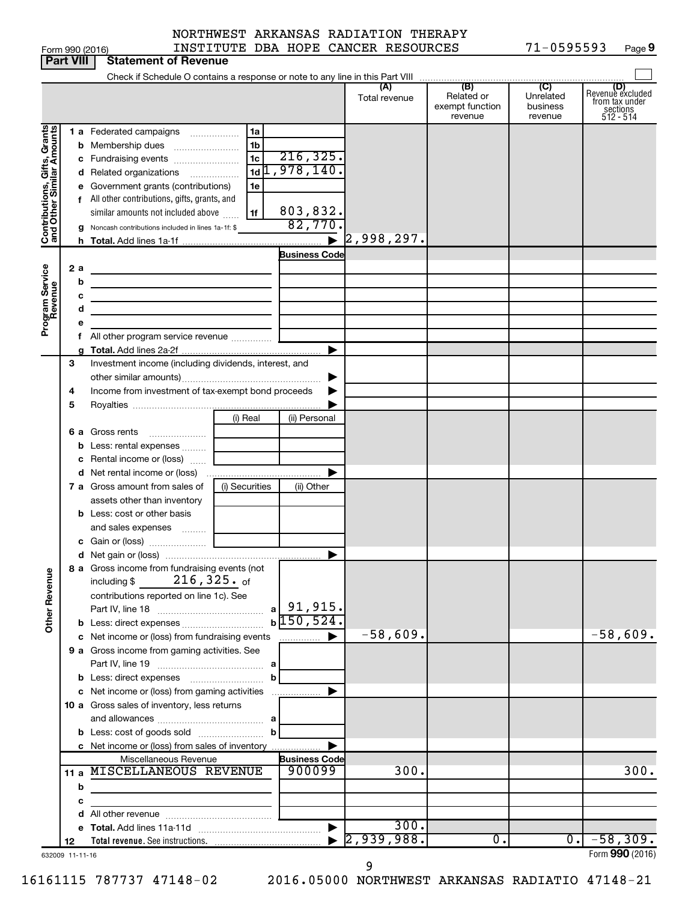| orm 990 (2016 |  |
|---------------|--|

Form 990 (2016) INSTITUTE DBA HOPE CANCER RESOURCES 71-0595593 Page 71-0595593 Page 9

|                                                                                         | <b>Part VIII</b>  | <b>Statement of Revenue</b>                                                                                                                                                                                                                                                                                                                                                                                                                                    |                                                                                                                      |                                                                                  |                      |                                                 |                                         |                                                                      |
|-----------------------------------------------------------------------------------------|-------------------|----------------------------------------------------------------------------------------------------------------------------------------------------------------------------------------------------------------------------------------------------------------------------------------------------------------------------------------------------------------------------------------------------------------------------------------------------------------|----------------------------------------------------------------------------------------------------------------------|----------------------------------------------------------------------------------|----------------------|-------------------------------------------------|-----------------------------------------|----------------------------------------------------------------------|
|                                                                                         |                   |                                                                                                                                                                                                                                                                                                                                                                                                                                                                |                                                                                                                      |                                                                                  |                      |                                                 |                                         |                                                                      |
|                                                                                         |                   |                                                                                                                                                                                                                                                                                                                                                                                                                                                                |                                                                                                                      |                                                                                  | (A)<br>Total revenue | (B)<br>Related or<br>exempt function<br>revenue | (C)<br>Unrelated<br>business<br>revenue | (D)<br>Revenue excluded<br>from tax under<br>sections<br>$512 - 514$ |
| Contributions, Gifts, Grants<br>and Other Similar Amounts<br>Program Service<br>Revenue | 2a<br>b<br>с<br>d | 1 a Federated campaigns<br><b>b</b> Membership dues<br>c Fundraising events<br>d Related organizations<br>e Government grants (contributions)<br>f All other contributions, gifts, grants, and<br>similar amounts not included above<br>g Noncash contributions included in lines 1a-1f: \$<br>the control of the control of the control of the control of<br>the control of the control of the control of the control of<br>All other program service revenue | 1a<br>.<br>1 <sub>b</sub><br>1 <sub>c</sub><br>$1d$ <sup>1</sup> , 978, 140.<br>$\overline{\phantom{a}}$<br>1e<br>1f | 216, 325.<br>803,832.<br>82,770<br>$\blacktriangleright$<br><b>Business Code</b> | 2,998,297.           |                                                 |                                         |                                                                      |
|                                                                                         |                   |                                                                                                                                                                                                                                                                                                                                                                                                                                                                |                                                                                                                      | ▶                                                                                |                      |                                                 |                                         |                                                                      |
|                                                                                         | 3<br>4<br>5       | Investment income (including dividends, interest, and<br>Income from investment of tax-exempt bond proceeds                                                                                                                                                                                                                                                                                                                                                    |                                                                                                                      |                                                                                  |                      |                                                 |                                         |                                                                      |
|                                                                                         | 6а<br>b           | Gross rents<br>Less: rental expenses                                                                                                                                                                                                                                                                                                                                                                                                                           | (i) Real                                                                                                             | (ii) Personal                                                                    |                      |                                                 |                                         |                                                                      |
|                                                                                         |                   | c Rental income or (loss)<br><b>d</b> Net rental income or (loss)<br>7 a Gross amount from sales of                                                                                                                                                                                                                                                                                                                                                            | (i) Securities                                                                                                       | (ii) Other                                                                       |                      |                                                 |                                         |                                                                      |
|                                                                                         |                   | assets other than inventory<br><b>b</b> Less: cost or other basis<br>and sales expenses                                                                                                                                                                                                                                                                                                                                                                        |                                                                                                                      |                                                                                  |                      |                                                 |                                         |                                                                      |
|                                                                                         |                   |                                                                                                                                                                                                                                                                                                                                                                                                                                                                |                                                                                                                      | ▶                                                                                |                      |                                                 |                                         |                                                                      |
|                                                                                         |                   | 8 a Gross income from fundraising events (not<br>$216$ ,325. of<br>including \$                                                                                                                                                                                                                                                                                                                                                                                |                                                                                                                      |                                                                                  |                      |                                                 |                                         |                                                                      |
| <b>Other Revenue</b>                                                                    |                   | contributions reported on line 1c). See                                                                                                                                                                                                                                                                                                                                                                                                                        | a l                                                                                                                  | 91,915.<br>$b\overline{150,524}$ .                                               |                      |                                                 |                                         |                                                                      |
|                                                                                         |                   | c Net income or (loss) from fundraising events                                                                                                                                                                                                                                                                                                                                                                                                                 |                                                                                                                      | .                                                                                | $-58,609.$           |                                                 |                                         | $-58,609.$                                                           |
|                                                                                         |                   | 9 a Gross income from gaming activities. See                                                                                                                                                                                                                                                                                                                                                                                                                   | b                                                                                                                    |                                                                                  |                      |                                                 |                                         |                                                                      |
|                                                                                         |                   | c Net income or (loss) from gaming activities                                                                                                                                                                                                                                                                                                                                                                                                                  |                                                                                                                      |                                                                                  |                      |                                                 |                                         |                                                                      |
|                                                                                         |                   | 10 a Gross sales of inventory, less returns                                                                                                                                                                                                                                                                                                                                                                                                                    |                                                                                                                      |                                                                                  |                      |                                                 |                                         |                                                                      |
|                                                                                         |                   | <b>b</b> Less: cost of goods sold                                                                                                                                                                                                                                                                                                                                                                                                                              | b                                                                                                                    |                                                                                  |                      |                                                 |                                         |                                                                      |
|                                                                                         |                   | c Net income or (loss) from sales of inventory                                                                                                                                                                                                                                                                                                                                                                                                                 |                                                                                                                      |                                                                                  |                      |                                                 |                                         |                                                                      |
|                                                                                         |                   | Miscellaneous Revenue                                                                                                                                                                                                                                                                                                                                                                                                                                          |                                                                                                                      | <b>Business Code</b>                                                             |                      |                                                 |                                         |                                                                      |
|                                                                                         |                   | 11 a MISCELLANEOUS REVENUE                                                                                                                                                                                                                                                                                                                                                                                                                                     |                                                                                                                      | 900099                                                                           | 300.                 |                                                 |                                         | 300.                                                                 |
|                                                                                         | b<br>с            | the control of the control of the control of the control of the control of                                                                                                                                                                                                                                                                                                                                                                                     |                                                                                                                      |                                                                                  |                      |                                                 |                                         |                                                                      |
|                                                                                         |                   |                                                                                                                                                                                                                                                                                                                                                                                                                                                                |                                                                                                                      |                                                                                  |                      |                                                 |                                         |                                                                      |
|                                                                                         |                   |                                                                                                                                                                                                                                                                                                                                                                                                                                                                |                                                                                                                      |                                                                                  | 300.                 |                                                 |                                         |                                                                      |
|                                                                                         | 12                |                                                                                                                                                                                                                                                                                                                                                                                                                                                                |                                                                                                                      |                                                                                  | 2,939,988.           | 0.                                              | 0.1                                     | $-58,309.$                                                           |
|                                                                                         | 632009 11-11-16   |                                                                                                                                                                                                                                                                                                                                                                                                                                                                |                                                                                                                      |                                                                                  |                      |                                                 |                                         | Form 990 (2016)                                                      |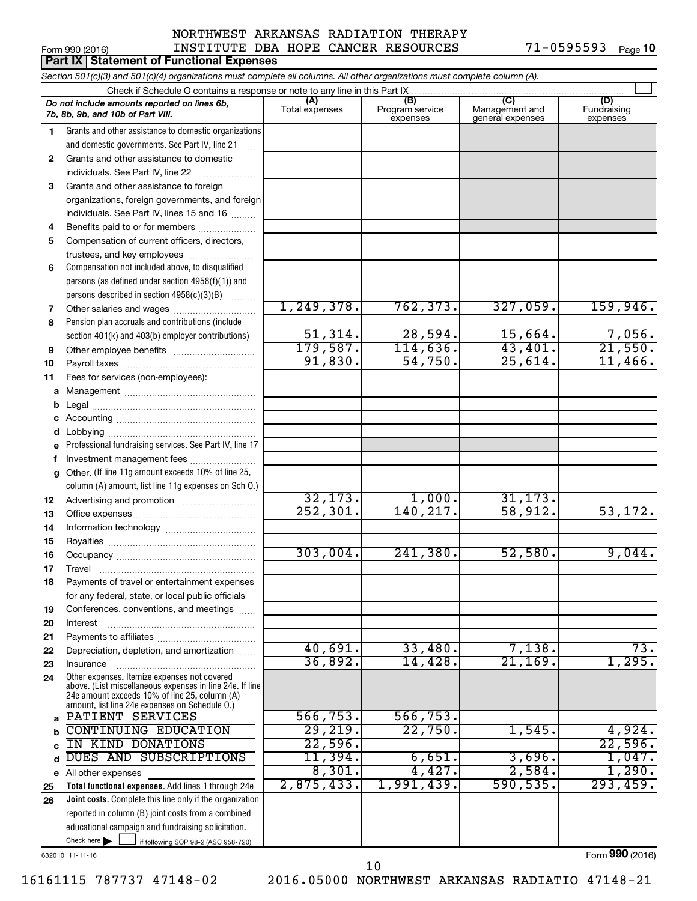#### Form 990 (2016) Page NORTHWEST ARKANSAS RADIATION THERAPY INSTITUTE DBA HOPE CANCER RESOURCES 71-0595593

71-0595593 Page 10

| Section 501(c)(3) and 501(c)(4) organizations must complete all columns. All other organizations must complete column (A).<br>Check if Schedule O contains a response or note to any line in this Part IX<br>(B)<br>(C)<br>(D)<br>(A)<br>Do not include amounts reported on lines 6b,<br>Program service<br>Total expenses<br>Management and<br>Fundraising<br>7b, 8b, 9b, and 10b of Part VIII.<br>expenses<br>general expenses<br>expenses<br>Grants and other assistance to domestic organizations<br>1<br>and domestic governments. See Part IV, line 21<br>Grants and other assistance to domestic<br>$\mathbf{2}$<br>individuals. See Part IV, line 22<br>Grants and other assistance to foreign<br>3<br>organizations, foreign governments, and foreign<br>individuals. See Part IV, lines 15 and 16<br>Benefits paid to or for members<br>4<br>5<br>Compensation of current officers, directors,<br>trustees, and key employees<br>Compensation not included above, to disqualified<br>6<br>persons (as defined under section 4958(f)(1)) and<br>persons described in section 4958(c)(3)(B)<br>1, 249, 378.<br>762, 373.<br>327,059.<br>159,946.<br>Other salaries and wages<br>7<br>Pension plan accruals and contributions (include<br>8<br>$\frac{7,056}{21,550}$<br>51,314.<br>28,594.<br>$\frac{15,664}{43,401}$ .<br>section 401(k) and 403(b) employer contributions)<br>179,587.<br>114,636.<br>Other employee benefits<br>9<br>91,830.<br>54,750.<br>25,614.<br>11,466.<br>10<br>Fees for services (non-employees):<br>11<br>а<br>b<br>d<br>Professional fundraising services. See Part IV, line 17 |                  |
|----------------------------------------------------------------------------------------------------------------------------------------------------------------------------------------------------------------------------------------------------------------------------------------------------------------------------------------------------------------------------------------------------------------------------------------------------------------------------------------------------------------------------------------------------------------------------------------------------------------------------------------------------------------------------------------------------------------------------------------------------------------------------------------------------------------------------------------------------------------------------------------------------------------------------------------------------------------------------------------------------------------------------------------------------------------------------------------------------------------------------------------------------------------------------------------------------------------------------------------------------------------------------------------------------------------------------------------------------------------------------------------------------------------------------------------------------------------------------------------------------------------------------------------------------------------------------------------------------------------------|------------------|
|                                                                                                                                                                                                                                                                                                                                                                                                                                                                                                                                                                                                                                                                                                                                                                                                                                                                                                                                                                                                                                                                                                                                                                                                                                                                                                                                                                                                                                                                                                                                                                                                                      |                  |
|                                                                                                                                                                                                                                                                                                                                                                                                                                                                                                                                                                                                                                                                                                                                                                                                                                                                                                                                                                                                                                                                                                                                                                                                                                                                                                                                                                                                                                                                                                                                                                                                                      |                  |
|                                                                                                                                                                                                                                                                                                                                                                                                                                                                                                                                                                                                                                                                                                                                                                                                                                                                                                                                                                                                                                                                                                                                                                                                                                                                                                                                                                                                                                                                                                                                                                                                                      |                  |
|                                                                                                                                                                                                                                                                                                                                                                                                                                                                                                                                                                                                                                                                                                                                                                                                                                                                                                                                                                                                                                                                                                                                                                                                                                                                                                                                                                                                                                                                                                                                                                                                                      |                  |
|                                                                                                                                                                                                                                                                                                                                                                                                                                                                                                                                                                                                                                                                                                                                                                                                                                                                                                                                                                                                                                                                                                                                                                                                                                                                                                                                                                                                                                                                                                                                                                                                                      |                  |
|                                                                                                                                                                                                                                                                                                                                                                                                                                                                                                                                                                                                                                                                                                                                                                                                                                                                                                                                                                                                                                                                                                                                                                                                                                                                                                                                                                                                                                                                                                                                                                                                                      |                  |
|                                                                                                                                                                                                                                                                                                                                                                                                                                                                                                                                                                                                                                                                                                                                                                                                                                                                                                                                                                                                                                                                                                                                                                                                                                                                                                                                                                                                                                                                                                                                                                                                                      |                  |
|                                                                                                                                                                                                                                                                                                                                                                                                                                                                                                                                                                                                                                                                                                                                                                                                                                                                                                                                                                                                                                                                                                                                                                                                                                                                                                                                                                                                                                                                                                                                                                                                                      |                  |
|                                                                                                                                                                                                                                                                                                                                                                                                                                                                                                                                                                                                                                                                                                                                                                                                                                                                                                                                                                                                                                                                                                                                                                                                                                                                                                                                                                                                                                                                                                                                                                                                                      |                  |
|                                                                                                                                                                                                                                                                                                                                                                                                                                                                                                                                                                                                                                                                                                                                                                                                                                                                                                                                                                                                                                                                                                                                                                                                                                                                                                                                                                                                                                                                                                                                                                                                                      |                  |
|                                                                                                                                                                                                                                                                                                                                                                                                                                                                                                                                                                                                                                                                                                                                                                                                                                                                                                                                                                                                                                                                                                                                                                                                                                                                                                                                                                                                                                                                                                                                                                                                                      |                  |
|                                                                                                                                                                                                                                                                                                                                                                                                                                                                                                                                                                                                                                                                                                                                                                                                                                                                                                                                                                                                                                                                                                                                                                                                                                                                                                                                                                                                                                                                                                                                                                                                                      |                  |
|                                                                                                                                                                                                                                                                                                                                                                                                                                                                                                                                                                                                                                                                                                                                                                                                                                                                                                                                                                                                                                                                                                                                                                                                                                                                                                                                                                                                                                                                                                                                                                                                                      |                  |
|                                                                                                                                                                                                                                                                                                                                                                                                                                                                                                                                                                                                                                                                                                                                                                                                                                                                                                                                                                                                                                                                                                                                                                                                                                                                                                                                                                                                                                                                                                                                                                                                                      |                  |
|                                                                                                                                                                                                                                                                                                                                                                                                                                                                                                                                                                                                                                                                                                                                                                                                                                                                                                                                                                                                                                                                                                                                                                                                                                                                                                                                                                                                                                                                                                                                                                                                                      |                  |
|                                                                                                                                                                                                                                                                                                                                                                                                                                                                                                                                                                                                                                                                                                                                                                                                                                                                                                                                                                                                                                                                                                                                                                                                                                                                                                                                                                                                                                                                                                                                                                                                                      |                  |
|                                                                                                                                                                                                                                                                                                                                                                                                                                                                                                                                                                                                                                                                                                                                                                                                                                                                                                                                                                                                                                                                                                                                                                                                                                                                                                                                                                                                                                                                                                                                                                                                                      |                  |
|                                                                                                                                                                                                                                                                                                                                                                                                                                                                                                                                                                                                                                                                                                                                                                                                                                                                                                                                                                                                                                                                                                                                                                                                                                                                                                                                                                                                                                                                                                                                                                                                                      |                  |
|                                                                                                                                                                                                                                                                                                                                                                                                                                                                                                                                                                                                                                                                                                                                                                                                                                                                                                                                                                                                                                                                                                                                                                                                                                                                                                                                                                                                                                                                                                                                                                                                                      |                  |
|                                                                                                                                                                                                                                                                                                                                                                                                                                                                                                                                                                                                                                                                                                                                                                                                                                                                                                                                                                                                                                                                                                                                                                                                                                                                                                                                                                                                                                                                                                                                                                                                                      |                  |
|                                                                                                                                                                                                                                                                                                                                                                                                                                                                                                                                                                                                                                                                                                                                                                                                                                                                                                                                                                                                                                                                                                                                                                                                                                                                                                                                                                                                                                                                                                                                                                                                                      |                  |
|                                                                                                                                                                                                                                                                                                                                                                                                                                                                                                                                                                                                                                                                                                                                                                                                                                                                                                                                                                                                                                                                                                                                                                                                                                                                                                                                                                                                                                                                                                                                                                                                                      |                  |
|                                                                                                                                                                                                                                                                                                                                                                                                                                                                                                                                                                                                                                                                                                                                                                                                                                                                                                                                                                                                                                                                                                                                                                                                                                                                                                                                                                                                                                                                                                                                                                                                                      |                  |
|                                                                                                                                                                                                                                                                                                                                                                                                                                                                                                                                                                                                                                                                                                                                                                                                                                                                                                                                                                                                                                                                                                                                                                                                                                                                                                                                                                                                                                                                                                                                                                                                                      |                  |
|                                                                                                                                                                                                                                                                                                                                                                                                                                                                                                                                                                                                                                                                                                                                                                                                                                                                                                                                                                                                                                                                                                                                                                                                                                                                                                                                                                                                                                                                                                                                                                                                                      |                  |
|                                                                                                                                                                                                                                                                                                                                                                                                                                                                                                                                                                                                                                                                                                                                                                                                                                                                                                                                                                                                                                                                                                                                                                                                                                                                                                                                                                                                                                                                                                                                                                                                                      |                  |
| Investment management fees<br>f                                                                                                                                                                                                                                                                                                                                                                                                                                                                                                                                                                                                                                                                                                                                                                                                                                                                                                                                                                                                                                                                                                                                                                                                                                                                                                                                                                                                                                                                                                                                                                                      |                  |
| Other. (If line 11g amount exceeds 10% of line 25,<br>g                                                                                                                                                                                                                                                                                                                                                                                                                                                                                                                                                                                                                                                                                                                                                                                                                                                                                                                                                                                                                                                                                                                                                                                                                                                                                                                                                                                                                                                                                                                                                              |                  |
| column (A) amount, list line 11g expenses on Sch O.)                                                                                                                                                                                                                                                                                                                                                                                                                                                                                                                                                                                                                                                                                                                                                                                                                                                                                                                                                                                                                                                                                                                                                                                                                                                                                                                                                                                                                                                                                                                                                                 |                  |
| 32, 173.<br>1,000.<br>31, 173.<br>12                                                                                                                                                                                                                                                                                                                                                                                                                                                                                                                                                                                                                                                                                                                                                                                                                                                                                                                                                                                                                                                                                                                                                                                                                                                                                                                                                                                                                                                                                                                                                                                 |                  |
| $\overline{252,301}$ .<br>140,217.<br>58,912.<br>53, 172.<br>13                                                                                                                                                                                                                                                                                                                                                                                                                                                                                                                                                                                                                                                                                                                                                                                                                                                                                                                                                                                                                                                                                                                                                                                                                                                                                                                                                                                                                                                                                                                                                      |                  |
| 14                                                                                                                                                                                                                                                                                                                                                                                                                                                                                                                                                                                                                                                                                                                                                                                                                                                                                                                                                                                                                                                                                                                                                                                                                                                                                                                                                                                                                                                                                                                                                                                                                   |                  |
| 15                                                                                                                                                                                                                                                                                                                                                                                                                                                                                                                                                                                                                                                                                                                                                                                                                                                                                                                                                                                                                                                                                                                                                                                                                                                                                                                                                                                                                                                                                                                                                                                                                   |                  |
| 303,004.<br>241,380.<br>52,580.<br>16                                                                                                                                                                                                                                                                                                                                                                                                                                                                                                                                                                                                                                                                                                                                                                                                                                                                                                                                                                                                                                                                                                                                                                                                                                                                                                                                                                                                                                                                                                                                                                                | 9,044.           |
| 17<br>Travel                                                                                                                                                                                                                                                                                                                                                                                                                                                                                                                                                                                                                                                                                                                                                                                                                                                                                                                                                                                                                                                                                                                                                                                                                                                                                                                                                                                                                                                                                                                                                                                                         |                  |
| Payments of travel or entertainment expenses<br>18                                                                                                                                                                                                                                                                                                                                                                                                                                                                                                                                                                                                                                                                                                                                                                                                                                                                                                                                                                                                                                                                                                                                                                                                                                                                                                                                                                                                                                                                                                                                                                   |                  |
| for any federal, state, or local public officials<br>Conferences, conventions, and meetings                                                                                                                                                                                                                                                                                                                                                                                                                                                                                                                                                                                                                                                                                                                                                                                                                                                                                                                                                                                                                                                                                                                                                                                                                                                                                                                                                                                                                                                                                                                          |                  |
| 19<br>20<br>Interest                                                                                                                                                                                                                                                                                                                                                                                                                                                                                                                                                                                                                                                                                                                                                                                                                                                                                                                                                                                                                                                                                                                                                                                                                                                                                                                                                                                                                                                                                                                                                                                                 |                  |
| 21                                                                                                                                                                                                                                                                                                                                                                                                                                                                                                                                                                                                                                                                                                                                                                                                                                                                                                                                                                                                                                                                                                                                                                                                                                                                                                                                                                                                                                                                                                                                                                                                                   |                  |
| 40,691.<br>33,480.<br>7,138.<br>Depreciation, depletion, and amortization<br>22                                                                                                                                                                                                                                                                                                                                                                                                                                                                                                                                                                                                                                                                                                                                                                                                                                                                                                                                                                                                                                                                                                                                                                                                                                                                                                                                                                                                                                                                                                                                      | 73.              |
| 36,892.<br>21, 169.<br>14,428.<br>23<br>Insurance                                                                                                                                                                                                                                                                                                                                                                                                                                                                                                                                                                                                                                                                                                                                                                                                                                                                                                                                                                                                                                                                                                                                                                                                                                                                                                                                                                                                                                                                                                                                                                    | 1,295.           |
| Other expenses. Itemize expenses not covered<br>24                                                                                                                                                                                                                                                                                                                                                                                                                                                                                                                                                                                                                                                                                                                                                                                                                                                                                                                                                                                                                                                                                                                                                                                                                                                                                                                                                                                                                                                                                                                                                                   |                  |
| above. (List miscellaneous expenses in line 24e. If line<br>24e amount exceeds 10% of line 25, column (A)                                                                                                                                                                                                                                                                                                                                                                                                                                                                                                                                                                                                                                                                                                                                                                                                                                                                                                                                                                                                                                                                                                                                                                                                                                                                                                                                                                                                                                                                                                            |                  |
| amount, list line 24e expenses on Schedule O.)                                                                                                                                                                                                                                                                                                                                                                                                                                                                                                                                                                                                                                                                                                                                                                                                                                                                                                                                                                                                                                                                                                                                                                                                                                                                                                                                                                                                                                                                                                                                                                       |                  |
| 566, 753.<br>566, 753.<br>PATIENT SERVICES<br>a                                                                                                                                                                                                                                                                                                                                                                                                                                                                                                                                                                                                                                                                                                                                                                                                                                                                                                                                                                                                                                                                                                                                                                                                                                                                                                                                                                                                                                                                                                                                                                      |                  |
| 29,219.<br>22,750.<br><b>CONTINUING EDUCATION</b><br>1,545<br>b                                                                                                                                                                                                                                                                                                                                                                                                                                                                                                                                                                                                                                                                                                                                                                                                                                                                                                                                                                                                                                                                                                                                                                                                                                                                                                                                                                                                                                                                                                                                                      | 4,924.           |
| 22,596.<br>IN KIND DONATIONS<br>c                                                                                                                                                                                                                                                                                                                                                                                                                                                                                                                                                                                                                                                                                                                                                                                                                                                                                                                                                                                                                                                                                                                                                                                                                                                                                                                                                                                                                                                                                                                                                                                    | 22,596.          |
| 11,394.<br>DUES AND<br><b>SUBSCRIPTIONS</b><br>6,651.<br>3,696.<br>d                                                                                                                                                                                                                                                                                                                                                                                                                                                                                                                                                                                                                                                                                                                                                                                                                                                                                                                                                                                                                                                                                                                                                                                                                                                                                                                                                                                                                                                                                                                                                 | 1,047.<br>1,290. |
| 8,301.<br>4,427.<br>2,584.<br>All other expenses<br>е<br>1,991,439.<br>590, 535.<br>293,459.<br>2,875,433.                                                                                                                                                                                                                                                                                                                                                                                                                                                                                                                                                                                                                                                                                                                                                                                                                                                                                                                                                                                                                                                                                                                                                                                                                                                                                                                                                                                                                                                                                                           |                  |
| Total functional expenses. Add lines 1 through 24e<br>25                                                                                                                                                                                                                                                                                                                                                                                                                                                                                                                                                                                                                                                                                                                                                                                                                                                                                                                                                                                                                                                                                                                                                                                                                                                                                                                                                                                                                                                                                                                                                             |                  |
| Joint costs. Complete this line only if the organization<br>26<br>reported in column (B) joint costs from a combined                                                                                                                                                                                                                                                                                                                                                                                                                                                                                                                                                                                                                                                                                                                                                                                                                                                                                                                                                                                                                                                                                                                                                                                                                                                                                                                                                                                                                                                                                                 |                  |
| educational campaign and fundraising solicitation.                                                                                                                                                                                                                                                                                                                                                                                                                                                                                                                                                                                                                                                                                                                                                                                                                                                                                                                                                                                                                                                                                                                                                                                                                                                                                                                                                                                                                                                                                                                                                                   |                  |
| Check here $\blacktriangleright$<br>if following SOP 98-2 (ASC 958-720)                                                                                                                                                                                                                                                                                                                                                                                                                                                                                                                                                                                                                                                                                                                                                                                                                                                                                                                                                                                                                                                                                                                                                                                                                                                                                                                                                                                                                                                                                                                                              |                  |

632010 11-11-16

Form (2016) **990**

16161115 787737 47148-02 2016.05000 NORTHWEST ARKANSAS RADIATIO 47148-21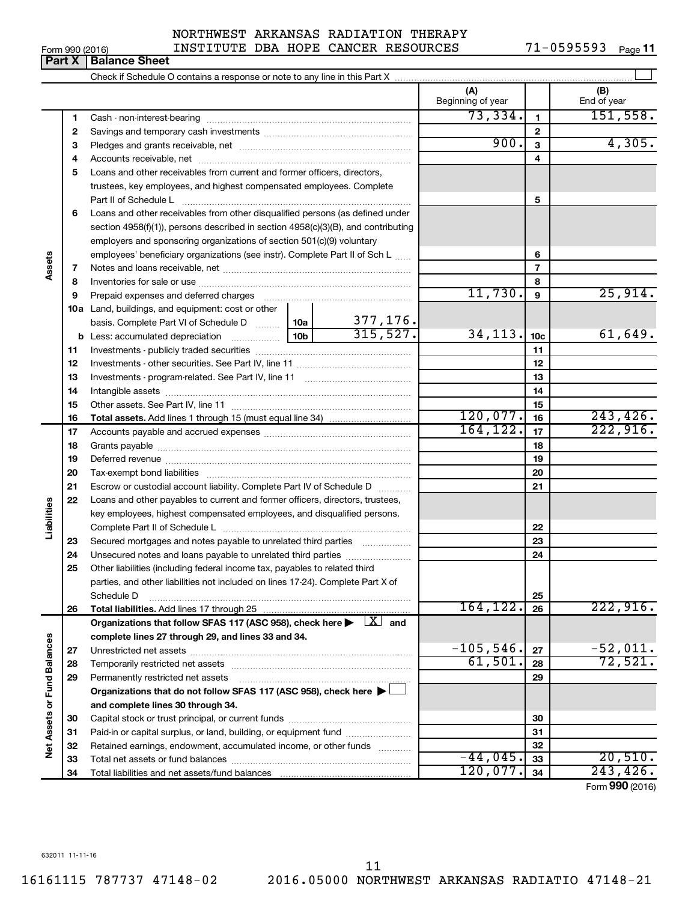#### 632011 11-11-16

16161115 787737 47148-02 2016.05000 NORTHWEST ARKANSAS RADIATIO 47148-21 11

#### Form 990 (2016) INSTITUTE DBA HOPE CANCER RESOURCES 71-0595593 Page NORTHWEST ARKANSAS RADIATION THERAPY

71-0595593 Page 11

|                             | $\mathbf{u}$ | טטופט טווטט                                                                                                                                                                                                                   |                           |                          |                |                    |
|-----------------------------|--------------|-------------------------------------------------------------------------------------------------------------------------------------------------------------------------------------------------------------------------------|---------------------------|--------------------------|----------------|--------------------|
|                             |              |                                                                                                                                                                                                                               |                           |                          |                |                    |
|                             |              |                                                                                                                                                                                                                               |                           | (A)<br>Beginning of year |                | (B)<br>End of year |
|                             | 1.           |                                                                                                                                                                                                                               |                           | 73,334.                  | 1              | 151,558.           |
|                             | 2            |                                                                                                                                                                                                                               |                           |                          | $\mathbf{2}$   |                    |
|                             | з            |                                                                                                                                                                                                                               | 900.                      | 3                        | 4,305.         |                    |
|                             | 4            |                                                                                                                                                                                                                               |                           |                          | 4              |                    |
|                             | 5            | Loans and other receivables from current and former officers, directors,                                                                                                                                                      |                           |                          |                |                    |
|                             |              | trustees, key employees, and highest compensated employees. Complete                                                                                                                                                          |                           |                          |                |                    |
|                             |              | Part II of Schedule L                                                                                                                                                                                                         |                           |                          | 5              |                    |
|                             | 6            | Loans and other receivables from other disqualified persons (as defined under                                                                                                                                                 |                           |                          |                |                    |
|                             |              | section 4958(f)(1)), persons described in section 4958(c)(3)(B), and contributing                                                                                                                                             |                           |                          |                |                    |
|                             |              | employers and sponsoring organizations of section 501(c)(9) voluntary                                                                                                                                                         |                           |                          |                |                    |
|                             |              | employees' beneficiary organizations (see instr). Complete Part II of Sch L                                                                                                                                                   |                           | 6                        |                |                    |
| Assets                      | 7            |                                                                                                                                                                                                                               |                           |                          | $\overline{7}$ |                    |
|                             | 8            |                                                                                                                                                                                                                               |                           |                          | 8              |                    |
|                             | 9            | Prepaid expenses and deferred charges [11] [11] Prepaid expenses and deferred charges [11] [11] Martin Marian Marian Marian Marian Marian Marian Marian Marian Marian Marian Marian Marian Marian Marian Marian Marian Marian |                           | 11,730.                  | 9              | 25,914.            |
|                             |              | <b>10a</b> Land, buildings, and equipment: cost or other                                                                                                                                                                      |                           |                          |                |                    |
|                             |              | basis. Complete Part VI of Schedule D  10a                                                                                                                                                                                    | $\frac{377,176}{315,527}$ |                          |                |                    |
|                             |              |                                                                                                                                                                                                                               | 34, 113.                  | 10 <sub>c</sub>          | 61,649.        |                    |
|                             | 11           |                                                                                                                                                                                                                               |                           |                          | 11             |                    |
|                             | 12           |                                                                                                                                                                                                                               |                           |                          | 12             |                    |
|                             | 13           |                                                                                                                                                                                                                               |                           |                          | 13             |                    |
|                             | 14           |                                                                                                                                                                                                                               |                           | 14                       |                |                    |
|                             | 15           |                                                                                                                                                                                                                               |                           | 120,077.                 | 15             | 243, 426.          |
|                             | 16           |                                                                                                                                                                                                                               |                           | 164, 122.                | 16             | 222,916.           |
|                             | 17           |                                                                                                                                                                                                                               |                           | 17                       |                |                    |
|                             | 18<br>19     |                                                                                                                                                                                                                               |                           | 18<br>19                 |                |                    |
|                             | 20           |                                                                                                                                                                                                                               |                           |                          | 20             |                    |
|                             | 21           |                                                                                                                                                                                                                               |                           |                          | 21             |                    |
|                             | 22           | Escrow or custodial account liability. Complete Part IV of Schedule D<br>Loans and other payables to current and former officers, directors, trustees,                                                                        |                           |                          |                |                    |
| Liabilities                 |              | key employees, highest compensated employees, and disqualified persons.                                                                                                                                                       |                           |                          |                |                    |
|                             |              |                                                                                                                                                                                                                               |                           |                          | 22             |                    |
|                             | 23           | Secured mortgages and notes payable to unrelated third parties                                                                                                                                                                |                           |                          | 23             |                    |
|                             | 24           | Unsecured notes and loans payable to unrelated third parties                                                                                                                                                                  |                           |                          | 24             |                    |
|                             | 25           | Other liabilities (including federal income tax, payables to related third                                                                                                                                                    |                           |                          |                |                    |
|                             |              | parties, and other liabilities not included on lines 17-24). Complete Part X of                                                                                                                                               |                           |                          |                |                    |
|                             |              | Schedule D                                                                                                                                                                                                                    |                           |                          | 25             |                    |
|                             | 26           |                                                                                                                                                                                                                               |                           | 164, 122.                | 26             | 222,916.           |
|                             |              | Organizations that follow SFAS 117 (ASC 958), check here $\blacktriangleright \begin{array}{c} \boxed{X} \\ \end{array}$ and                                                                                                  |                           |                          |                |                    |
|                             |              | complete lines 27 through 29, and lines 33 and 34.                                                                                                                                                                            |                           |                          |                |                    |
|                             | 27           |                                                                                                                                                                                                                               |                           | $-105,546.$              | 27             | $-52,011.$         |
|                             | 28           |                                                                                                                                                                                                                               |                           | 61,501.                  | 28             | 72,521.            |
|                             | 29           | Permanently restricted net assets                                                                                                                                                                                             |                           |                          | 29             |                    |
|                             |              | Organizations that do not follow SFAS 117 (ASC 958), check here $\blacktriangleright\Box$                                                                                                                                     |                           |                          |                |                    |
|                             |              | and complete lines 30 through 34.                                                                                                                                                                                             |                           |                          |                |                    |
| Net Assets or Fund Balances | 30           |                                                                                                                                                                                                                               |                           |                          | 30             |                    |
|                             | 31           | Paid-in or capital surplus, or land, building, or equipment fund                                                                                                                                                              |                           |                          | 31             |                    |
|                             | 32           | Retained earnings, endowment, accumulated income, or other funds                                                                                                                                                              |                           |                          | 32             |                    |
|                             | 33           |                                                                                                                                                                                                                               |                           | $-44,045$ .              | 33             | 20,510.            |
|                             | 34           |                                                                                                                                                                                                                               |                           | 120,077.                 | 34             | 243, 426.          |
|                             |              |                                                                                                                                                                                                                               |                           |                          |                | Form 990 (2016)    |

**Part X Balance Sheet**<br>**Part X Balance Sheet**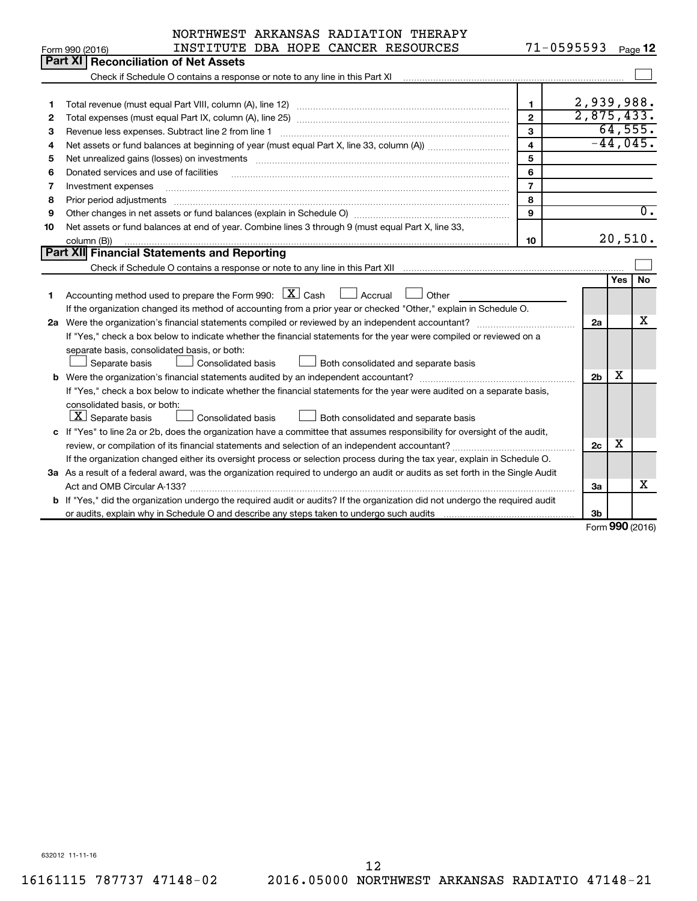|    | NORTHWEST ARKANSAS RADIATION THERAPY                                                                                                                              |                |                |               |                  |
|----|-------------------------------------------------------------------------------------------------------------------------------------------------------------------|----------------|----------------|---------------|------------------|
|    | INSTITUTE DBA HOPE CANCER RESOURCES<br>Form 990 (2016)                                                                                                            |                | $71 - 0595593$ |               | Page 12          |
|    | Part XI<br><b>Reconciliation of Net Assets</b>                                                                                                                    |                |                |               |                  |
|    | Check if Schedule O contains a response or note to any line in this Part XI [11] [12] Check if Schedule O contains a response or note to any line in this Part XI |                |                |               |                  |
|    |                                                                                                                                                                   |                |                |               |                  |
| 1  |                                                                                                                                                                   | 1              | 2,939,988.     |               |                  |
| 2  |                                                                                                                                                                   | $\overline{2}$ | 2,875,433.     |               |                  |
| З  | Revenue less expenses. Subtract line 2 from line 1                                                                                                                | 3              |                |               | 64,555.          |
| 4  |                                                                                                                                                                   | 4              |                |               | $-44,045.$       |
| 5  |                                                                                                                                                                   | 5              |                |               |                  |
| 6  | Donated services and use of facilities                                                                                                                            | 6              |                |               |                  |
| 7  | Investment expenses                                                                                                                                               | $\overline{7}$ |                |               |                  |
| 8  | Prior period adjustments                                                                                                                                          | 8              |                |               |                  |
| 9  |                                                                                                                                                                   | 9              |                |               | $\overline{0}$ . |
| 10 | Net assets or fund balances at end of year. Combine lines 3 through 9 (must equal Part X, line 33,                                                                |                |                |               |                  |
|    | column (B))                                                                                                                                                       | 10             |                |               | 20,510.          |
|    | Part XII Financial Statements and Reporting                                                                                                                       |                |                |               |                  |
|    |                                                                                                                                                                   |                |                |               |                  |
|    |                                                                                                                                                                   |                |                | Yes           | No               |
| 1  | Accounting method used to prepare the Form 990: $X \subset X$ Cash<br>$\Box$ Accrual<br>Other                                                                     |                |                |               |                  |
|    | If the organization changed its method of accounting from a prior year or checked "Other," explain in Schedule O.                                                 |                |                |               |                  |
|    | 2a Were the organization's financial statements compiled or reviewed by an independent accountant?                                                                |                | 2a             |               | х                |
|    | If "Yes," check a box below to indicate whether the financial statements for the year were compiled or reviewed on a                                              |                |                |               |                  |
|    | separate basis, consolidated basis, or both:                                                                                                                      |                |                |               |                  |
|    | <b>Consolidated basis</b><br>Both consolidated and separate basis<br>Separate basis                                                                               |                |                |               |                  |
|    | <b>b</b> Were the organization's financial statements audited by an independent accountant?                                                                       |                | 2 <sub>b</sub> | х             |                  |
|    | If "Yes," check a box below to indicate whether the financial statements for the year were audited on a separate basis,                                           |                |                |               |                  |
|    | consolidated basis, or both:                                                                                                                                      |                |                |               |                  |
|    | $ \mathbf{X} $ Separate basis<br>Consolidated basis<br>Both consolidated and separate basis                                                                       |                |                |               |                  |
|    | c If "Yes" to line 2a or 2b, does the organization have a committee that assumes responsibility for oversight of the audit,                                       |                |                |               |                  |
|    | review, or compilation of its financial statements and selection of an independent accountant?                                                                    |                | 2c             | x             |                  |
|    | If the organization changed either its oversight process or selection process during the tax year, explain in Schedule O.                                         |                |                |               |                  |
|    | 3a As a result of a federal award, was the organization required to undergo an audit or audits as set forth in the Single Audit                                   |                |                |               |                  |
|    |                                                                                                                                                                   |                | За             |               | x                |
|    | b If "Yes," did the organization undergo the required audit or audits? If the organization did not undergo the required audit                                     |                |                |               |                  |
|    |                                                                                                                                                                   |                | 3 <sub>b</sub> | $000 \approx$ |                  |

Form (2016) **990**

632012 11-11-16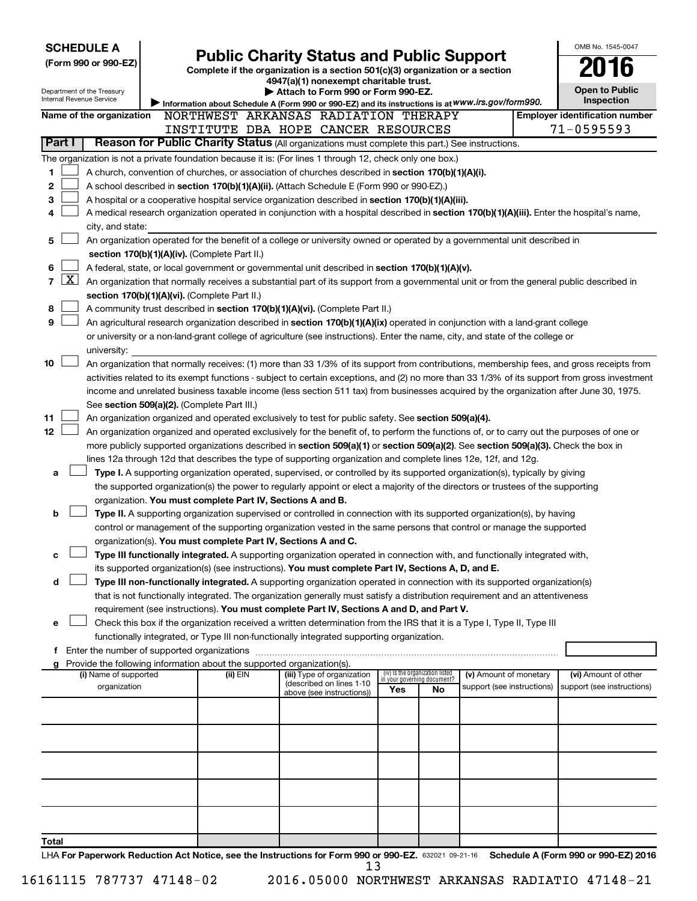| <b>SCHEDULE A</b><br><b>Public Charity Status and Public Support</b>                                      |                                                                                                                                                                                                                                                      |                                                        |                                                                               |                                                                |                                                      |  | OMB No. 1545-0047                                  |  |  |
|-----------------------------------------------------------------------------------------------------------|------------------------------------------------------------------------------------------------------------------------------------------------------------------------------------------------------------------------------------------------------|--------------------------------------------------------|-------------------------------------------------------------------------------|----------------------------------------------------------------|------------------------------------------------------|--|----------------------------------------------------|--|--|
| (Form 990 or 990-EZ)                                                                                      |                                                                                                                                                                                                                                                      |                                                        | Complete if the organization is a section 501(c)(3) organization or a section |                                                                |                                                      |  |                                                    |  |  |
|                                                                                                           |                                                                                                                                                                                                                                                      | 4947(a)(1) nonexempt charitable trust.                 |                                                                               |                                                                |                                                      |  |                                                    |  |  |
| Department of the Treasury<br>Internal Revenue Service                                                    | Information about Schedule A (Form 990 or 990-EZ) and its instructions is at WWW.irs.gov/form990.                                                                                                                                                    | Attach to Form 990 or Form 990-EZ.                     |                                                                               |                                                                |                                                      |  | <b>Open to Public</b><br>Inspection                |  |  |
| Name of the organization                                                                                  | NORTHWEST ARKANSAS RADIATION THERAPY                                                                                                                                                                                                                 |                                                        |                                                                               |                                                                |                                                      |  | <b>Employer identification number</b>              |  |  |
|                                                                                                           | 71-0595593<br>INSTITUTE DBA HOPE CANCER RESOURCES                                                                                                                                                                                                    |                                                        |                                                                               |                                                                |                                                      |  |                                                    |  |  |
| Reason for Public Charity Status (All organizations must complete this part.) See instructions.<br>Part I |                                                                                                                                                                                                                                                      |                                                        |                                                                               |                                                                |                                                      |  |                                                    |  |  |
| The organization is not a private foundation because it is: (For lines 1 through 12, check only one box.) |                                                                                                                                                                                                                                                      |                                                        |                                                                               |                                                                |                                                      |  |                                                    |  |  |
| 1                                                                                                         | A church, convention of churches, or association of churches described in section 170(b)(1)(A)(i).                                                                                                                                                   |                                                        |                                                                               |                                                                |                                                      |  |                                                    |  |  |
| 2                                                                                                         | A school described in section 170(b)(1)(A)(ii). (Attach Schedule E (Form 990 or 990-EZ).)                                                                                                                                                            |                                                        |                                                                               |                                                                |                                                      |  |                                                    |  |  |
| 4                                                                                                         | 3<br>A hospital or a cooperative hospital service organization described in section 170(b)(1)(A)(iii).<br>A medical research organization operated in conjunction with a hospital described in section 170(b)(1)(A)(iii). Enter the hospital's name, |                                                        |                                                                               |                                                                |                                                      |  |                                                    |  |  |
| city, and state:                                                                                          |                                                                                                                                                                                                                                                      |                                                        |                                                                               |                                                                |                                                      |  |                                                    |  |  |
| 5                                                                                                         | An organization operated for the benefit of a college or university owned or operated by a governmental unit described in                                                                                                                            |                                                        |                                                                               |                                                                |                                                      |  |                                                    |  |  |
|                                                                                                           | section 170(b)(1)(A)(iv). (Complete Part II.)                                                                                                                                                                                                        |                                                        |                                                                               |                                                                |                                                      |  |                                                    |  |  |
| 6                                                                                                         | A federal, state, or local government or governmental unit described in section $170(b)(1)(A)(v)$ .                                                                                                                                                  |                                                        |                                                                               |                                                                |                                                      |  |                                                    |  |  |
| $\boxed{\text{X}}$<br>$\overline{7}$                                                                      | An organization that normally receives a substantial part of its support from a governmental unit or from the general public described in                                                                                                            |                                                        |                                                                               |                                                                |                                                      |  |                                                    |  |  |
| 8                                                                                                         | section 170(b)(1)(A)(vi). (Complete Part II.)<br>A community trust described in section 170(b)(1)(A)(vi). (Complete Part II.)                                                                                                                        |                                                        |                                                                               |                                                                |                                                      |  |                                                    |  |  |
| 9                                                                                                         | An agricultural research organization described in section 170(b)(1)(A)(ix) operated in conjunction with a land-grant college                                                                                                                        |                                                        |                                                                               |                                                                |                                                      |  |                                                    |  |  |
|                                                                                                           | or university or a non-land-grant college of agriculture (see instructions). Enter the name, city, and state of the college or                                                                                                                       |                                                        |                                                                               |                                                                |                                                      |  |                                                    |  |  |
| university:                                                                                               |                                                                                                                                                                                                                                                      |                                                        |                                                                               |                                                                |                                                      |  |                                                    |  |  |
| 10                                                                                                        | An organization that normally receives: (1) more than 33 1/3% of its support from contributions, membership fees, and gross receipts from                                                                                                            |                                                        |                                                                               |                                                                |                                                      |  |                                                    |  |  |
|                                                                                                           | activities related to its exempt functions - subject to certain exceptions, and (2) no more than 33 1/3% of its support from gross investment                                                                                                        |                                                        |                                                                               |                                                                |                                                      |  |                                                    |  |  |
|                                                                                                           | income and unrelated business taxable income (less section 511 tax) from businesses acquired by the organization after June 30, 1975.                                                                                                                |                                                        |                                                                               |                                                                |                                                      |  |                                                    |  |  |
| See section 509(a)(2). (Complete Part III.)<br>11                                                         | An organization organized and operated exclusively to test for public safety. See section 509(a)(4).                                                                                                                                                 |                                                        |                                                                               |                                                                |                                                      |  |                                                    |  |  |
| 12                                                                                                        | An organization organized and operated exclusively for the benefit of, to perform the functions of, or to carry out the purposes of one or                                                                                                           |                                                        |                                                                               |                                                                |                                                      |  |                                                    |  |  |
|                                                                                                           | more publicly supported organizations described in section 509(a)(1) or section 509(a)(2). See section 509(a)(3). Check the box in                                                                                                                   |                                                        |                                                                               |                                                                |                                                      |  |                                                    |  |  |
|                                                                                                           | lines 12a through 12d that describes the type of supporting organization and complete lines 12e, 12f, and 12g.                                                                                                                                       |                                                        |                                                                               |                                                                |                                                      |  |                                                    |  |  |
| a                                                                                                         | Type I. A supporting organization operated, supervised, or controlled by its supported organization(s), typically by giving                                                                                                                          |                                                        |                                                                               |                                                                |                                                      |  |                                                    |  |  |
|                                                                                                           | the supported organization(s) the power to regularly appoint or elect a majority of the directors or trustees of the supporting                                                                                                                      |                                                        |                                                                               |                                                                |                                                      |  |                                                    |  |  |
| b                                                                                                         | organization. You must complete Part IV, Sections A and B.<br>Type II. A supporting organization supervised or controlled in connection with its supported organization(s), by having                                                                |                                                        |                                                                               |                                                                |                                                      |  |                                                    |  |  |
|                                                                                                           | control or management of the supporting organization vested in the same persons that control or manage the supported                                                                                                                                 |                                                        |                                                                               |                                                                |                                                      |  |                                                    |  |  |
|                                                                                                           | organization(s). You must complete Part IV, Sections A and C.                                                                                                                                                                                        |                                                        |                                                                               |                                                                |                                                      |  |                                                    |  |  |
| с                                                                                                         | Type III functionally integrated. A supporting organization operated in connection with, and functionally integrated with,                                                                                                                           |                                                        |                                                                               |                                                                |                                                      |  |                                                    |  |  |
|                                                                                                           | its supported organization(s) (see instructions). You must complete Part IV, Sections A, D, and E.                                                                                                                                                   |                                                        |                                                                               |                                                                |                                                      |  |                                                    |  |  |
| d                                                                                                         | Type III non-functionally integrated. A supporting organization operated in connection with its supported organization(s)                                                                                                                            |                                                        |                                                                               |                                                                |                                                      |  |                                                    |  |  |
|                                                                                                           | that is not functionally integrated. The organization generally must satisfy a distribution requirement and an attentiveness                                                                                                                         |                                                        |                                                                               |                                                                |                                                      |  |                                                    |  |  |
| е                                                                                                         | requirement (see instructions). You must complete Part IV, Sections A and D, and Part V.<br>Check this box if the organization received a written determination from the IRS that it is a Type I, Type II, Type III                                  |                                                        |                                                                               |                                                                |                                                      |  |                                                    |  |  |
|                                                                                                           | functionally integrated, or Type III non-functionally integrated supporting organization.                                                                                                                                                            |                                                        |                                                                               |                                                                |                                                      |  |                                                    |  |  |
| Enter the number of supported organizations<br>f.                                                         |                                                                                                                                                                                                                                                      |                                                        |                                                                               |                                                                |                                                      |  |                                                    |  |  |
| Provide the following information about the supported organization(s).<br>g                               |                                                                                                                                                                                                                                                      |                                                        |                                                                               |                                                                |                                                      |  |                                                    |  |  |
| (i) Name of supported<br>organization                                                                     | (ii) EIN                                                                                                                                                                                                                                             | (iii) Type of organization<br>(described on lines 1-10 |                                                                               | (iv) Is the organization listed<br>in your governing document? | (v) Amount of monetary<br>support (see instructions) |  | (vi) Amount of other<br>support (see instructions) |  |  |
|                                                                                                           |                                                                                                                                                                                                                                                      | above (see instructions))                              | Yes                                                                           | No                                                             |                                                      |  |                                                    |  |  |
|                                                                                                           |                                                                                                                                                                                                                                                      |                                                        |                                                                               |                                                                |                                                      |  |                                                    |  |  |
|                                                                                                           |                                                                                                                                                                                                                                                      |                                                        |                                                                               |                                                                |                                                      |  |                                                    |  |  |
|                                                                                                           |                                                                                                                                                                                                                                                      |                                                        |                                                                               |                                                                |                                                      |  |                                                    |  |  |
|                                                                                                           |                                                                                                                                                                                                                                                      |                                                        |                                                                               |                                                                |                                                      |  |                                                    |  |  |
|                                                                                                           |                                                                                                                                                                                                                                                      |                                                        |                                                                               |                                                                |                                                      |  |                                                    |  |  |
|                                                                                                           |                                                                                                                                                                                                                                                      |                                                        |                                                                               |                                                                |                                                      |  |                                                    |  |  |
|                                                                                                           |                                                                                                                                                                                                                                                      |                                                        |                                                                               |                                                                |                                                      |  |                                                    |  |  |
|                                                                                                           |                                                                                                                                                                                                                                                      |                                                        |                                                                               |                                                                |                                                      |  |                                                    |  |  |
| Total                                                                                                     |                                                                                                                                                                                                                                                      |                                                        |                                                                               |                                                                |                                                      |  |                                                    |  |  |
|                                                                                                           |                                                                                                                                                                                                                                                      |                                                        |                                                                               |                                                                |                                                      |  |                                                    |  |  |

LHA For Paperwork Reduction Act Notice, see the Instructions for Form 990 or 990-EZ. 632021 09-21-16 Schedule A (Form 990 or 990-EZ) 2016 13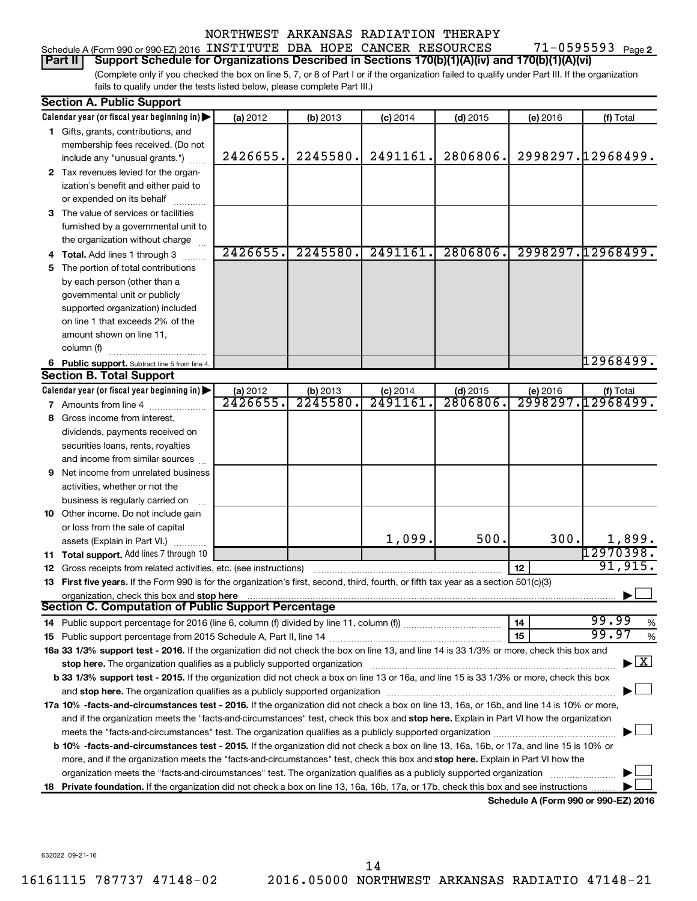#### 71-0595593 Page 2 Schedule A (Form 990 or 990-EZ) 2016 INSTITUTE DBA HOPE CANCER RESOURCES 71-0595593 Page

#### **Part II Support Schedule for Organizations Described in Sections 170(b)(1)(A)(iv) and 170(b)(1)(A)(vi)**

(Complete only if you checked the box on line 5, 7, or 8 of Part I or if the organization failed to qualify under Part III. If the organization fails to qualify under the tests listed below, please complete Part III.)

|    | <b>Section A. Public Support</b>                                                                                                                                                                                                                                                                                                                                             |          |          |            |            |                                      |                   |
|----|------------------------------------------------------------------------------------------------------------------------------------------------------------------------------------------------------------------------------------------------------------------------------------------------------------------------------------------------------------------------------|----------|----------|------------|------------|--------------------------------------|-------------------|
|    | Calendar year (or fiscal year beginning in)                                                                                                                                                                                                                                                                                                                                  | (a) 2012 | (b) 2013 | $(c)$ 2014 | $(d)$ 2015 | (e) 2016                             | (f) Total         |
|    | 1 Gifts, grants, contributions, and                                                                                                                                                                                                                                                                                                                                          |          |          |            |            |                                      |                   |
|    | membership fees received. (Do not                                                                                                                                                                                                                                                                                                                                            |          |          |            |            |                                      |                   |
|    | include any "unusual grants.")                                                                                                                                                                                                                                                                                                                                               | 2426655. | 2245580. | 2491161.   | 2806806.   |                                      | 2998297.12968499. |
|    | 2 Tax revenues levied for the organ-                                                                                                                                                                                                                                                                                                                                         |          |          |            |            |                                      |                   |
|    | ization's benefit and either paid to                                                                                                                                                                                                                                                                                                                                         |          |          |            |            |                                      |                   |
|    | or expended on its behalf                                                                                                                                                                                                                                                                                                                                                    |          |          |            |            |                                      |                   |
|    | 3 The value of services or facilities                                                                                                                                                                                                                                                                                                                                        |          |          |            |            |                                      |                   |
|    | furnished by a governmental unit to                                                                                                                                                                                                                                                                                                                                          |          |          |            |            |                                      |                   |
|    | the organization without charge                                                                                                                                                                                                                                                                                                                                              |          |          |            |            |                                      |                   |
|    | 4 Total. Add lines 1 through 3                                                                                                                                                                                                                                                                                                                                               | 2426655. | 2245580. | 2491161.   | 2806806.   |                                      | 2998297.12968499. |
| 5. | The portion of total contributions                                                                                                                                                                                                                                                                                                                                           |          |          |            |            |                                      |                   |
|    | by each person (other than a                                                                                                                                                                                                                                                                                                                                                 |          |          |            |            |                                      |                   |
|    | governmental unit or publicly                                                                                                                                                                                                                                                                                                                                                |          |          |            |            |                                      |                   |
|    | supported organization) included                                                                                                                                                                                                                                                                                                                                             |          |          |            |            |                                      |                   |
|    | on line 1 that exceeds 2% of the                                                                                                                                                                                                                                                                                                                                             |          |          |            |            |                                      |                   |
|    | amount shown on line 11,                                                                                                                                                                                                                                                                                                                                                     |          |          |            |            |                                      |                   |
|    | column (f)                                                                                                                                                                                                                                                                                                                                                                   |          |          |            |            |                                      |                   |
|    | 6 Public support. Subtract line 5 from line 4.                                                                                                                                                                                                                                                                                                                               |          |          |            |            |                                      | 12968499.         |
|    | <b>Section B. Total Support</b>                                                                                                                                                                                                                                                                                                                                              |          |          |            |            |                                      |                   |
|    | Calendar year (or fiscal year beginning in)                                                                                                                                                                                                                                                                                                                                  | (a) 2012 | (b) 2013 | $(c)$ 2014 | $(d)$ 2015 | (e) 2016                             | (f) Total         |
|    | <b>7</b> Amounts from line 4                                                                                                                                                                                                                                                                                                                                                 | 2426655  | 2245580  | 2491161    | 2806806.   |                                      | 2998297.12968499. |
| 8  | Gross income from interest,                                                                                                                                                                                                                                                                                                                                                  |          |          |            |            |                                      |                   |
|    | dividends, payments received on                                                                                                                                                                                                                                                                                                                                              |          |          |            |            |                                      |                   |
|    | securities loans, rents, royalties                                                                                                                                                                                                                                                                                                                                           |          |          |            |            |                                      |                   |
|    | and income from similar sources                                                                                                                                                                                                                                                                                                                                              |          |          |            |            |                                      |                   |
|    | 9 Net income from unrelated business                                                                                                                                                                                                                                                                                                                                         |          |          |            |            |                                      |                   |
|    |                                                                                                                                                                                                                                                                                                                                                                              |          |          |            |            |                                      |                   |
|    | activities, whether or not the                                                                                                                                                                                                                                                                                                                                               |          |          |            |            |                                      |                   |
|    | business is regularly carried on                                                                                                                                                                                                                                                                                                                                             |          |          |            |            |                                      |                   |
|    | 10 Other income. Do not include gain                                                                                                                                                                                                                                                                                                                                         |          |          |            |            |                                      |                   |
|    | or loss from the sale of capital                                                                                                                                                                                                                                                                                                                                             |          |          | 1,099.     | 500.       | 300.                                 | 1,899.            |
|    | assets (Explain in Part VI.)                                                                                                                                                                                                                                                                                                                                                 |          |          |            |            |                                      | 12970398.         |
|    | 11 Total support. Add lines 7 through 10<br><b>12</b> Gross receipts from related activities, etc. (see instructions)                                                                                                                                                                                                                                                        |          |          |            |            | 12                                   | 91, 915.          |
|    | 13 First five years. If the Form 990 is for the organization's first, second, third, fourth, or fifth tax year as a section 501(c)(3)                                                                                                                                                                                                                                        |          |          |            |            |                                      |                   |
|    | organization, check this box and stop here                                                                                                                                                                                                                                                                                                                                   |          |          |            |            |                                      |                   |
|    | <b>Section C. Computation of Public Support Percentage</b>                                                                                                                                                                                                                                                                                                                   |          |          |            |            |                                      |                   |
|    |                                                                                                                                                                                                                                                                                                                                                                              |          |          |            |            | 14                                   | 99.99<br>%        |
|    |                                                                                                                                                                                                                                                                                                                                                                              |          |          |            |            | 15                                   | 99.97<br>$\%$     |
|    | 16a 33 1/3% support test - 2016. If the organization did not check the box on line 13, and line 14 is 33 1/3% or more, check this box and                                                                                                                                                                                                                                    |          |          |            |            |                                      |                   |
|    |                                                                                                                                                                                                                                                                                                                                                                              |          |          |            |            |                                      | $\mathbf{X}$      |
|    | b 33 1/3% support test - 2015. If the organization did not check a box on line 13 or 16a, and line 15 is 33 1/3% or more, check this box                                                                                                                                                                                                                                     |          |          |            |            |                                      |                   |
|    |                                                                                                                                                                                                                                                                                                                                                                              |          |          |            |            |                                      |                   |
|    | and stop here. The organization qualifies as a publicly supported organization [11,111] and stop here. The organization [11] and stop here. The organization [11] and stop here. The organization [11] and stop here is a publ<br>17a 10% -facts-and-circumstances test - 2016. If the organization did not check a box on line 13, 16a, or 16b, and line 14 is 10% or more, |          |          |            |            |                                      |                   |
|    | and if the organization meets the "facts-and-circumstances" test, check this box and stop here. Explain in Part VI how the organization                                                                                                                                                                                                                                      |          |          |            |            |                                      |                   |
|    |                                                                                                                                                                                                                                                                                                                                                                              |          |          |            |            |                                      |                   |
|    |                                                                                                                                                                                                                                                                                                                                                                              |          |          |            |            |                                      |                   |
|    | b 10% -facts-and-circumstances test - 2015. If the organization did not check a box on line 13, 16a, 16b, or 17a, and line 15 is 10% or                                                                                                                                                                                                                                      |          |          |            |            |                                      |                   |
|    | more, and if the organization meets the "facts-and-circumstances" test, check this box and stop here. Explain in Part VI how the                                                                                                                                                                                                                                             |          |          |            |            |                                      |                   |
|    | organization meets the "facts-and-circumstances" test. The organization qualifies as a publicly supported organization                                                                                                                                                                                                                                                       |          |          |            |            |                                      |                   |
|    | 18 Private foundation. If the organization did not check a box on line 13, 16a, 16b, 17a, or 17b, check this box and see instructions                                                                                                                                                                                                                                        |          |          |            |            | Schedule A (Form 990 or 990-F7) 2016 |                   |

**Schedule A (Form 990 or 990-EZ) 2016**

632022 09-21-16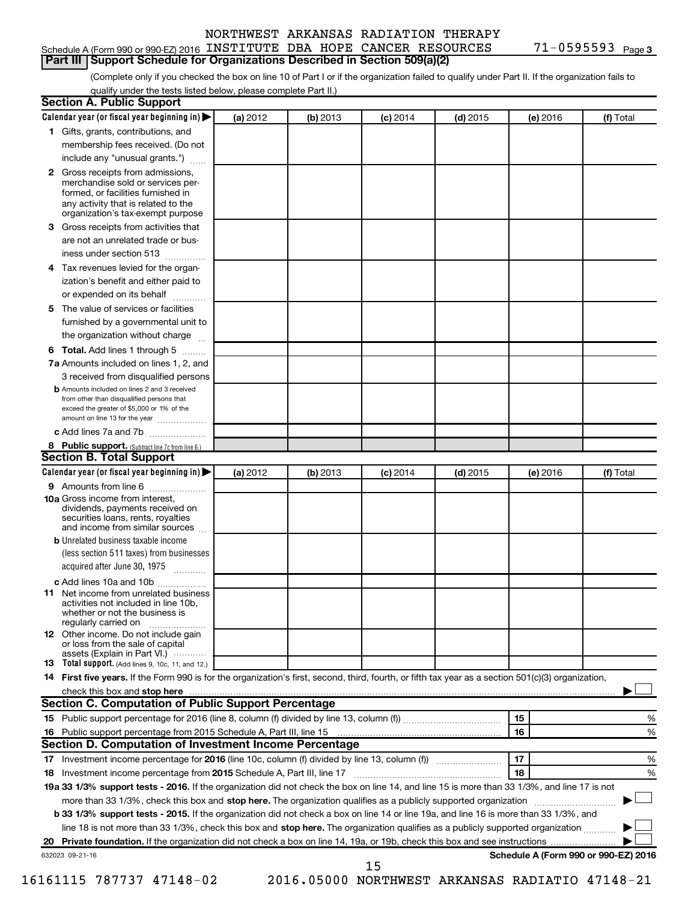#### Schedule A (Form 990 or 990-EZ) 2016 INSTITUTE DBA HOPE CANCER RESOURCES 71-0595593 Page

71-0595593 Page 3

(Complete only if you checked the box on line 10 of Part I or if the organization failed to qualify under Part II. If the organization fails to **Part III Support Schedule for Organizations Described in Section 509(a)(2)** 

qualify under the tests listed below, please complete Part II.)

| <b>Section A. Public Support</b>                                                                                                                                                         |          |          |            |            |          |                                      |
|------------------------------------------------------------------------------------------------------------------------------------------------------------------------------------------|----------|----------|------------|------------|----------|--------------------------------------|
| Calendar year (or fiscal year beginning in)                                                                                                                                              | (a) 2012 | (b) 2013 | $(c)$ 2014 | $(d)$ 2015 | (e) 2016 | (f) Total                            |
| 1 Gifts, grants, contributions, and                                                                                                                                                      |          |          |            |            |          |                                      |
| membership fees received. (Do not                                                                                                                                                        |          |          |            |            |          |                                      |
| include any "unusual grants.")                                                                                                                                                           |          |          |            |            |          |                                      |
| 2 Gross receipts from admissions,<br>merchandise sold or services per-<br>formed, or facilities furnished in<br>any activity that is related to the<br>organization's tax-exempt purpose |          |          |            |            |          |                                      |
| 3 Gross receipts from activities that                                                                                                                                                    |          |          |            |            |          |                                      |
| are not an unrelated trade or bus-                                                                                                                                                       |          |          |            |            |          |                                      |
| iness under section 513                                                                                                                                                                  |          |          |            |            |          |                                      |
| 4 Tax revenues levied for the organ-                                                                                                                                                     |          |          |            |            |          |                                      |
| ization's benefit and either paid to                                                                                                                                                     |          |          |            |            |          |                                      |
| or expended on its behalf                                                                                                                                                                |          |          |            |            |          |                                      |
| 5 The value of services or facilities                                                                                                                                                    |          |          |            |            |          |                                      |
| furnished by a governmental unit to                                                                                                                                                      |          |          |            |            |          |                                      |
| the organization without charge                                                                                                                                                          |          |          |            |            |          |                                      |
| 6 Total. Add lines 1 through 5                                                                                                                                                           |          |          |            |            |          |                                      |
| 7a Amounts included on lines 1, 2, and                                                                                                                                                   |          |          |            |            |          |                                      |
| 3 received from disqualified persons                                                                                                                                                     |          |          |            |            |          |                                      |
| <b>b</b> Amounts included on lines 2 and 3 received<br>from other than disqualified persons that<br>exceed the greater of \$5,000 or 1% of the<br>amount on line 13 for the year         |          |          |            |            |          |                                      |
| c Add lines 7a and 7b                                                                                                                                                                    |          |          |            |            |          |                                      |
| 8 Public support. (Subtract line 7c from line 6.)                                                                                                                                        |          |          |            |            |          |                                      |
| <b>Section B. Total Support</b>                                                                                                                                                          |          |          |            |            |          |                                      |
| Calendar year (or fiscal year beginning in)                                                                                                                                              | (a) 2012 | (b) 2013 | $(c)$ 2014 | $(d)$ 2015 | (e) 2016 | (f) Total                            |
| 9 Amounts from line 6                                                                                                                                                                    |          |          |            |            |          |                                      |
| <b>10a</b> Gross income from interest,<br>dividends, payments received on<br>securities loans, rents, royalties<br>and income from similar sources                                       |          |          |            |            |          |                                      |
| <b>b</b> Unrelated business taxable income                                                                                                                                               |          |          |            |            |          |                                      |
| (less section 511 taxes) from businesses<br>acquired after June 30, 1975                                                                                                                 |          |          |            |            |          |                                      |
| c Add lines 10a and 10b                                                                                                                                                                  |          |          |            |            |          |                                      |
| <b>11</b> Net income from unrelated business<br>activities not included in line 10b,<br>whether or not the business is<br>regularly carried on                                           |          |          |            |            |          |                                      |
| <b>12</b> Other income. Do not include gain<br>or loss from the sale of capital<br>assets (Explain in Part VI.)                                                                          |          |          |            |            |          |                                      |
| <b>13</b> Total support. (Add lines 9, 10c, 11, and 12.)                                                                                                                                 |          |          |            |            |          |                                      |
| 14 First five years. If the Form 990 is for the organization's first, second, third, fourth, or fifth tax year as a section 501(c)(3) organization,                                      |          |          |            |            |          |                                      |
| check this box and stop here <i>macuum macuum macuum macuum macuum macuum macuum macuum macuum macuum</i>                                                                                |          |          |            |            |          |                                      |
| Section C. Computation of Public Support Percentage                                                                                                                                      |          |          |            |            |          |                                      |
|                                                                                                                                                                                          |          |          |            |            | 15       | ℅                                    |
|                                                                                                                                                                                          |          |          |            |            | 16       | %                                    |
| Section D. Computation of Investment Income Percentage                                                                                                                                   |          |          |            |            |          |                                      |
|                                                                                                                                                                                          |          |          |            |            | 17       | %                                    |
| 18 Investment income percentage from 2015 Schedule A, Part III, line 17                                                                                                                  |          |          |            |            | 18       | %                                    |
| 19a 33 1/3% support tests - 2016. If the organization did not check the box on line 14, and line 15 is more than 33 1/3%, and line 17 is not                                             |          |          |            |            |          |                                      |
| more than 33 1/3%, check this box and stop here. The organization qualifies as a publicly supported organization                                                                         |          |          |            |            |          |                                      |
| b 33 1/3% support tests - 2015. If the organization did not check a box on line 14 or line 19a, and line 16 is more than 33 1/3%, and                                                    |          |          |            |            |          |                                      |
| line 18 is not more than 33 1/3%, check this box and stop here. The organization qualifies as a publicly supported organization                                                          |          |          |            |            |          |                                      |
|                                                                                                                                                                                          |          |          |            |            |          |                                      |
| 632023 09-21-16                                                                                                                                                                          |          |          | 15         |            |          | Schedule A (Form 990 or 990-EZ) 2016 |

16161115 787737 47148-02 2016.05000 NORTHWEST ARKANSAS RADIATIO 47148-21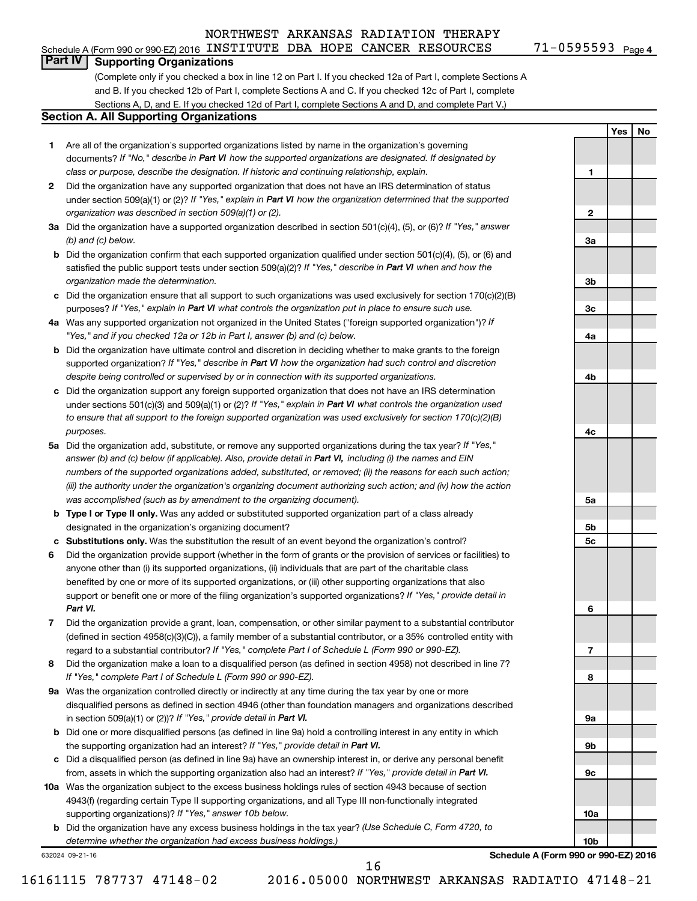#### Schedule A (Form 990 or 990-EZ) 2016 INSTITUTE DBA HOPE CANCER RESOURCES 71-0595593 Page

**1**

**2**

**3a**

**3b**

**3c**

**4a**

**4b**

**4c**

**5a**

**5b 5c**

**6**

**7**

**8**

**9a**

**9b**

**9c**

**10a**

**10b**

**Yes No**

#### **Part IV Supporting Organizations**

(Complete only if you checked a box in line 12 on Part I. If you checked 12a of Part I, complete Sections A and B. If you checked 12b of Part I, complete Sections A and C. If you checked 12c of Part I, complete Sections A, D, and E. If you checked 12d of Part I, complete Sections A and D, and complete Part V.)

#### **Section A. All Supporting Organizations**

- **1** Are all of the organization's supported organizations listed by name in the organization's governing documents? If "No," describe in Part VI how the supported organizations are designated. If designated by *class or purpose, describe the designation. If historic and continuing relationship, explain.*
- **2** Did the organization have any supported organization that does not have an IRS determination of status under section 509(a)(1) or (2)? If "Yes," explain in Part VI how the organization determined that the supported *organization was described in section 509(a)(1) or (2).*
- **3a** Did the organization have a supported organization described in section 501(c)(4), (5), or (6)? If "Yes," answer *(b) and (c) below.*
- **b** Did the organization confirm that each supported organization qualified under section 501(c)(4), (5), or (6) and satisfied the public support tests under section 509(a)(2)? If "Yes," describe in Part VI when and how the *organization made the determination.*
- **c** Did the organization ensure that all support to such organizations was used exclusively for section 170(c)(2)(B) purposes? If "Yes," explain in Part VI what controls the organization put in place to ensure such use.
- **4 a** *If* Was any supported organization not organized in the United States ("foreign supported organization")? *"Yes," and if you checked 12a or 12b in Part I, answer (b) and (c) below.*
- **b** Did the organization have ultimate control and discretion in deciding whether to make grants to the foreign supported organization? If "Yes," describe in Part VI how the organization had such control and discretion *despite being controlled or supervised by or in connection with its supported organizations.*
- **c** Did the organization support any foreign supported organization that does not have an IRS determination under sections 501(c)(3) and 509(a)(1) or (2)? If "Yes," explain in Part VI what controls the organization used *to ensure that all support to the foreign supported organization was used exclusively for section 170(c)(2)(B) purposes.*
- **5a** Did the organization add, substitute, or remove any supported organizations during the tax year? If "Yes," answer (b) and (c) below (if applicable). Also, provide detail in Part VI, including (i) the names and EIN *numbers of the supported organizations added, substituted, or removed; (ii) the reasons for each such action; (iii) the authority under the organization's organizing document authorizing such action; and (iv) how the action was accomplished (such as by amendment to the organizing document).*
- **b** Type I or Type II only. Was any added or substituted supported organization part of a class already designated in the organization's organizing document?
- **c Substitutions only.**  Was the substitution the result of an event beyond the organization's control?
- **6** Did the organization provide support (whether in the form of grants or the provision of services or facilities) to support or benefit one or more of the filing organization's supported organizations? If "Yes," provide detail in anyone other than (i) its supported organizations, (ii) individuals that are part of the charitable class benefited by one or more of its supported organizations, or (iii) other supporting organizations that also *Part VI.*
- **7** Did the organization provide a grant, loan, compensation, or other similar payment to a substantial contributor regard to a substantial contributor? If "Yes," complete Part I of Schedule L (Form 990 or 990-EZ). (defined in section 4958(c)(3)(C)), a family member of a substantial contributor, or a 35% controlled entity with
- **8** Did the organization make a loan to a disqualified person (as defined in section 4958) not described in line 7? *If "Yes," complete Part I of Schedule L (Form 990 or 990-EZ).*
- **9 a** Was the organization controlled directly or indirectly at any time during the tax year by one or more in section 509(a)(1) or (2))? If "Yes," provide detail in Part VI. disqualified persons as defined in section 4946 (other than foundation managers and organizations described
- **b** Did one or more disqualified persons (as defined in line 9a) hold a controlling interest in any entity in which the supporting organization had an interest? If "Yes," provide detail in Part VI.
- **c** Did a disqualified person (as defined in line 9a) have an ownership interest in, or derive any personal benefit from, assets in which the supporting organization also had an interest? If "Yes," provide detail in Part VI.
- **10 a** Was the organization subject to the excess business holdings rules of section 4943 because of section supporting organizations)? If "Yes," answer 10b below. 4943(f) (regarding certain Type II supporting organizations, and all Type III non-functionally integrated
	- **b** Did the organization have any excess business holdings in the tax year? (Use Schedule C, Form 4720, to *determine whether the organization had excess business holdings.)*

632024 09-21-16

**Schedule A (Form 990 or 990-EZ) 2016**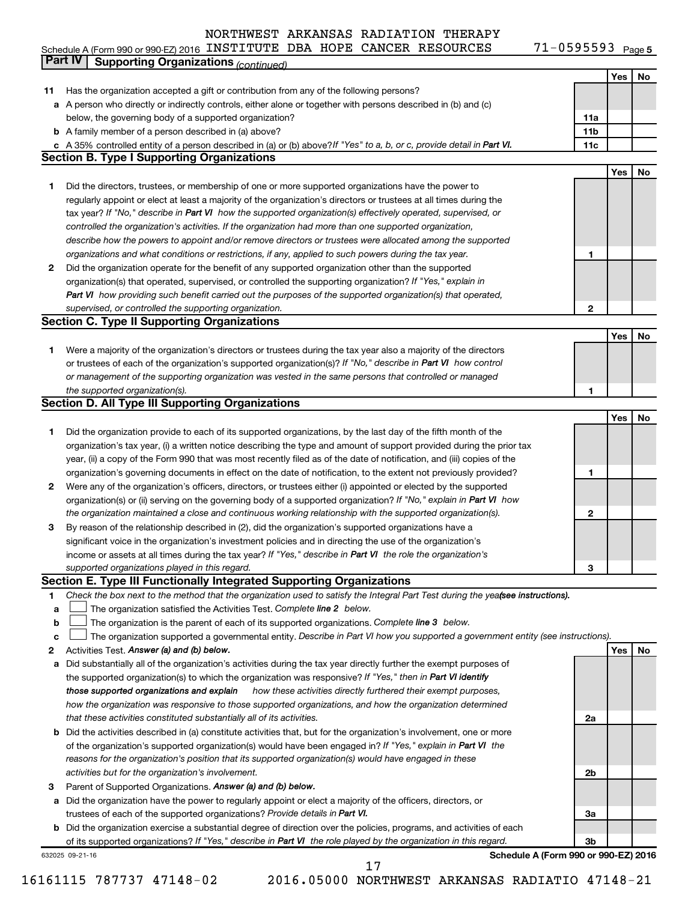71-0595593 Page 5 Schedule A (Form 990 or 990-EZ) 2016 INSTITUTE DBA HOPE CANCER RESOURCES 71-0595593 Page

|    | Part IV<br><b>Supporting Organizations (continued)</b>                                                                          |                 |     |    |
|----|---------------------------------------------------------------------------------------------------------------------------------|-----------------|-----|----|
|    |                                                                                                                                 |                 | Yes | No |
| 11 | Has the organization accepted a gift or contribution from any of the following persons?                                         |                 |     |    |
|    | a A person who directly or indirectly controls, either alone or together with persons described in (b) and (c)                  |                 |     |    |
|    | below, the governing body of a supported organization?                                                                          | 11a             |     |    |
|    | <b>b</b> A family member of a person described in (a) above?                                                                    | 11 <sub>b</sub> |     |    |
|    | c A 35% controlled entity of a person described in (a) or (b) above? If "Yes" to a, b, or c, provide detail in Part VI.         | 11c             |     |    |
|    | <b>Section B. Type I Supporting Organizations</b>                                                                               |                 |     |    |
|    |                                                                                                                                 |                 | Yes | No |
| 1  | Did the directors, trustees, or membership of one or more supported organizations have the power to                             |                 |     |    |
|    | regularly appoint or elect at least a majority of the organization's directors or trustees at all times during the              |                 |     |    |
|    |                                                                                                                                 |                 |     |    |
|    | tax year? If "No," describe in Part VI how the supported organization(s) effectively operated, supervised, or                   |                 |     |    |
|    | controlled the organization's activities. If the organization had more than one supported organization,                         |                 |     |    |
|    | describe how the powers to appoint and/or remove directors or trustees were allocated among the supported                       |                 |     |    |
|    | organizations and what conditions or restrictions, if any, applied to such powers during the tax year.                          | 1               |     |    |
| 2  | Did the organization operate for the benefit of any supported organization other than the supported                             |                 |     |    |
|    | organization(s) that operated, supervised, or controlled the supporting organization? If "Yes," explain in                      |                 |     |    |
|    | Part VI how providing such benefit carried out the purposes of the supported organization(s) that operated,                     |                 |     |    |
|    | supervised, or controlled the supporting organization.                                                                          | 2               |     |    |
|    | <b>Section C. Type II Supporting Organizations</b>                                                                              |                 |     |    |
|    |                                                                                                                                 |                 | Yes | No |
| 1  | Were a majority of the organization's directors or trustees during the tax year also a majority of the directors                |                 |     |    |
|    | or trustees of each of the organization's supported organization(s)? If "No," describe in Part VI how control                   |                 |     |    |
|    | or management of the supporting organization was vested in the same persons that controlled or managed                          |                 |     |    |
|    | the supported organization(s).                                                                                                  | 1               |     |    |
|    | <b>Section D. All Type III Supporting Organizations</b>                                                                         |                 |     |    |
|    |                                                                                                                                 |                 | Yes | No |
| 1  | Did the organization provide to each of its supported organizations, by the last day of the fifth month of the                  |                 |     |    |
|    | organization's tax year, (i) a written notice describing the type and amount of support provided during the prior tax           |                 |     |    |
|    | year, (ii) a copy of the Form 990 that was most recently filed as of the date of notification, and (iii) copies of the          |                 |     |    |
|    | organization's governing documents in effect on the date of notification, to the extent not previously provided?                | 1               |     |    |
| 2  | Were any of the organization's officers, directors, or trustees either (i) appointed or elected by the supported                |                 |     |    |
|    | organization(s) or (ii) serving on the governing body of a supported organization? If "No," explain in Part VI how              |                 |     |    |
|    | the organization maintained a close and continuous working relationship with the supported organization(s).                     | 2               |     |    |
| 3  | By reason of the relationship described in (2), did the organization's supported organizations have a                           |                 |     |    |
|    | significant voice in the organization's investment policies and in directing the use of the organization's                      |                 |     |    |
|    | income or assets at all times during the tax year? If "Yes," describe in Part VI the role the organization's                    |                 |     |    |
|    | supported organizations played in this regard.                                                                                  | з               |     |    |
|    | Section E. Type III Functionally Integrated Supporting Organizations                                                            |                 |     |    |
| 1  | Check the box next to the method that the organization used to satisfy the Integral Part Test during the yeafsee instructions). |                 |     |    |
| a  | The organization satisfied the Activities Test. Complete line 2 below.                                                          |                 |     |    |
| b  | The organization is the parent of each of its supported organizations. Complete line 3 below.                                   |                 |     |    |
| c  | The organization supported a governmental entity. Describe in Part VI how you supported a government entity (see instructions). |                 |     |    |
| 2  | Activities Test. Answer (a) and (b) below.                                                                                      |                 | Yes | No |
| а  | Did substantially all of the organization's activities during the tax year directly further the exempt purposes of              |                 |     |    |
|    | the supported organization(s) to which the organization was responsive? If "Yes," then in Part VI identify                      |                 |     |    |
|    | those supported organizations and explain<br>how these activities directly furthered their exempt purposes,                     |                 |     |    |
|    | how the organization was responsive to those supported organizations, and how the organization determined                       |                 |     |    |
|    | that these activities constituted substantially all of its activities.                                                          | 2a              |     |    |
|    |                                                                                                                                 |                 |     |    |
| b  | Did the activities described in (a) constitute activities that, but for the organization's involvement, one or more             |                 |     |    |
|    | of the organization's supported organization(s) would have been engaged in? If "Yes," explain in Part VI the                    |                 |     |    |
|    | reasons for the organization's position that its supported organization(s) would have engaged in these                          |                 |     |    |
|    | activities but for the organization's involvement.                                                                              | 2b              |     |    |
| з  | Parent of Supported Organizations. Answer (a) and (b) below.                                                                    |                 |     |    |
| а  | Did the organization have the power to regularly appoint or elect a majority of the officers, directors, or                     |                 |     |    |
|    | trustees of each of the supported organizations? Provide details in Part VI.                                                    | За              |     |    |
|    | <b>b</b> Did the organization exercise a substantial degree of direction over the policies, programs, and activities of each    |                 |     |    |
|    | of its supported organizations? If "Yes," describe in Part VI the role played by the organization in this regard.               | 3b              |     |    |
|    | Schedule A (Form 990 or 990-EZ) 2016<br>632025 09-21-16<br>17                                                                   |                 |     |    |
|    |                                                                                                                                 |                 |     |    |

16161115 787737 47148-02 2016.05000 NORTHWEST ARKANSAS RADIATIO 47148-21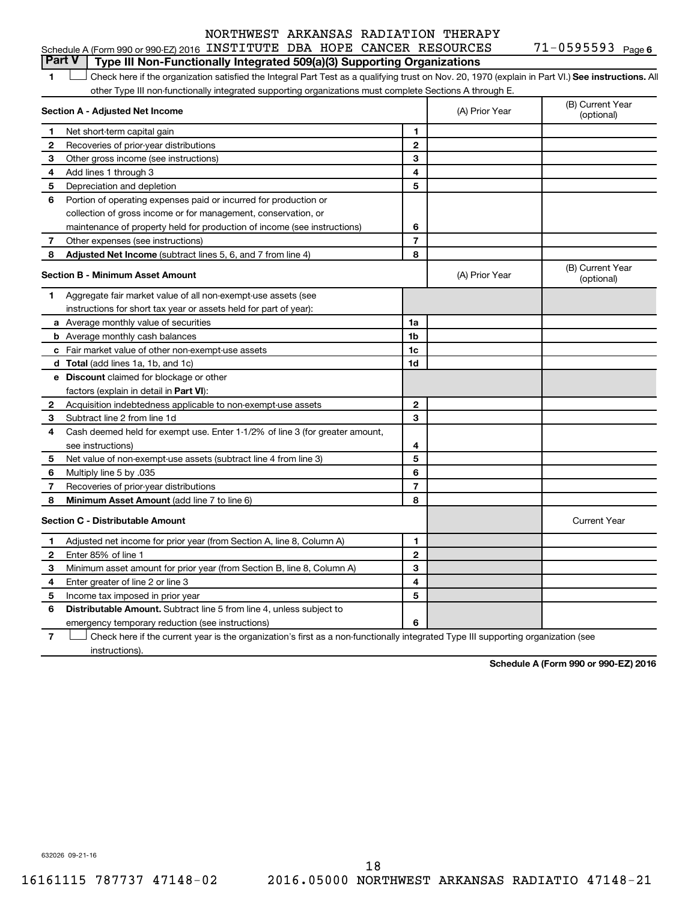#### Schedule A (Form 990 or 990-EZ) 2016 INSTITUTE DBA HOPE CANCER RESOURCES 71-0595593 Page **Part V Type III Non-Functionally Integrated 509(a)(3) Supporting Organizations**

1 **Letter See instructions.** All Check here if the organization satisfied the Integral Part Test as a qualifying trust on Nov. 20, 1970 (explain in Part VI.) See instructions. All other Type III non-functionally integrated supporting organizations must complete Sections A through E.

|              | Section A - Adjusted Net Income                                              |                | (A) Prior Year | (B) Current Year<br>(optional) |
|--------------|------------------------------------------------------------------------------|----------------|----------------|--------------------------------|
| 1            | Net short-term capital gain                                                  | 1              |                |                                |
| 2            | Recoveries of prior-year distributions                                       | $\mathbf{2}$   |                |                                |
| 3            | Other gross income (see instructions)                                        | 3              |                |                                |
| 4            | Add lines 1 through 3                                                        | 4              |                |                                |
| 5            | Depreciation and depletion                                                   | 5              |                |                                |
| 6            | Portion of operating expenses paid or incurred for production or             |                |                |                                |
|              | collection of gross income or for management, conservation, or               |                |                |                                |
|              | maintenance of property held for production of income (see instructions)     | 6              |                |                                |
| 7            | Other expenses (see instructions)                                            | $\overline{7}$ |                |                                |
| 8            | Adjusted Net Income (subtract lines 5, 6, and 7 from line 4)                 | 8              |                |                                |
|              | <b>Section B - Minimum Asset Amount</b>                                      |                | (A) Prior Year | (B) Current Year<br>(optional) |
| 1.           | Aggregate fair market value of all non-exempt-use assets (see                |                |                |                                |
|              | instructions for short tax year or assets held for part of year):            |                |                |                                |
|              | a Average monthly value of securities                                        | 1a             |                |                                |
|              | <b>b</b> Average monthly cash balances                                       | 1b             |                |                                |
|              | c Fair market value of other non-exempt-use assets                           | 1c             |                |                                |
|              | d Total (add lines 1a, 1b, and 1c)                                           | 1d             |                |                                |
|              | <b>e</b> Discount claimed for blockage or other                              |                |                |                                |
|              | factors (explain in detail in <b>Part VI</b> ):                              |                |                |                                |
| 2            | Acquisition indebtedness applicable to non-exempt-use assets                 | 2              |                |                                |
| З            | Subtract line 2 from line 1d                                                 | 3              |                |                                |
| 4            | Cash deemed held for exempt use. Enter 1-1/2% of line 3 (for greater amount, |                |                |                                |
|              | see instructions)                                                            | 4              |                |                                |
| 5            | Net value of non-exempt-use assets (subtract line 4 from line 3)             | 5              |                |                                |
| 6            | Multiply line 5 by .035                                                      | 6              |                |                                |
| 7            | Recoveries of prior-year distributions                                       | 7              |                |                                |
| 8            | Minimum Asset Amount (add line 7 to line 6)                                  | 8              |                |                                |
|              | <b>Section C - Distributable Amount</b>                                      |                |                | <b>Current Year</b>            |
| 1            | Adjusted net income for prior year (from Section A, line 8, Column A)        | 1              |                |                                |
| $\mathbf{2}$ | Enter 85% of line 1                                                          | $\overline{2}$ |                |                                |
| З            | Minimum asset amount for prior year (from Section B, line 8, Column A)       | 3              |                |                                |
| 4            | Enter greater of line 2 or line 3                                            | 4              |                |                                |
| 5            | Income tax imposed in prior year                                             | 5              |                |                                |
| 6            | Distributable Amount. Subtract line 5 from line 4, unless subject to         |                |                |                                |
|              | emergency temporary reduction (see instructions)                             | 6              |                |                                |
|              |                                                                              |                |                |                                |

**7** Check here if the current year is the organization's first as a non-functionally integrated Type III supporting organization (see † instructions).

**Schedule A (Form 990 or 990-EZ) 2016**

632026 09-21-16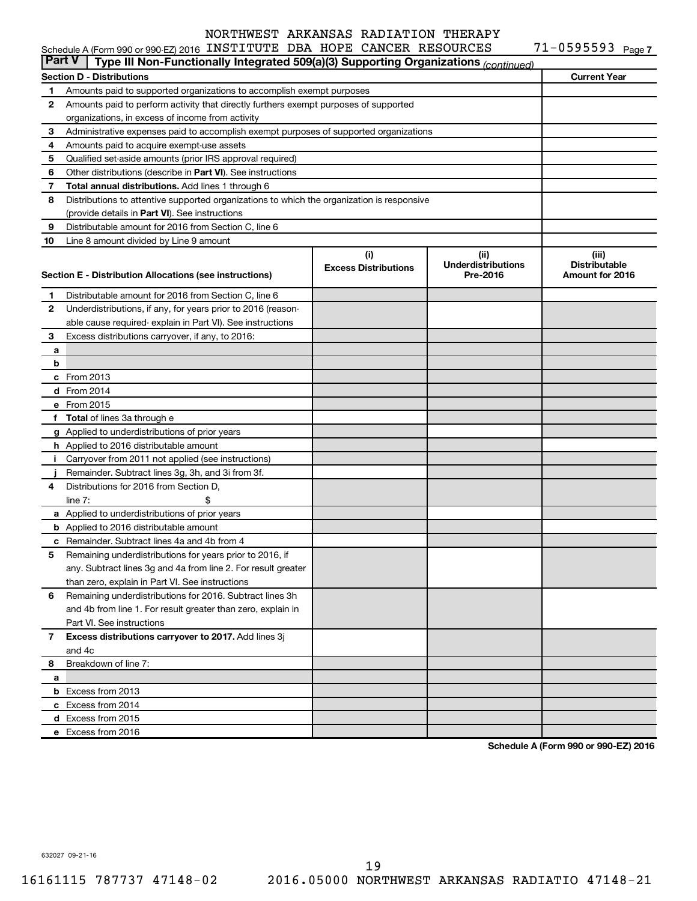|               | Schedule A (Form 990 or 990-EZ) 2016 INSTITUTE DBA HOPE CANCER RESOURCES                   |                             |                           | $71 - 0595593$ Page 7 |
|---------------|--------------------------------------------------------------------------------------------|-----------------------------|---------------------------|-----------------------|
| <b>Part V</b> | Type III Non-Functionally Integrated 509(a)(3) Supporting Organizations (continued)        |                             |                           |                       |
|               | <b>Section D - Distributions</b>                                                           |                             |                           | <b>Current Year</b>   |
| 1             | Amounts paid to supported organizations to accomplish exempt purposes                      |                             |                           |                       |
| 2             | Amounts paid to perform activity that directly furthers exempt purposes of supported       |                             |                           |                       |
|               | organizations, in excess of income from activity                                           |                             |                           |                       |
| 3             | Administrative expenses paid to accomplish exempt purposes of supported organizations      |                             |                           |                       |
| 4             | Amounts paid to acquire exempt-use assets                                                  |                             |                           |                       |
| 5             | Qualified set-aside amounts (prior IRS approval required)                                  |                             |                           |                       |
| 6             | Other distributions (describe in Part VI). See instructions                                |                             |                           |                       |
| 7             | Total annual distributions. Add lines 1 through 6                                          |                             |                           |                       |
| 8             | Distributions to attentive supported organizations to which the organization is responsive |                             |                           |                       |
|               | (provide details in Part VI). See instructions                                             |                             |                           |                       |
| 9             | Distributable amount for 2016 from Section C, line 6                                       |                             |                           |                       |
| 10            | Line 8 amount divided by Line 9 amount                                                     |                             |                           |                       |
|               |                                                                                            | (i)                         | (ii)                      | (iii)                 |
|               |                                                                                            | <b>Excess Distributions</b> | <b>Underdistributions</b> | <b>Distributable</b>  |
|               | Section E - Distribution Allocations (see instructions)                                    |                             | Pre-2016                  | Amount for 2016       |
| 1.            | Distributable amount for 2016 from Section C, line 6                                       |                             |                           |                       |
| 2             | Underdistributions, if any, for years prior to 2016 (reason-                               |                             |                           |                       |
|               | able cause required- explain in Part VI). See instructions                                 |                             |                           |                       |
| 3             |                                                                                            |                             |                           |                       |
|               | Excess distributions carryover, if any, to 2016:                                           |                             |                           |                       |
| а             |                                                                                            |                             |                           |                       |
| b             |                                                                                            |                             |                           |                       |
|               | c From 2013                                                                                |                             |                           |                       |
|               | d From 2014                                                                                |                             |                           |                       |
|               | e From 2015                                                                                |                             |                           |                       |
|               | f Total of lines 3a through e                                                              |                             |                           |                       |
|               | g Applied to underdistributions of prior years                                             |                             |                           |                       |
|               | <b>h</b> Applied to 2016 distributable amount                                              |                             |                           |                       |
| Ť.            | Carryover from 2011 not applied (see instructions)                                         |                             |                           |                       |
|               | Remainder. Subtract lines 3g, 3h, and 3i from 3f.                                          |                             |                           |                       |
| 4             | Distributions for 2016 from Section D,                                                     |                             |                           |                       |
|               | line $7:$                                                                                  |                             |                           |                       |
|               | a Applied to underdistributions of prior years                                             |                             |                           |                       |
|               | <b>b</b> Applied to 2016 distributable amount                                              |                             |                           |                       |
|               | c Remainder. Subtract lines 4a and 4b from 4                                               |                             |                           |                       |
|               | 5 Remaining underdistributions for years prior to 2016, if                                 |                             |                           |                       |
|               | any. Subtract lines 3q and 4a from line 2. For result greater                              |                             |                           |                       |
|               | than zero, explain in Part VI. See instructions                                            |                             |                           |                       |
| 6             | Remaining underdistributions for 2016. Subtract lines 3h                                   |                             |                           |                       |
|               | and 4b from line 1. For result greater than zero, explain in                               |                             |                           |                       |
|               | Part VI. See instructions                                                                  |                             |                           |                       |
| 7             | Excess distributions carryover to 2017. Add lines 3j                                       |                             |                           |                       |
|               | and 4c                                                                                     |                             |                           |                       |
| 8             | Breakdown of line 7:                                                                       |                             |                           |                       |
| а             |                                                                                            |                             |                           |                       |
|               | <b>b</b> Excess from 2013                                                                  |                             |                           |                       |
|               | c Excess from 2014                                                                         |                             |                           |                       |
|               | d Excess from 2015                                                                         |                             |                           |                       |
|               | e Excess from 2016                                                                         |                             |                           |                       |
|               |                                                                                            |                             |                           |                       |

**Schedule A (Form 990 or 990-EZ) 2016**

632027 09-21-16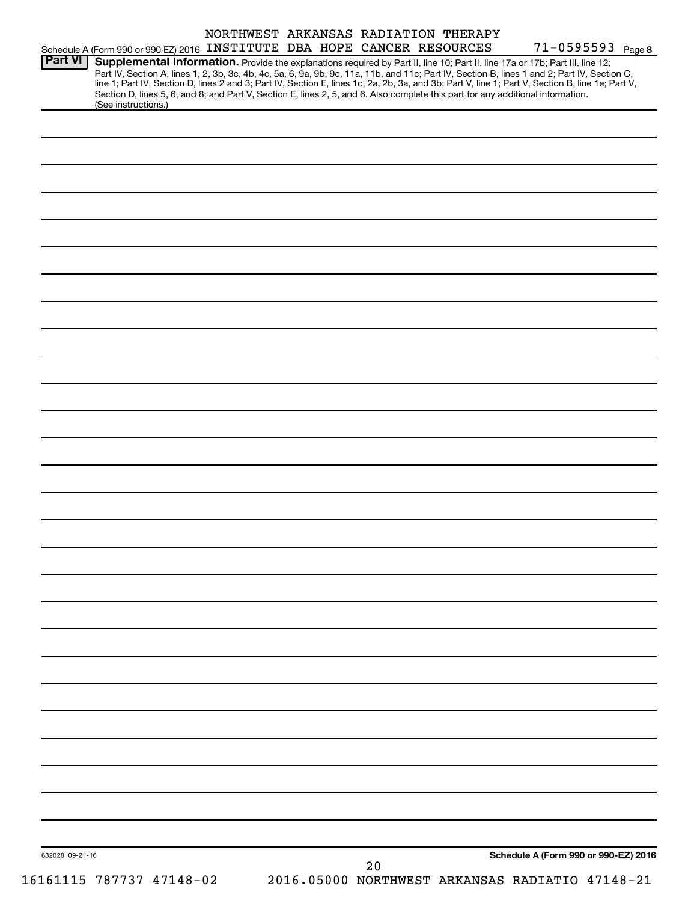|         | Schedule A (Form 990 or 990-EZ) 2016 INSTITUTE DBA HOPE CANCER RESOURCES |  | NORTHWEST ARKANSAS RADIATION THERAPY | 71-0595593 Page 8                                                                                                                                                                                                                                                                   |
|---------|--------------------------------------------------------------------------|--|--------------------------------------|-------------------------------------------------------------------------------------------------------------------------------------------------------------------------------------------------------------------------------------------------------------------------------------|
| Part VI |                                                                          |  |                                      | Supplemental Information. Provide the explanations required by Part II, line 10; Part II, line 17a or 17b; Part III, line 12;<br>Part IV, Section A, lines 1, 2, 3b, 3c, 4b, 4c, 5a, 6, 9a, 9b, 9c, 11a, 11b, and 11c; Part IV, Section B, lines 1 and 2; Part IV, Section C,       |
|         | (See instructions.)                                                      |  |                                      | line 1; Part IV, Section D, lines 2 and 3; Part IV, Section E, lines 1c, 2a, 2b, 3a, and 3b; Part V, line 1; Part V, Section B, line 1e; Part V,<br>Section D, lines 5, 6, and 8; and Part V, Section E, lines 2, 5, and 6. Also complete this part for any additional information. |
|         |                                                                          |  |                                      |                                                                                                                                                                                                                                                                                     |
|         |                                                                          |  |                                      |                                                                                                                                                                                                                                                                                     |
|         |                                                                          |  |                                      |                                                                                                                                                                                                                                                                                     |
|         |                                                                          |  |                                      |                                                                                                                                                                                                                                                                                     |
|         |                                                                          |  |                                      |                                                                                                                                                                                                                                                                                     |
|         |                                                                          |  |                                      |                                                                                                                                                                                                                                                                                     |
|         |                                                                          |  |                                      |                                                                                                                                                                                                                                                                                     |
|         |                                                                          |  |                                      |                                                                                                                                                                                                                                                                                     |
|         |                                                                          |  |                                      |                                                                                                                                                                                                                                                                                     |
|         |                                                                          |  |                                      |                                                                                                                                                                                                                                                                                     |
|         |                                                                          |  |                                      |                                                                                                                                                                                                                                                                                     |
|         |                                                                          |  |                                      |                                                                                                                                                                                                                                                                                     |
|         |                                                                          |  |                                      |                                                                                                                                                                                                                                                                                     |
|         |                                                                          |  |                                      |                                                                                                                                                                                                                                                                                     |
|         |                                                                          |  |                                      |                                                                                                                                                                                                                                                                                     |
|         |                                                                          |  |                                      |                                                                                                                                                                                                                                                                                     |
|         |                                                                          |  |                                      |                                                                                                                                                                                                                                                                                     |
|         |                                                                          |  |                                      |                                                                                                                                                                                                                                                                                     |
|         |                                                                          |  |                                      |                                                                                                                                                                                                                                                                                     |
|         |                                                                          |  |                                      |                                                                                                                                                                                                                                                                                     |
|         |                                                                          |  |                                      |                                                                                                                                                                                                                                                                                     |
|         |                                                                          |  |                                      |                                                                                                                                                                                                                                                                                     |
|         |                                                                          |  |                                      |                                                                                                                                                                                                                                                                                     |
|         |                                                                          |  |                                      |                                                                                                                                                                                                                                                                                     |
|         |                                                                          |  |                                      |                                                                                                                                                                                                                                                                                     |
|         |                                                                          |  |                                      |                                                                                                                                                                                                                                                                                     |
|         |                                                                          |  |                                      |                                                                                                                                                                                                                                                                                     |
|         |                                                                          |  |                                      | Schedule A (Form 990 or 990-EZ) 2016                                                                                                                                                                                                                                                |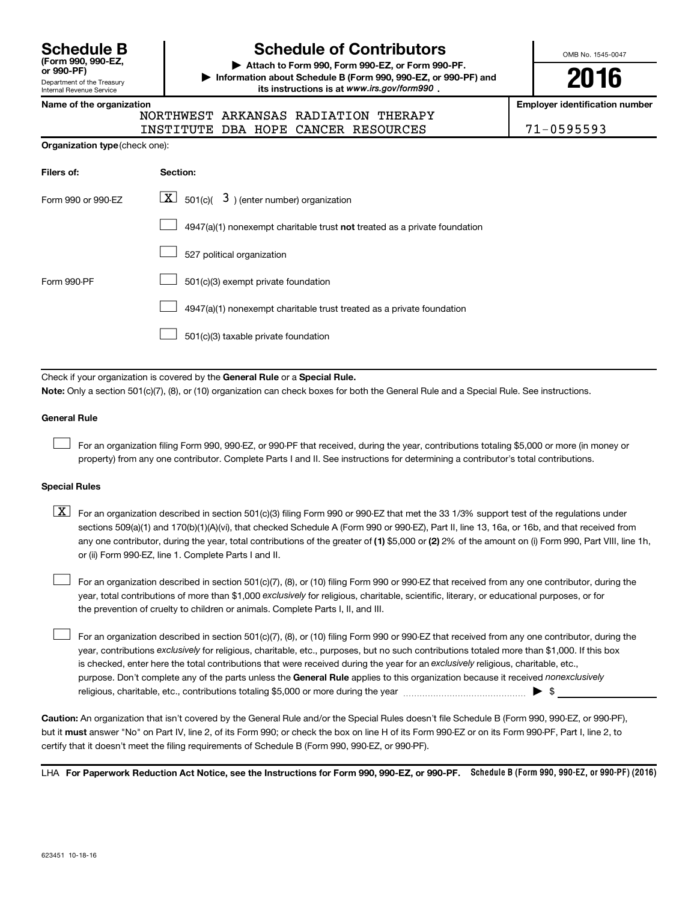**(Form 990, 990-EZ,**

#### Department of the Treasury Internal Revenue Service

# **Schedule B Schedule of Contributors**

**or 990-PF) | Attach to Form 990, Form 990-EZ, or Form 990-PF. | Information about Schedule B (Form 990, 990-EZ, or 990-PF) and** its instructions is at www.irs.gov/form990.

OMB No. 1545-0047

**2016**

**Name of the organization Employer identification number**

|  | <b>NORTHWES</b> |
|--|-----------------|
|  |                 |

T ARKANSAS RADIATION THERAPY INSTITUTE DBA HOPE CANCER RESOURCES 71-0595593

| Filers of:         | <b>Section:</b>                                                             |
|--------------------|-----------------------------------------------------------------------------|
| Form 990 or 990-EZ | $\lfloor x \rfloor$ 501(c)( 3) (enter number) organization                  |
|                    | $4947(a)(1)$ nonexempt charitable trust not treated as a private foundation |
|                    | 527 political organization                                                  |
| Form 990-PF        | 501(c)(3) exempt private foundation                                         |
|                    | 4947(a)(1) nonexempt charitable trust treated as a private foundation       |
|                    | 501(c)(3) taxable private foundation                                        |

Check if your organization is covered by the General Rule or a Special Rule.

**Note:**  Only a section 501(c)(7), (8), or (10) organization can check boxes for both the General Rule and a Special Rule. See instructions.

#### **General Rule**

 $\Box$ 

For an organization filing Form 990, 990-EZ, or 990-PF that received, during the year, contributions totaling \$5,000 or more (in money or property) from any one contributor. Complete Parts I and II. See instructions for determining a contributor's total contributions.

#### **Special Rules**

any one contributor, during the year, total contributions of the greater of **(1)** \$5,000 or **(2)** 2% of the amount on (i) Form 990, Part VIII, line 1h,  $\boxed{\text{X}}$  For an organization described in section 501(c)(3) filing Form 990 or 990-EZ that met the 33 1/3% support test of the regulations under sections 509(a)(1) and 170(b)(1)(A)(vi), that checked Schedule A (Form 990 or 990-EZ), Part II, line 13, 16a, or 16b, and that received from or (ii) Form 990-EZ, line 1. Complete Parts I and II.

year, total contributions of more than \$1,000 *exclusively* for religious, charitable, scientific, literary, or educational purposes, or for For an organization described in section 501(c)(7), (8), or (10) filing Form 990 or 990-EZ that received from any one contributor, during the the prevention of cruelty to children or animals. Complete Parts I, II, and III.  $\Box$ 

purpose. Don't complete any of the parts unless the General Rule applies to this organization because it received nonexclusively year, contributions exclusively for religious, charitable, etc., purposes, but no such contributions totaled more than \$1,000. If this box is checked, enter here the total contributions that were received during the year for an exclusively religious, charitable, etc., For an organization described in section 501(c)(7), (8), or (10) filing Form 990 or 990-EZ that received from any one contributor, during the religious, charitable, etc., contributions totaling \$5,000 or more during the year  $\ldots$  $\ldots$  $\ldots$  $\ldots$  $\ldots$  $\ldots$  $\Box$ 

**Caution:**  An organization that isn't covered by the General Rule and/or the Special Rules doesn't file Schedule B (Form 990, 990-EZ, or 990-PF),  **must** but it answer "No" on Part IV, line 2, of its Form 990; or check the box on line H of its Form 990-EZ or on its Form 990-PF, Part I, line 2, to certify that it doesn't meet the filing requirements of Schedule B (Form 990, 990-EZ, or 990-PF).

LHA For Paperwork Reduction Act Notice, see the Instructions for Form 990, 990-EZ, or 990-PF. Schedule B (Form 990, 990-EZ, or 990-PF) (2016)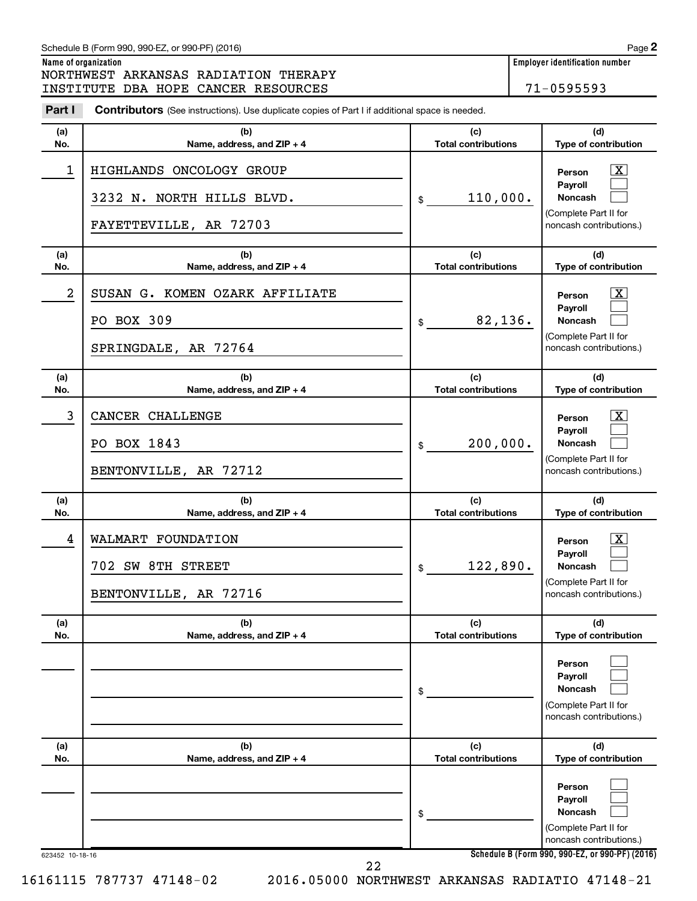#### **Name of organization Employer identification number (a) No. (b) Name, address, and ZIP + 4 (c) Total contributions (d) Type of contribution Person Payroll Noncash (a) No. (b) Name, address, and ZIP + 4 (c) Total contributions (d) Type of contribution Person Payroll Noncash (a) No. (b) Name, address, and ZIP + 4 (c) Total contributions (d) Type of contribution Person Payroll Noncash (a) No. (b) Name, address, and ZIP + 4 (c) Total contributions (d) Type of contribution Person Payroll Noncash (a) No. (b) Name, address, and ZIP + 4 (c) Total contributions (d) Type of contribution Person Payroll Noncash (a) No. (b) Name, address, and ZIP + 4 (c) Total contributions (d) Type of contribution Person Payroll Noncash Part I** Contributors (See instructions). Use duplicate copies of Part I if additional space is needed. \$ (Complete Part II for noncash contributions.) \$ (Complete Part II for noncash contributions.) \$ (Complete Part II for noncash contributions.) \$ (Complete Part II for noncash contributions.) \$ (Complete Part II for noncash contributions.) \$ (Complete Part II for noncash contributions.) †  $\Box$  $\Box$  $\overline{\mathbf{X}}$  $\Box$  $\Box$  $\boxed{\textbf{X}}$  $\Box$  $\Box$  $\boxed{\textbf{X}}$  $\Box$  $\Box$  $\Box$  $\Box$  $\Box$  $\Box$  $\Box$  $\Box$ NORTHWEST ARKANSAS RADIATION THERAPY INSTITUTE DBA HOPE CANCER RESOURCES 71-0595593 1 | HIGHLANDS ONCOLOGY GROUP 3232 N. NORTH HILLS BLVD.  $\frac{1}{3}$  110,000. FAYETTEVILLE, AR 72703 2 | SUSAN G. KOMEN OZARK AFFILIATE PO BOX 309  $\vert \,$  \$ 82,136. SPRINGDALE, AR 72764 3 | CANCER CHALLENGE PO BOX 1843  $\frac{1}{3}$  200,000. BENTONVILLE, AR 72712 4 WALMART FOUNDATION X 702 SW 8TH STREET  $\vert \text{ } s \vert \text{ } 122,890$ . BENTONVILLE, AR 72716

623452 10-18-16

**Schedule B (Form 990, 990-EZ, or 990-PF) (2016)**

16161115 787737 47148-02 2016.05000 NORTHWEST ARKANSAS RADIATIO 47148-21 22

| Schedule B (Form 990, 990-EZ, or 990-PF) (2016) | Page |
|-------------------------------------------------|------|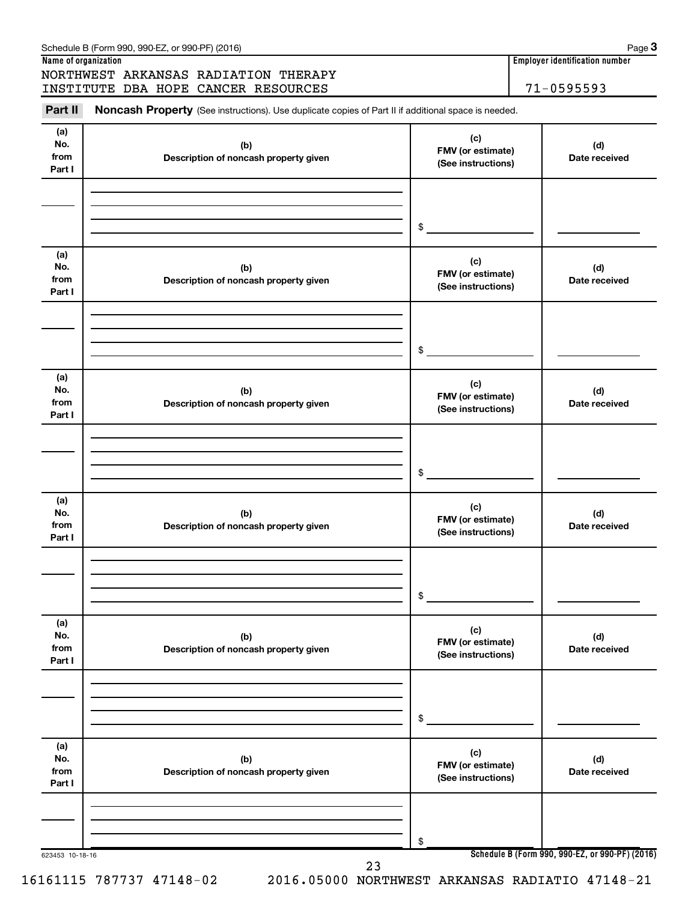#### 623453 10-18-16 **Name of organization Employer identification number Schedule B (Form 990, 990-EZ, or 990-PF) (2016) (a) No. from Part I (c) FMV (or estimate) (See instructions) (b) Description of noncash property given (d) Date received (a) No. from Part I (c) FMV (or estimate) (See instructions) (b) Description of noncash property given (d) Date received (a) No. from Part I (c) FMV (or estimate) (See instructions) (b) Description of noncash property given (d) Date received (a) No. from Part I (c) FMV (or estimate) (See instructions) (b) Description of noncash property given (d) Date received (a) No. from Part I (c) FMV (or estimate) (See instructions) (b) Description of noncash property given (d) Date received (a) No. from Part I (c) FMV (or estimate) (See instructions) (b) Description of noncash property given (d) Date received** Part II Noncash Property (See instructions). Use duplicate copies of Part II if additional space is needed. \$ \$ \$ \$ \$ \$ NORTHWEST ARKANSAS RADIATION THERAPY INSTITUTE DBA HOPE CANCER RESOURCES | 71-0595593 23

Schedule B (Form 990, 990-EZ, or 990-PF) (2016)

16161115 787737 47148-02 2016.05000 NORTHWEST ARKANSAS RADIATIO 47148-21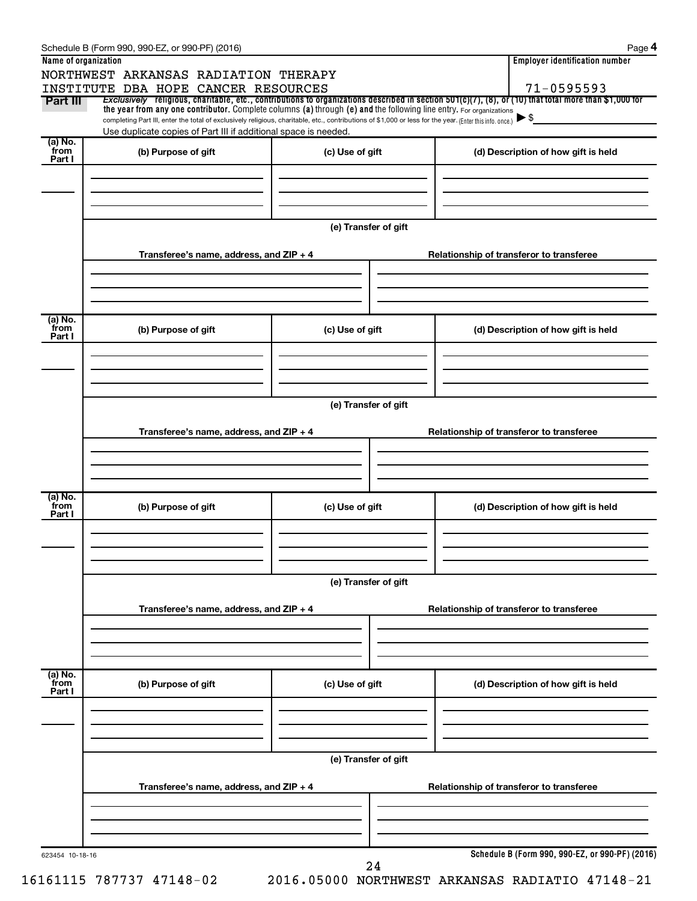|                      | Schedule B (Form 990, 990-EZ, or 990-PF) (2016)                                                                                                                                                                             |                      | Page 4                                          |
|----------------------|-----------------------------------------------------------------------------------------------------------------------------------------------------------------------------------------------------------------------------|----------------------|-------------------------------------------------|
| Name of organization |                                                                                                                                                                                                                             |                      | <b>Employer identification number</b>           |
|                      | NORTHWEST ARKANSAS RADIATION THERAPY                                                                                                                                                                                        |                      |                                                 |
| Part III             | INSTITUTE DBA HOPE CANCER RESOURCES<br>Exclusively religious, charitable, etc., contributions to organizations described in section $501(c)(7)$ , (8), or (10) that total more than \$1,000 for                             |                      | 71-0595593                                      |
|                      | the year from any one contributor. Complete columns (a) through (e) and the following line entry. For organizations                                                                                                         |                      |                                                 |
|                      | completing Part III, enter the total of exclusively religious, charitable, etc., contributions of \$1,000 or less for the year. (Enter this info. once.)<br>Use duplicate copies of Part III if additional space is needed. |                      | ► \$                                            |
| (a) No.              |                                                                                                                                                                                                                             |                      |                                                 |
| from<br>Part I       | (b) Purpose of gift                                                                                                                                                                                                         | (c) Use of gift      | (d) Description of how gift is held             |
|                      |                                                                                                                                                                                                                             |                      |                                                 |
|                      |                                                                                                                                                                                                                             |                      |                                                 |
|                      |                                                                                                                                                                                                                             |                      |                                                 |
|                      |                                                                                                                                                                                                                             |                      |                                                 |
|                      |                                                                                                                                                                                                                             | (e) Transfer of gift |                                                 |
|                      | Transferee's name, address, and ZIP + 4                                                                                                                                                                                     |                      | Relationship of transferor to transferee        |
|                      |                                                                                                                                                                                                                             |                      |                                                 |
|                      |                                                                                                                                                                                                                             |                      |                                                 |
|                      |                                                                                                                                                                                                                             |                      |                                                 |
|                      |                                                                                                                                                                                                                             |                      |                                                 |
| (a) No.<br>from      | (b) Purpose of gift                                                                                                                                                                                                         | (c) Use of gift      | (d) Description of how gift is held             |
| Part I               |                                                                                                                                                                                                                             |                      |                                                 |
|                      |                                                                                                                                                                                                                             |                      |                                                 |
|                      |                                                                                                                                                                                                                             |                      |                                                 |
|                      |                                                                                                                                                                                                                             |                      |                                                 |
|                      |                                                                                                                                                                                                                             | (e) Transfer of gift |                                                 |
|                      |                                                                                                                                                                                                                             |                      |                                                 |
|                      | Transferee's name, address, and ZIP + 4                                                                                                                                                                                     |                      | Relationship of transferor to transferee        |
|                      |                                                                                                                                                                                                                             |                      |                                                 |
|                      |                                                                                                                                                                                                                             |                      |                                                 |
|                      |                                                                                                                                                                                                                             |                      |                                                 |
| (a) No.<br>from      |                                                                                                                                                                                                                             |                      |                                                 |
| Part I               | (b) Purpose of gift                                                                                                                                                                                                         | (c) Use of gift      | (d) Description of how gift is held             |
|                      |                                                                                                                                                                                                                             |                      |                                                 |
|                      |                                                                                                                                                                                                                             |                      |                                                 |
|                      |                                                                                                                                                                                                                             |                      |                                                 |
|                      |                                                                                                                                                                                                                             | (e) Transfer of gift |                                                 |
|                      |                                                                                                                                                                                                                             |                      |                                                 |
|                      | Transferee's name, address, and ZIP + 4                                                                                                                                                                                     |                      | Relationship of transferor to transferee        |
|                      |                                                                                                                                                                                                                             |                      |                                                 |
|                      |                                                                                                                                                                                                                             |                      |                                                 |
|                      |                                                                                                                                                                                                                             |                      |                                                 |
| (a) No.<br>from      |                                                                                                                                                                                                                             |                      |                                                 |
| Part I               | (b) Purpose of gift                                                                                                                                                                                                         | (c) Use of gift      | (d) Description of how gift is held             |
|                      |                                                                                                                                                                                                                             |                      |                                                 |
|                      |                                                                                                                                                                                                                             |                      |                                                 |
|                      |                                                                                                                                                                                                                             |                      |                                                 |
|                      |                                                                                                                                                                                                                             |                      |                                                 |
|                      |                                                                                                                                                                                                                             | (e) Transfer of gift |                                                 |
|                      | Transferee's name, address, and ZIP + 4                                                                                                                                                                                     |                      | Relationship of transferor to transferee        |
|                      |                                                                                                                                                                                                                             |                      |                                                 |
|                      |                                                                                                                                                                                                                             |                      |                                                 |
|                      |                                                                                                                                                                                                                             |                      |                                                 |
|                      |                                                                                                                                                                                                                             |                      |                                                 |
| 623454 10-18-16      |                                                                                                                                                                                                                             | 24                   | Schedule B (Form 990, 990-EZ, or 990-PF) (2016) |
|                      |                                                                                                                                                                                                                             |                      |                                                 |

16161115 787737 47148-02 2016.05000 NORTHWEST ARKANSAS RADIATIO 47148-21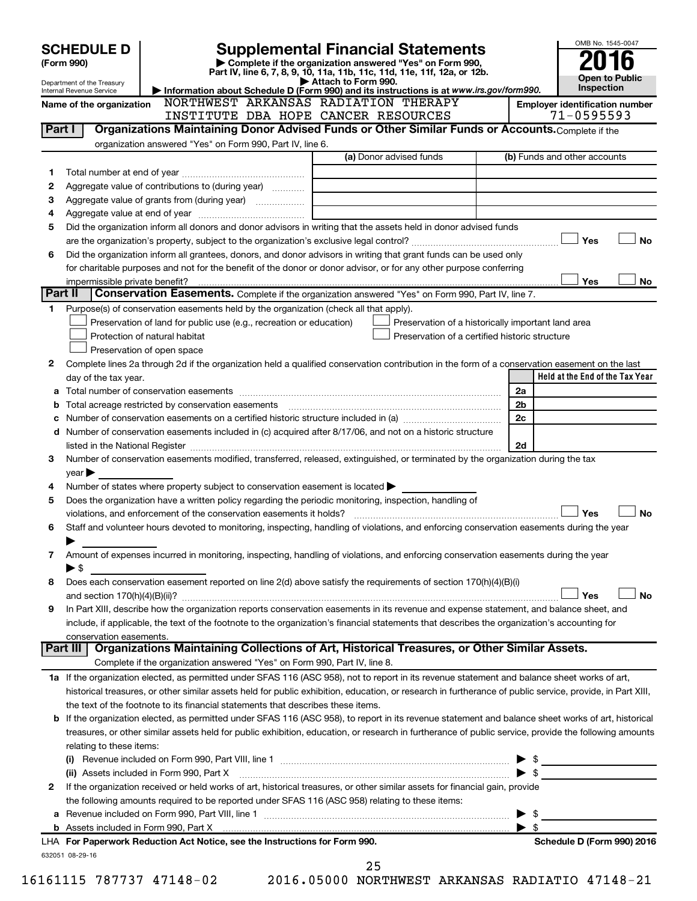|         | <b>SCHEDULE D</b>              |                                                                                                        | <b>Supplemental Financial Statements</b>                                                                                                                                                                                       | OMB No. 1545-0047                                       |
|---------|--------------------------------|--------------------------------------------------------------------------------------------------------|--------------------------------------------------------------------------------------------------------------------------------------------------------------------------------------------------------------------------------|---------------------------------------------------------|
|         | (Form 990)                     |                                                                                                        | Complete if the organization answered "Yes" on Form 990,<br>Part IV, line 6, 7, 8, 9, 10, 11a, 11b, 11c, 11d, 11e, 11f, 12a, or 12b.                                                                                           |                                                         |
|         | Department of the Treasury     |                                                                                                        | Attach to Form 990.                                                                                                                                                                                                            | <b>Open to Public</b><br>Inspection                     |
|         | Internal Revenue Service       |                                                                                                        | Information about Schedule D (Form 990) and its instructions is at www.irs.gov/form990.<br>NORTHWEST ARKANSAS RADIATION THERAPY                                                                                                |                                                         |
|         | Name of the organization       | INSTITUTE DBA HOPE CANCER RESOURCES                                                                    |                                                                                                                                                                                                                                | <b>Employer identification number</b><br>$71 - 0595593$ |
| Part I  |                                |                                                                                                        | Organizations Maintaining Donor Advised Funds or Other Similar Funds or Accounts. Complete if the                                                                                                                              |                                                         |
|         |                                | organization answered "Yes" on Form 990, Part IV, line 6.                                              |                                                                                                                                                                                                                                |                                                         |
|         |                                |                                                                                                        | (a) Donor advised funds                                                                                                                                                                                                        | (b) Funds and other accounts                            |
| 1       |                                |                                                                                                        |                                                                                                                                                                                                                                |                                                         |
| 2       |                                | Aggregate value of contributions to (during year)                                                      |                                                                                                                                                                                                                                |                                                         |
| 3       |                                |                                                                                                        |                                                                                                                                                                                                                                |                                                         |
| 4       |                                |                                                                                                        |                                                                                                                                                                                                                                |                                                         |
| 5       |                                |                                                                                                        | Did the organization inform all donors and donor advisors in writing that the assets held in donor advised funds                                                                                                               |                                                         |
|         |                                |                                                                                                        |                                                                                                                                                                                                                                | Yes<br><b>No</b>                                        |
| 6       |                                |                                                                                                        | Did the organization inform all grantees, donors, and donor advisors in writing that grant funds can be used only                                                                                                              |                                                         |
|         |                                |                                                                                                        | for charitable purposes and not for the benefit of the donor or donor advisor, or for any other purpose conferring                                                                                                             |                                                         |
|         | impermissible private benefit? |                                                                                                        |                                                                                                                                                                                                                                | Yes<br>No                                               |
| Part II |                                |                                                                                                        | Conservation Easements. Complete if the organization answered "Yes" on Form 990, Part IV, line 7.                                                                                                                              |                                                         |
| 1       |                                | Purpose(s) of conservation easements held by the organization (check all that apply).                  |                                                                                                                                                                                                                                |                                                         |
|         |                                | Preservation of land for public use (e.g., recreation or education)                                    | Preservation of a historically important land area                                                                                                                                                                             |                                                         |
|         |                                | Protection of natural habitat                                                                          | Preservation of a certified historic structure                                                                                                                                                                                 |                                                         |
|         |                                | Preservation of open space                                                                             |                                                                                                                                                                                                                                |                                                         |
| 2       |                                |                                                                                                        | Complete lines 2a through 2d if the organization held a qualified conservation contribution in the form of a conservation easement on the last                                                                                 |                                                         |
|         | day of the tax year.           |                                                                                                        |                                                                                                                                                                                                                                | Held at the End of the Tax Year                         |
|         |                                |                                                                                                        |                                                                                                                                                                                                                                | 2a                                                      |
| b       |                                | Total acreage restricted by conservation easements                                                     |                                                                                                                                                                                                                                | 2 <sub>b</sub>                                          |
|         |                                |                                                                                                        |                                                                                                                                                                                                                                | 2c                                                      |
| d       |                                |                                                                                                        | Number of conservation easements included in (c) acquired after 8/17/06, and not on a historic structure                                                                                                                       |                                                         |
|         |                                |                                                                                                        | listed in the National Register [111] [12] The Mational Register [11] Matter Literature material and the National Register [11] Matter Matter Matter Matter Matter Matter Matter Matter Matter Matter Matter Matter Matter Mat | 2d                                                      |
| З       |                                |                                                                                                        | Number of conservation easements modified, transferred, released, extinguished, or terminated by the organization during the tax                                                                                               |                                                         |
|         | $year \triangleright$          |                                                                                                        |                                                                                                                                                                                                                                |                                                         |
| 4       |                                | Number of states where property subject to conservation easement is located $\blacktriangleright$      |                                                                                                                                                                                                                                |                                                         |
| 5       |                                | Does the organization have a written policy regarding the periodic monitoring, inspection, handling of |                                                                                                                                                                                                                                |                                                         |
|         |                                |                                                                                                        |                                                                                                                                                                                                                                | Yes<br><b>No</b>                                        |
| 6       |                                |                                                                                                        | Staff and volunteer hours devoted to monitoring, inspecting, handling of violations, and enforcing conservation easements during the year                                                                                      |                                                         |
|         |                                |                                                                                                        |                                                                                                                                                                                                                                |                                                         |
| 7       |                                |                                                                                                        | Amount of expenses incurred in monitoring, inspecting, handling of violations, and enforcing conservation easements during the year                                                                                            |                                                         |
|         | $\blacktriangleright$ \$       |                                                                                                        |                                                                                                                                                                                                                                |                                                         |
| 8       |                                |                                                                                                        | Does each conservation easement reported on line 2(d) above satisfy the requirements of section 170(h)(4)(B)(i)                                                                                                                |                                                         |
|         |                                |                                                                                                        |                                                                                                                                                                                                                                | Yes<br><b>No</b>                                        |
| 9       |                                |                                                                                                        | In Part XIII, describe how the organization reports conservation easements in its revenue and expense statement, and balance sheet, and                                                                                        |                                                         |
|         |                                |                                                                                                        | include, if applicable, the text of the footnote to the organization's financial statements that describes the organization's accounting for                                                                                   |                                                         |
|         | conservation easements.        |                                                                                                        |                                                                                                                                                                                                                                |                                                         |
|         | Part III                       |                                                                                                        | Organizations Maintaining Collections of Art, Historical Treasures, or Other Similar Assets.                                                                                                                                   |                                                         |
|         |                                | Complete if the organization answered "Yes" on Form 990, Part IV, line 8.                              |                                                                                                                                                                                                                                |                                                         |
|         |                                |                                                                                                        | 1a If the organization elected, as permitted under SFAS 116 (ASC 958), not to report in its revenue statement and balance sheet works of art,                                                                                  |                                                         |
|         |                                |                                                                                                        | historical treasures, or other similar assets held for public exhibition, education, or research in furtherance of public service, provide, in Part XIII,                                                                      |                                                         |
|         |                                | the text of the footnote to its financial statements that describes these items.                       |                                                                                                                                                                                                                                |                                                         |
|         |                                |                                                                                                        | <b>b</b> If the organization elected, as permitted under SFAS 116 (ASC 958), to report in its revenue statement and balance sheet works of art, historical                                                                     |                                                         |
|         |                                |                                                                                                        | treasures, or other similar assets held for public exhibition, education, or research in furtherance of public service, provide the following amounts                                                                          |                                                         |
|         | relating to these items:       |                                                                                                        |                                                                                                                                                                                                                                |                                                         |
|         |                                |                                                                                                        |                                                                                                                                                                                                                                | $\triangleright$ \$                                     |
|         |                                | (ii) Assets included in Form 990, Part X                                                               |                                                                                                                                                                                                                                |                                                         |
| 2       |                                |                                                                                                        | If the organization received or held works of art, historical treasures, or other similar assets for financial gain, provide                                                                                                   |                                                         |
|         |                                | the following amounts required to be reported under SFAS 116 (ASC 958) relating to these items:        |                                                                                                                                                                                                                                |                                                         |
| а       |                                |                                                                                                        |                                                                                                                                                                                                                                | -\$<br>▶                                                |
|         |                                |                                                                                                        |                                                                                                                                                                                                                                | $\blacktriangleright$ \$                                |
|         |                                | LHA For Paperwork Reduction Act Notice, see the Instructions for Form 990.                             |                                                                                                                                                                                                                                | Schedule D (Form 990) 2016                              |
|         | 632051 08-29-16                |                                                                                                        |                                                                                                                                                                                                                                |                                                         |
|         |                                |                                                                                                        | 25                                                                                                                                                                                                                             |                                                         |

16161115 787737 47148-02 2016.05000 NORTHWEST ARKANSAS RADIATIO 47148-21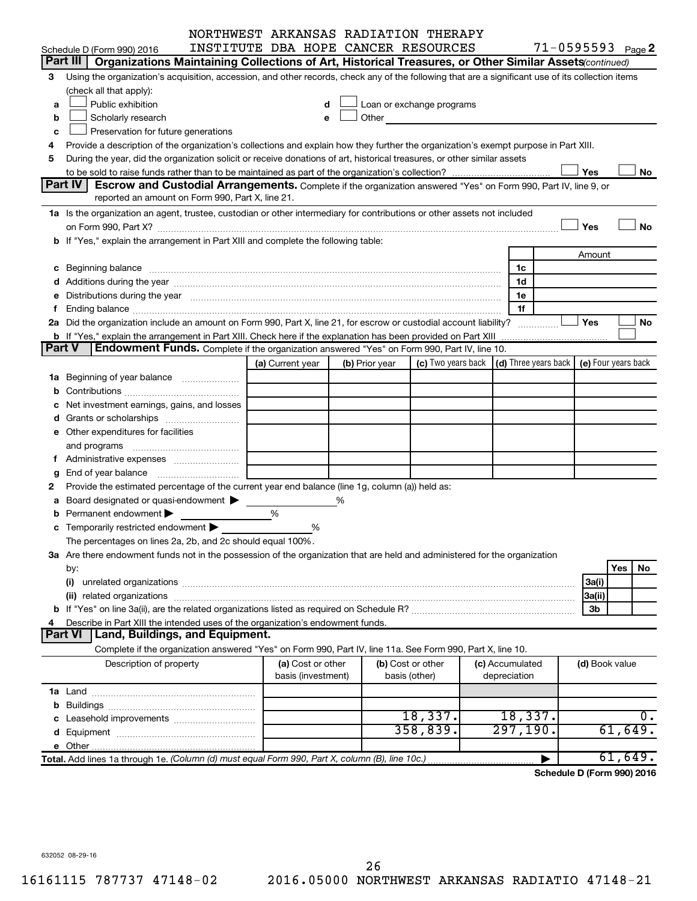|   |                                                                                                                                                                                                                                |                    |                   |                | NORTHWEST ARKANSAS RADIATION THERAPY                                                                                                                                                                                          |                                 |                       |           |
|---|--------------------------------------------------------------------------------------------------------------------------------------------------------------------------------------------------------------------------------|--------------------|-------------------|----------------|-------------------------------------------------------------------------------------------------------------------------------------------------------------------------------------------------------------------------------|---------------------------------|-----------------------|-----------|
|   | Schedule D (Form 990) 2016                                                                                                                                                                                                     |                    |                   |                | INSTITUTE DBA HOPE CANCER RESOURCES                                                                                                                                                                                           |                                 | $71 - 0595593$ Page 2 |           |
|   | Part III  <br>Organizations Maintaining Collections of Art, Historical Treasures, or Other Similar Assets (continued)                                                                                                          |                    |                   |                |                                                                                                                                                                                                                               |                                 |                       |           |
| З | Using the organization's acquisition, accession, and other records, check any of the following that are a significant use of its collection items                                                                              |                    |                   |                |                                                                                                                                                                                                                               |                                 |                       |           |
|   | (check all that apply):                                                                                                                                                                                                        |                    |                   |                |                                                                                                                                                                                                                               |                                 |                       |           |
| a | Public exhibition                                                                                                                                                                                                              |                    |                   |                | Loan or exchange programs                                                                                                                                                                                                     |                                 |                       |           |
| b | Scholarly research                                                                                                                                                                                                             |                    |                   |                | Other and the contract of the contract of the contract of the contract of the contract of the contract of the contract of the contract of the contract of the contract of the contract of the contract of the contract of the |                                 |                       |           |
| c | Preservation for future generations                                                                                                                                                                                            |                    |                   |                |                                                                                                                                                                                                                               |                                 |                       |           |
| 4 | Provide a description of the organization's collections and explain how they further the organization's exempt purpose in Part XIII.                                                                                           |                    |                   |                |                                                                                                                                                                                                                               |                                 |                       |           |
| 5 | During the year, did the organization solicit or receive donations of art, historical treasures, or other similar assets                                                                                                       |                    |                   |                |                                                                                                                                                                                                                               |                                 |                       |           |
|   |                                                                                                                                                                                                                                |                    |                   |                |                                                                                                                                                                                                                               |                                 | Yes                   | No        |
|   | <b>Part IV</b><br>Escrow and Custodial Arrangements. Complete if the organization answered "Yes" on Form 990, Part IV, line 9, or                                                                                              |                    |                   |                |                                                                                                                                                                                                                               |                                 |                       |           |
|   | reported an amount on Form 990, Part X, line 21.                                                                                                                                                                               |                    |                   |                |                                                                                                                                                                                                                               |                                 |                       |           |
|   | 1a Is the organization an agent, trustee, custodian or other intermediary for contributions or other assets not included                                                                                                       |                    |                   |                |                                                                                                                                                                                                                               |                                 |                       |           |
|   |                                                                                                                                                                                                                                |                    |                   |                |                                                                                                                                                                                                                               |                                 | Yes                   | No        |
|   | b If "Yes," explain the arrangement in Part XIII and complete the following table:                                                                                                                                             |                    |                   |                |                                                                                                                                                                                                                               |                                 |                       |           |
|   |                                                                                                                                                                                                                                |                    |                   |                |                                                                                                                                                                                                                               |                                 | Amount                |           |
|   |                                                                                                                                                                                                                                |                    |                   |                |                                                                                                                                                                                                                               | 1c                              |                       |           |
|   |                                                                                                                                                                                                                                |                    |                   |                |                                                                                                                                                                                                                               | 1d                              |                       |           |
|   | e Distributions during the year manufactured and contain an account of the year manufactured and the year manufactured and the year manufactured and the year manufactured and the year manufactured and the year manufactured |                    |                   |                |                                                                                                                                                                                                                               | 1e                              |                       |           |
|   |                                                                                                                                                                                                                                |                    |                   |                |                                                                                                                                                                                                                               | 1f                              |                       |           |
|   | 2a Did the organization include an amount on Form 990, Part X, line 21, for escrow or custodial account liability?                                                                                                             |                    |                   |                |                                                                                                                                                                                                                               |                                 | Yes                   | No        |
|   |                                                                                                                                                                                                                                |                    |                   |                |                                                                                                                                                                                                                               |                                 |                       |           |
|   | Endowment Funds. Complete if the organization answered "Yes" on Form 990, Part IV, line 10.<br>Part V                                                                                                                          |                    |                   |                |                                                                                                                                                                                                                               |                                 |                       |           |
|   |                                                                                                                                                                                                                                | (a) Current year   |                   | (b) Prior year | (c) Two years back $\vert$ (d) Three years back $\vert$ (e) Four years back                                                                                                                                                   |                                 |                       |           |
|   | <b>1a</b> Beginning of year balance                                                                                                                                                                                            |                    |                   |                |                                                                                                                                                                                                                               |                                 |                       |           |
|   |                                                                                                                                                                                                                                |                    |                   |                |                                                                                                                                                                                                                               |                                 |                       |           |
|   | Net investment earnings, gains, and losses                                                                                                                                                                                     |                    |                   |                |                                                                                                                                                                                                                               |                                 |                       |           |
|   | Grants or scholarships                                                                                                                                                                                                         |                    |                   |                |                                                                                                                                                                                                                               |                                 |                       |           |
|   | e Other expenditures for facilities                                                                                                                                                                                            |                    |                   |                |                                                                                                                                                                                                                               |                                 |                       |           |
|   | and programs                                                                                                                                                                                                                   |                    |                   |                |                                                                                                                                                                                                                               |                                 |                       |           |
|   |                                                                                                                                                                                                                                |                    |                   |                |                                                                                                                                                                                                                               |                                 |                       |           |
| g |                                                                                                                                                                                                                                |                    |                   |                |                                                                                                                                                                                                                               |                                 |                       |           |
|   | Provide the estimated percentage of the current year end balance (line 1g, column (a)) held as:                                                                                                                                |                    |                   |                |                                                                                                                                                                                                                               |                                 |                       |           |
| а | Board designated or quasi-endowment                                                                                                                                                                                            |                    | %                 |                |                                                                                                                                                                                                                               |                                 |                       |           |
|   | Permanent endowment                                                                                                                                                                                                            | %                  |                   |                |                                                                                                                                                                                                                               |                                 |                       |           |
|   | <b>c</b> Temporarily restricted endowment $\blacktriangleright$                                                                                                                                                                |                    | %                 |                |                                                                                                                                                                                                                               |                                 |                       |           |
|   | The percentages on lines 2a, 2b, and 2c should equal 100%.                                                                                                                                                                     |                    |                   |                |                                                                                                                                                                                                                               |                                 |                       |           |
|   | 3a Are there endowment funds not in the possession of the organization that are held and administered for the organization                                                                                                     |                    |                   |                |                                                                                                                                                                                                                               |                                 |                       |           |
|   | by:                                                                                                                                                                                                                            |                    |                   |                |                                                                                                                                                                                                                               |                                 |                       | Yes<br>No |
|   | (i)                                                                                                                                                                                                                            |                    |                   |                |                                                                                                                                                                                                                               |                                 | 3a(i)                 |           |
|   |                                                                                                                                                                                                                                |                    |                   |                |                                                                                                                                                                                                                               |                                 | 3a(ii)                |           |
|   |                                                                                                                                                                                                                                |                    |                   |                |                                                                                                                                                                                                                               |                                 | 3b                    |           |
|   | Describe in Part XIII the intended uses of the organization's endowment funds.                                                                                                                                                 |                    |                   |                |                                                                                                                                                                                                                               |                                 |                       |           |
|   | <b>Land, Buildings, and Equipment.</b><br><b>Part VI</b>                                                                                                                                                                       |                    |                   |                |                                                                                                                                                                                                                               |                                 |                       |           |
|   | Complete if the organization answered "Yes" on Form 990, Part IV, line 11a. See Form 990, Part X, line 10.                                                                                                                     |                    |                   |                |                                                                                                                                                                                                                               |                                 |                       |           |
|   | Description of property                                                                                                                                                                                                        | basis (investment) | (a) Cost or other |                | (b) Cost or other<br>basis (other)                                                                                                                                                                                            | (c) Accumulated<br>depreciation | (d) Book value        |           |
|   |                                                                                                                                                                                                                                |                    |                   |                |                                                                                                                                                                                                                               |                                 |                       |           |
|   |                                                                                                                                                                                                                                |                    |                   |                |                                                                                                                                                                                                                               |                                 |                       |           |
|   |                                                                                                                                                                                                                                |                    |                   |                | 18,337.                                                                                                                                                                                                                       | 18,337.                         |                       | ο.        |
|   |                                                                                                                                                                                                                                |                    |                   |                | 358,839.                                                                                                                                                                                                                      | 297,190.                        |                       | 61,649.   |
|   |                                                                                                                                                                                                                                |                    |                   |                |                                                                                                                                                                                                                               |                                 |                       |           |
|   | Total. Add lines 1a through 1e. (Column (d) must equal Form 990, Part X, column (B), line 10c.)                                                                                                                                |                    |                   |                |                                                                                                                                                                                                                               |                                 |                       | 61,649.   |
|   |                                                                                                                                                                                                                                |                    |                   |                |                                                                                                                                                                                                                               |                                 |                       |           |

**Schedule D (Form 990) 2016**

632052 08-29-16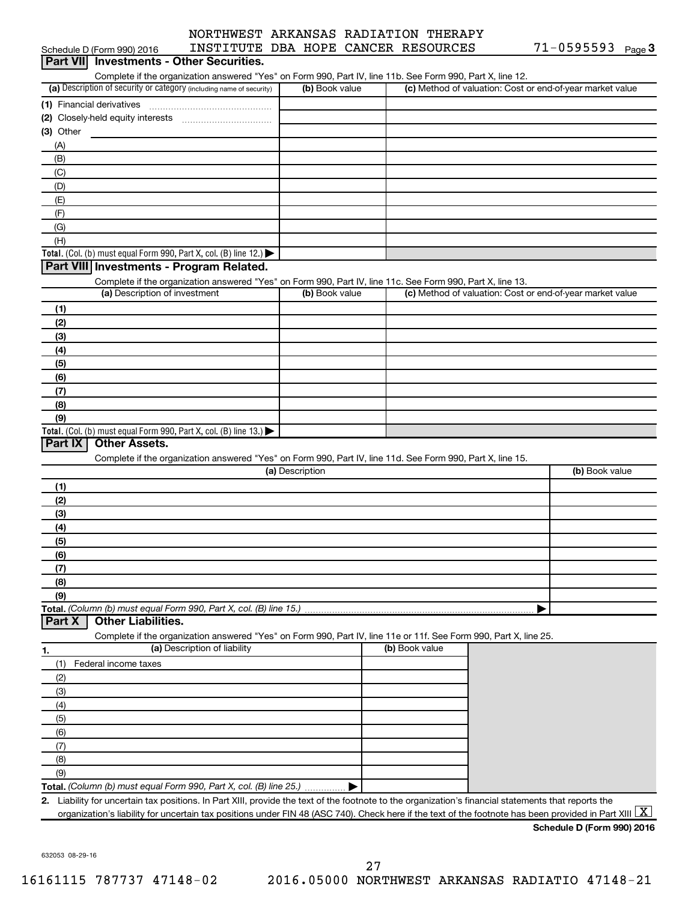|           | Schedule D (Form 990) 2016                                                                                     | INSTITUTE DBA HOPE CANCER RESOURCES                                                                                                                      |                 |                |                                                           | 71-0595593                 | Page 3 |
|-----------|----------------------------------------------------------------------------------------------------------------|----------------------------------------------------------------------------------------------------------------------------------------------------------|-----------------|----------------|-----------------------------------------------------------|----------------------------|--------|
|           | Part VII Investments - Other Securities.                                                                       |                                                                                                                                                          |                 |                |                                                           |                            |        |
|           |                                                                                                                | Complete if the organization answered "Yes" on Form 990, Part IV, line 11b. See Form 990, Part X, line 12.                                               |                 |                |                                                           |                            |        |
|           | (a) Description of security or category (including name of security)                                           |                                                                                                                                                          | (b) Book value  |                | (c) Method of valuation: Cost or end-of-year market value |                            |        |
|           |                                                                                                                |                                                                                                                                                          |                 |                |                                                           |                            |        |
|           |                                                                                                                |                                                                                                                                                          |                 |                |                                                           |                            |        |
| (3) Other |                                                                                                                |                                                                                                                                                          |                 |                |                                                           |                            |        |
| (A)       |                                                                                                                |                                                                                                                                                          |                 |                |                                                           |                            |        |
| (B)       |                                                                                                                |                                                                                                                                                          |                 |                |                                                           |                            |        |
| (C)       |                                                                                                                |                                                                                                                                                          |                 |                |                                                           |                            |        |
| (D)       |                                                                                                                |                                                                                                                                                          |                 |                |                                                           |                            |        |
| (E)       |                                                                                                                |                                                                                                                                                          |                 |                |                                                           |                            |        |
| (F)       |                                                                                                                |                                                                                                                                                          |                 |                |                                                           |                            |        |
| (G)       |                                                                                                                |                                                                                                                                                          |                 |                |                                                           |                            |        |
| (H)       |                                                                                                                |                                                                                                                                                          |                 |                |                                                           |                            |        |
|           | Total. (Col. (b) must equal Form 990, Part X, col. (B) line 12.)                                               |                                                                                                                                                          |                 |                |                                                           |                            |        |
|           | Part VIII Investments - Program Related.                                                                       |                                                                                                                                                          |                 |                |                                                           |                            |        |
|           |                                                                                                                | Complete if the organization answered "Yes" on Form 990, Part IV, line 11c. See Form 990, Part X, line 13.                                               |                 |                |                                                           |                            |        |
|           | (a) Description of investment                                                                                  |                                                                                                                                                          | (b) Book value  |                | (c) Method of valuation: Cost or end-of-year market value |                            |        |
| (1)       |                                                                                                                |                                                                                                                                                          |                 |                |                                                           |                            |        |
| (2)       |                                                                                                                |                                                                                                                                                          |                 |                |                                                           |                            |        |
| (3)       |                                                                                                                |                                                                                                                                                          |                 |                |                                                           |                            |        |
| (4)       |                                                                                                                |                                                                                                                                                          |                 |                |                                                           |                            |        |
| (5)       |                                                                                                                |                                                                                                                                                          |                 |                |                                                           |                            |        |
| (6)       |                                                                                                                |                                                                                                                                                          |                 |                |                                                           |                            |        |
| (7)       |                                                                                                                |                                                                                                                                                          |                 |                |                                                           |                            |        |
| (8)       |                                                                                                                |                                                                                                                                                          |                 |                |                                                           |                            |        |
| (9)       |                                                                                                                |                                                                                                                                                          |                 |                |                                                           |                            |        |
| Part IX   | Total. (Col. (b) must equal Form 990, Part X, col. (B) line 13.) $\blacktriangleright$<br><b>Other Assets.</b> |                                                                                                                                                          |                 |                |                                                           |                            |        |
|           |                                                                                                                |                                                                                                                                                          |                 |                |                                                           |                            |        |
|           |                                                                                                                | Complete if the organization answered "Yes" on Form 990, Part IV, line 11d. See Form 990, Part X, line 15.                                               | (a) Description |                |                                                           | (b) Book value             |        |
| (1)       |                                                                                                                |                                                                                                                                                          |                 |                |                                                           |                            |        |
| (2)       |                                                                                                                |                                                                                                                                                          |                 |                |                                                           |                            |        |
| (3)       |                                                                                                                |                                                                                                                                                          |                 |                |                                                           |                            |        |
| (4)       |                                                                                                                |                                                                                                                                                          |                 |                |                                                           |                            |        |
| (5)       |                                                                                                                |                                                                                                                                                          |                 |                |                                                           |                            |        |
| (6)       |                                                                                                                |                                                                                                                                                          |                 |                |                                                           |                            |        |
| (7)       |                                                                                                                |                                                                                                                                                          |                 |                |                                                           |                            |        |
| (8)       |                                                                                                                |                                                                                                                                                          |                 |                |                                                           |                            |        |
| (9)       |                                                                                                                |                                                                                                                                                          |                 |                |                                                           |                            |        |
|           |                                                                                                                | Total. (Column (b) must equal Form 990, Part X, col. (B) line 15.)                                                                                       |                 |                |                                                           |                            |        |
| Part X    | <b>Other Liabilities.</b>                                                                                      |                                                                                                                                                          |                 |                |                                                           |                            |        |
|           |                                                                                                                | Complete if the organization answered "Yes" on Form 990, Part IV, line 11e or 11f. See Form 990, Part X, line 25.                                        |                 |                |                                                           |                            |        |
| 1.        |                                                                                                                | (a) Description of liability                                                                                                                             |                 | (b) Book value |                                                           |                            |        |
| (1)       | Federal income taxes                                                                                           |                                                                                                                                                          |                 |                |                                                           |                            |        |
| (2)       |                                                                                                                |                                                                                                                                                          |                 |                |                                                           |                            |        |
| (3)       |                                                                                                                |                                                                                                                                                          |                 |                |                                                           |                            |        |
| (4)       |                                                                                                                |                                                                                                                                                          |                 |                |                                                           |                            |        |
| (5)       |                                                                                                                |                                                                                                                                                          |                 |                |                                                           |                            |        |
| (6)       |                                                                                                                |                                                                                                                                                          |                 |                |                                                           |                            |        |
| (7)       |                                                                                                                |                                                                                                                                                          |                 |                |                                                           |                            |        |
| (8)       |                                                                                                                |                                                                                                                                                          |                 |                |                                                           |                            |        |
| (9)       |                                                                                                                |                                                                                                                                                          |                 |                |                                                           |                            |        |
|           |                                                                                                                | Total. (Column (b) must equal Form 990, Part X, col. (B) line 25.)                                                                                       |                 |                |                                                           |                            |        |
|           |                                                                                                                | 2. Liability for uncertain tax positions. In Part XIII, provide the text of the footnote to the organization's financial statements that reports the     |                 |                |                                                           |                            |        |
|           |                                                                                                                | organization's liability for uncertain tax positions under FIN 48 (ASC 740). Check here if the text of the footnote has been provided in Part XIII $ X $ |                 |                |                                                           |                            |        |
|           |                                                                                                                |                                                                                                                                                          |                 |                |                                                           | Schedule D (Form 990) 2016 |        |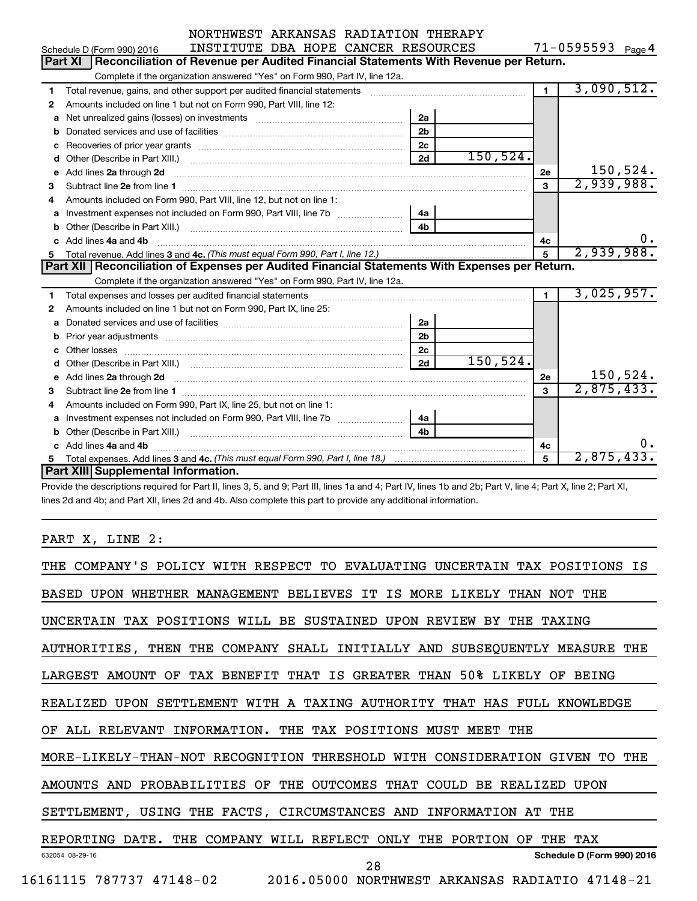| NORTHWEST ARKANSAS RADIATION THERAPY |  |  |  |
|--------------------------------------|--|--|--|
| promimimum ana danang anggotipang    |  |  |  |

**4**  $71 - 0595593$ 

|    | Schedule D (Form 990) 2016<br>INSTITUTE DBA HOPE CANCER RESOURCES                                                                                                                                                                  |                |           |                | $1 - 0595593$ Page 4 |
|----|------------------------------------------------------------------------------------------------------------------------------------------------------------------------------------------------------------------------------------|----------------|-----------|----------------|----------------------|
|    | Part XI<br>Reconciliation of Revenue per Audited Financial Statements With Revenue per Return.                                                                                                                                     |                |           |                |                      |
|    | Complete if the organization answered "Yes" on Form 990, Part IV, line 12a.                                                                                                                                                        |                |           |                |                      |
| 1  | Total revenue, gains, and other support per audited financial statements                                                                                                                                                           |                |           | $\blacksquare$ | 3,090,512.           |
| 2  | Amounts included on line 1 but not on Form 990, Part VIII, line 12:                                                                                                                                                                |                |           |                |                      |
| a  |                                                                                                                                                                                                                                    | 2a             |           |                |                      |
| b  |                                                                                                                                                                                                                                    | 2 <sub>b</sub> |           |                |                      |
| с  |                                                                                                                                                                                                                                    | 2c             |           |                |                      |
| d  |                                                                                                                                                                                                                                    | 2d             | 150, 524. |                |                      |
| е  | Add lines 2a through 2d                                                                                                                                                                                                            |                |           | 2e             | 150, 524.            |
| 3  | Subtract line 2e from line 1                                                                                                                                                                                                       |                |           | 3              | 2,939,988.           |
| 4  | Amounts included on Form 990, Part VIII, line 12, but not on line 1:                                                                                                                                                               |                |           |                |                      |
| a  | Investment expenses not included on Form 990, Part VIII, line 7b [[[[[[[[[[[[[[[[[[[[[[]]]]]]]                                                                                                                                     | 4a             |           |                |                      |
| b  |                                                                                                                                                                                                                                    | 4 <sub>b</sub> |           |                |                      |
|    |                                                                                                                                                                                                                                    |                |           | 4с             | ο.                   |
| C. | Add lines 4a and 4b                                                                                                                                                                                                                |                |           |                |                      |
|    |                                                                                                                                                                                                                                    |                |           | 5              | 2,939,988.           |
|    | Part XII   Reconciliation of Expenses per Audited Financial Statements With Expenses per Return.                                                                                                                                   |                |           |                |                      |
|    | Complete if the organization answered "Yes" on Form 990, Part IV, line 12a.                                                                                                                                                        |                |           |                |                      |
| 1  |                                                                                                                                                                                                                                    |                |           | $\blacksquare$ | 3,025,957.           |
| 2  | Amounts included on line 1 but not on Form 990, Part IX, line 25:                                                                                                                                                                  |                |           |                |                      |
| a  |                                                                                                                                                                                                                                    | 2a             |           |                |                      |
| b  |                                                                                                                                                                                                                                    | 2 <sub>b</sub> |           |                |                      |
| c  |                                                                                                                                                                                                                                    | 2 <sub>c</sub> |           |                |                      |
|    |                                                                                                                                                                                                                                    | 2d             | 150, 524. |                |                      |
| е  | Add lines 2a through 2d <b>contained a contained a contained a contained a</b> contained a contained a contained a contained a contact a contact a contact a contact a contact a contact a contact a contact a contact a contact a |                |           | 2e             | 150,524.             |
| 3  |                                                                                                                                                                                                                                    |                |           | 3              | 2,875,433.           |
| 4  | Amounts included on Form 990, Part IX, line 25, but not on line 1:                                                                                                                                                                 |                |           |                |                      |
| a  |                                                                                                                                                                                                                                    | 4a             |           |                |                      |
| b  |                                                                                                                                                                                                                                    | 4 <b>h</b>     |           |                |                      |
|    | c Add lines 4a and 4b                                                                                                                                                                                                              |                |           | 4c             | ο.                   |
| 5. | Part XIII Supplemental Information.                                                                                                                                                                                                |                |           | 5              | 2,875,433.           |

Provide the descriptions required for Part II, lines 3, 5, and 9; Part III, lines 1a and 4; Part IV, lines 1b and 2b; Part V, line 4; Part X, line 2; Part XI, lines 2d and 4b; and Part XII, lines 2d and 4b. Also complete this part to provide any additional information.

## PART X, LINE 2:

| COMPANY'S POLICY WITH RESPECT TO<br>EVALUATING UNCERTAIN TAX POSITIONS<br>THE<br>ΙS |
|-------------------------------------------------------------------------------------|
| BASED UPON WHETHER MANAGEMENT BELIEVES IT<br>IS MORE LIKELY THAN NOT<br>THE.        |
| UNCERTAIN TAX POSITIONS WILL BE SUSTAINED UPON REVIEW BY THE<br><b>TAXTNG</b>       |
| AUTHORITIES, THEN THE COMPANY SHALL INITIALLY AND SUBSEQUENTLY MEASURE THE          |
| IS GREATER THAN 50% LIKELY OF<br>TAX BENEFIT THAT<br>LARGEST AMOUNT<br>OF<br>BEING  |
| SETTLEMENT WITH A TAXING AUTHORITY THAT HAS FULL KNOWLEDGE<br>REALIZED UPON         |
| INFORMATION. THE TAX POSITIONS MUST MEET THE<br>ALL RELEVANT<br>OF.                 |
| MORE-LIKELY-THAN-NOT RECOGNITION THRESHOLD<br>WITH CONSIDERATION GIVEN<br>TO THE    |
| PROBABILITIES OF<br>THE OUTCOMES THAT<br>AMOUNTS AND<br>COULD BE REALIZED<br>UPON   |
| SETTLEMENT, USING THE FACTS, CIRCUMSTANCES AND<br>INFORMATION AT<br>THE             |
| REPORTING DATE.<br>THE COMPANY WILL REFLECT<br>ONLY THE PORTION<br>THE TAX<br>OF    |
| Schedule D (Form 990) 2016<br>632054 08-29-16<br>28                                 |
| 16161115<br>787737 47148-02<br>2016.05000 NORTHWEST ARKANSAS RADIATIO 47148-21      |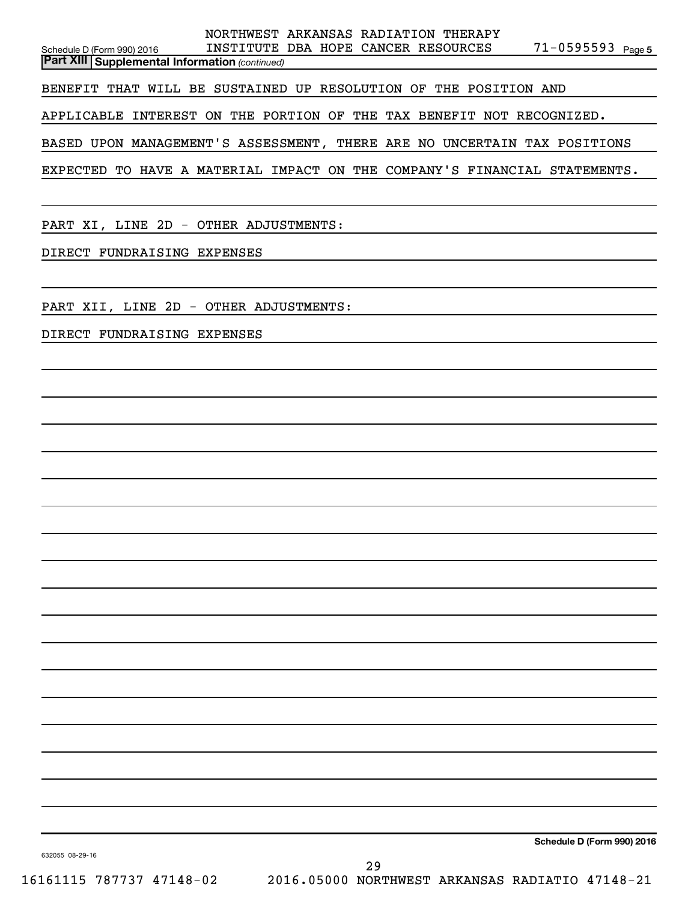|                                                                           | NORTHWEST ARKANSAS RADIATION THERAPY |  |  |                       |  |  |  |  |  |  |  |  |
|---------------------------------------------------------------------------|--------------------------------------|--|--|-----------------------|--|--|--|--|--|--|--|--|
| Schedule D (Form 990) 2016                                                | INSTITUTE DBA HOPE CANCER RESOURCES  |  |  | $71 - 0595593$ Page 5 |  |  |  |  |  |  |  |  |
| <b>Part XIII   Supplemental Information (continued)</b>                   |                                      |  |  |                       |  |  |  |  |  |  |  |  |
| BENEFIT THAT WILL BE SUSTAINED UP RESOLUTION OF THE POSITION AND          |                                      |  |  |                       |  |  |  |  |  |  |  |  |
| APPLICABLE INTEREST ON THE PORTION OF THE TAX BENEFIT NOT RECOGNIZED.     |                                      |  |  |                       |  |  |  |  |  |  |  |  |
| BASED UPON MANAGEMENT'S ASSESSMENT, THERE ARE NO UNCERTAIN TAX POSITIONS  |                                      |  |  |                       |  |  |  |  |  |  |  |  |
| EXPECTED TO HAVE A MATERIAL IMPACT ON THE COMPANY'S FINANCIAL STATEMENTS. |                                      |  |  |                       |  |  |  |  |  |  |  |  |
|                                                                           |                                      |  |  |                       |  |  |  |  |  |  |  |  |

PART XI, LINE 2D - OTHER ADJUSTMENTS:

DIRECT FUNDRAISING EXPENSES

PART XII, LINE 2D - OTHER ADJUSTMENTS:

DIRECT FUNDRAISING EXPENSES

**Schedule D (Form 990) 2016**

632055 08-29-16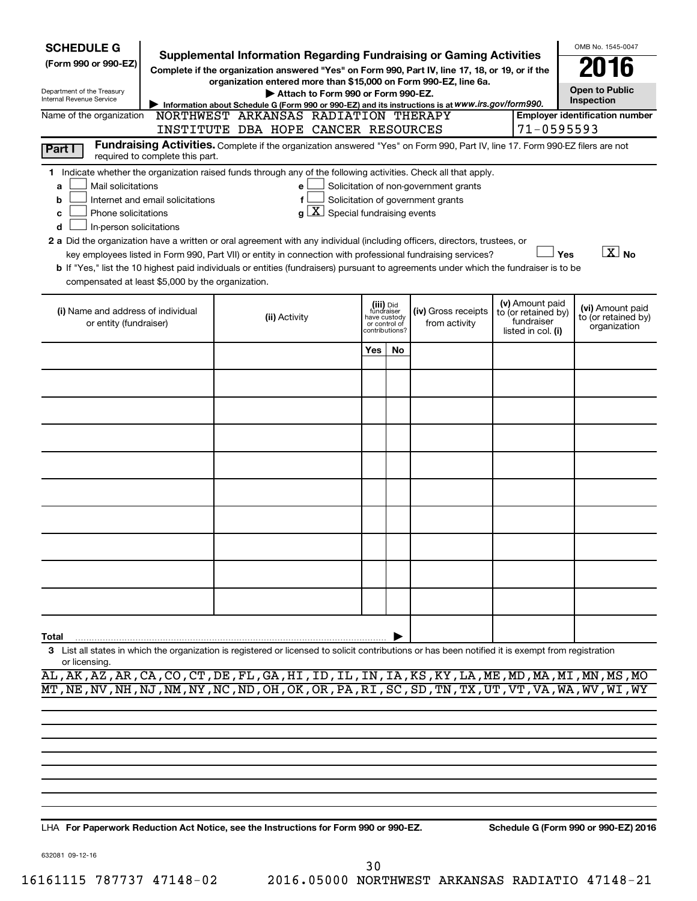| <b>SCHEDULE G</b>                                                                                                                                                                                                                                                                                                                                                                                                                                                                                                                                                                                                                                                                                                                                                                                                                                               |                                      |               |  |                                    |                                                                            |    | Supplemental Information Regarding Fundraising or Gaming Activities                                                                                                   |  |            | OMB No. 1545-0047                                       |  |  |
|-----------------------------------------------------------------------------------------------------------------------------------------------------------------------------------------------------------------------------------------------------------------------------------------------------------------------------------------------------------------------------------------------------------------------------------------------------------------------------------------------------------------------------------------------------------------------------------------------------------------------------------------------------------------------------------------------------------------------------------------------------------------------------------------------------------------------------------------------------------------|--------------------------------------|---------------|--|------------------------------------|----------------------------------------------------------------------------|----|-----------------------------------------------------------------------------------------------------------------------------------------------------------------------|--|------------|---------------------------------------------------------|--|--|
| (Form 990 or 990-EZ)                                                                                                                                                                                                                                                                                                                                                                                                                                                                                                                                                                                                                                                                                                                                                                                                                                            |                                      |               |  |                                    |                                                                            |    | Complete if the organization answered "Yes" on Form 990, Part IV, line 17, 18, or 19, or if the                                                                       |  |            |                                                         |  |  |
| Department of the Treasury<br>Internal Revenue Service                                                                                                                                                                                                                                                                                                                                                                                                                                                                                                                                                                                                                                                                                                                                                                                                          |                                      |               |  | Attach to Form 990 or Form 990-EZ. |                                                                            |    | organization entered more than \$15,000 on Form 990-EZ, line 6a.<br>Information about Schedule G (Form 990 or 990-EZ) and its instructions is at WWW.irs.gov/form990. |  |            | <b>Open to Public</b><br>Inspection                     |  |  |
| Name of the organization                                                                                                                                                                                                                                                                                                                                                                                                                                                                                                                                                                                                                                                                                                                                                                                                                                        | NORTHWEST ARKANSAS RADIATION THERAPY |               |  |                                    |                                                                            |    |                                                                                                                                                                       |  |            | <b>Employer identification number</b>                   |  |  |
|                                                                                                                                                                                                                                                                                                                                                                                                                                                                                                                                                                                                                                                                                                                                                                                                                                                                 | INSTITUTE DBA HOPE CANCER RESOURCES  |               |  |                                    |                                                                            |    | Fundraising Activities. Complete if the organization answered "Yes" on Form 990, Part IV, line 17. Form 990-EZ filers are not                                         |  | 71-0595593 |                                                         |  |  |
| Part I                                                                                                                                                                                                                                                                                                                                                                                                                                                                                                                                                                                                                                                                                                                                                                                                                                                          | required to complete this part.      |               |  |                                    |                                                                            |    |                                                                                                                                                                       |  |            |                                                         |  |  |
| 1 Indicate whether the organization raised funds through any of the following activities. Check all that apply.<br>Mail solicitations<br>Solicitation of non-government grants<br>e<br>a<br>Solicitation of government grants<br>Internet and email solicitations<br>f<br>b<br>$q\overline{X}$<br>Special fundraising events<br>Phone solicitations<br>с<br>In-person solicitations<br>d<br>2 a Did the organization have a written or oral agreement with any individual (including officers, directors, trustees, or<br>$\overline{X}$ No<br>Yes<br>key employees listed in Form 990, Part VII) or entity in connection with professional fundraising services?<br>b If "Yes," list the 10 highest paid individuals or entities (fundraisers) pursuant to agreements under which the fundraiser is to be<br>compensated at least \$5,000 by the organization. |                                      |               |  |                                    |                                                                            |    |                                                                                                                                                                       |  |            |                                                         |  |  |
| (i) Name and address of individual<br>or entity (fundraiser)                                                                                                                                                                                                                                                                                                                                                                                                                                                                                                                                                                                                                                                                                                                                                                                                    |                                      | (ii) Activity |  |                                    | (iii) Did<br>fundraiser<br>have custody<br>or control of<br>contributions? |    | (v) Amount paid<br>(iv) Gross receipts<br>to (or retained by)<br>fundraiser<br>from activity<br>listed in col. (i)                                                    |  |            | (vi) Amount paid<br>to (or retained by)<br>organization |  |  |
|                                                                                                                                                                                                                                                                                                                                                                                                                                                                                                                                                                                                                                                                                                                                                                                                                                                                 |                                      |               |  |                                    | Yes                                                                        | No |                                                                                                                                                                       |  |            |                                                         |  |  |
|                                                                                                                                                                                                                                                                                                                                                                                                                                                                                                                                                                                                                                                                                                                                                                                                                                                                 |                                      |               |  |                                    |                                                                            |    |                                                                                                                                                                       |  |            |                                                         |  |  |
|                                                                                                                                                                                                                                                                                                                                                                                                                                                                                                                                                                                                                                                                                                                                                                                                                                                                 |                                      |               |  |                                    |                                                                            |    |                                                                                                                                                                       |  |            |                                                         |  |  |
|                                                                                                                                                                                                                                                                                                                                                                                                                                                                                                                                                                                                                                                                                                                                                                                                                                                                 |                                      |               |  |                                    |                                                                            |    |                                                                                                                                                                       |  |            |                                                         |  |  |
|                                                                                                                                                                                                                                                                                                                                                                                                                                                                                                                                                                                                                                                                                                                                                                                                                                                                 |                                      |               |  |                                    |                                                                            |    |                                                                                                                                                                       |  |            |                                                         |  |  |
|                                                                                                                                                                                                                                                                                                                                                                                                                                                                                                                                                                                                                                                                                                                                                                                                                                                                 |                                      |               |  |                                    |                                                                            |    |                                                                                                                                                                       |  |            |                                                         |  |  |
|                                                                                                                                                                                                                                                                                                                                                                                                                                                                                                                                                                                                                                                                                                                                                                                                                                                                 |                                      |               |  |                                    |                                                                            |    |                                                                                                                                                                       |  |            |                                                         |  |  |
|                                                                                                                                                                                                                                                                                                                                                                                                                                                                                                                                                                                                                                                                                                                                                                                                                                                                 |                                      |               |  |                                    |                                                                            |    |                                                                                                                                                                       |  |            |                                                         |  |  |
|                                                                                                                                                                                                                                                                                                                                                                                                                                                                                                                                                                                                                                                                                                                                                                                                                                                                 |                                      |               |  |                                    |                                                                            |    |                                                                                                                                                                       |  |            |                                                         |  |  |
|                                                                                                                                                                                                                                                                                                                                                                                                                                                                                                                                                                                                                                                                                                                                                                                                                                                                 |                                      |               |  |                                    |                                                                            |    |                                                                                                                                                                       |  |            |                                                         |  |  |
| Total                                                                                                                                                                                                                                                                                                                                                                                                                                                                                                                                                                                                                                                                                                                                                                                                                                                           |                                      |               |  |                                    |                                                                            |    |                                                                                                                                                                       |  |            |                                                         |  |  |
| 3 List all states in which the organization is registered or licensed to solicit contributions or has been notified it is exempt from registration<br>or licensing.                                                                                                                                                                                                                                                                                                                                                                                                                                                                                                                                                                                                                                                                                             |                                      |               |  |                                    |                                                                            |    |                                                                                                                                                                       |  |            |                                                         |  |  |

AL,AK,AZ,AR,CA,CO,CT,DE,FL,GA,HI,ID,IL,IN,IA,KS,KY,LA,ME,MD,MA,MI,MN,MS,MO MT,NE,NV,NH,NJ,NM,NY,NC,ND,OH,OK,OR,PA,RI,SC,SD,TN,TX,UT,VT,VA,WA,WV,WI,WY

**For Paperwork Reduction Act Notice, see the Instructions for Form 990 or 990-EZ. Schedule G (Form 990 or 990-EZ) 2016** LHA

632081 09-12-16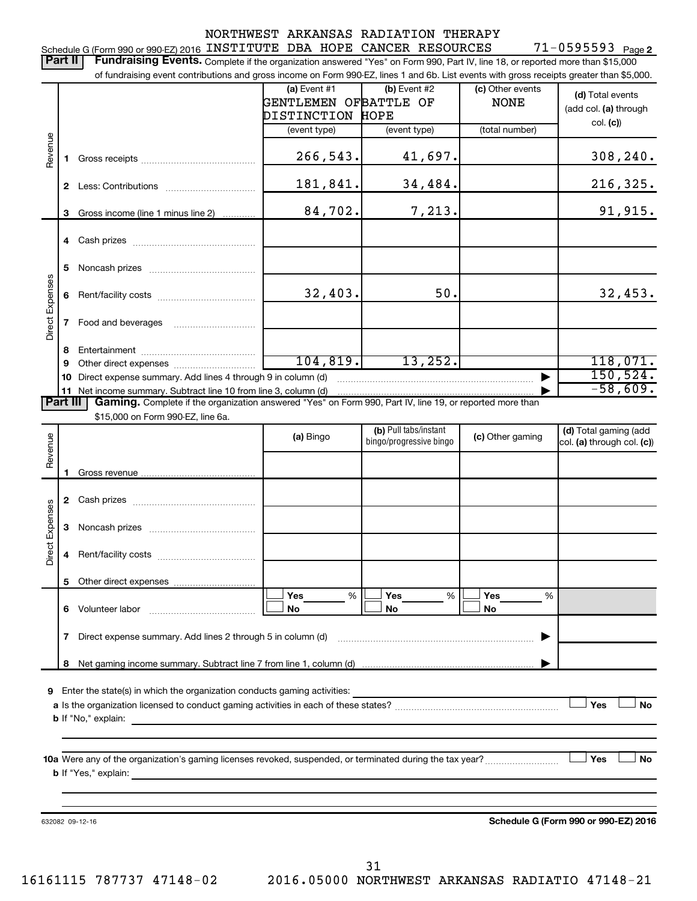|                 |          |                                                                                                                                                                                                                                                                            |                       | NORTHWEST ARKANSAS RADIATION THERAPY |                  |                                      |
|-----------------|----------|----------------------------------------------------------------------------------------------------------------------------------------------------------------------------------------------------------------------------------------------------------------------------|-----------------------|--------------------------------------|------------------|--------------------------------------|
|                 | Part II  | Schedule G (Form 990 or 990-EZ) 2016 INSTITUTE DBA HOPE CANCER RESOURCES                                                                                                                                                                                                   |                       |                                      |                  | $71 - 0595593$ Page 2                |
|                 |          | Fundraising Events. Complete if the organization answered "Yes" on Form 990, Part IV, line 18, or reported more than \$15,000<br>of fundraising event contributions and gross income on Form 990-EZ, lines 1 and 6b. List events with gross receipts greater than \$5,000. |                       |                                      |                  |                                      |
|                 |          |                                                                                                                                                                                                                                                                            | (a) Event #1          | (b) Event #2                         | (c) Other events |                                      |
|                 |          |                                                                                                                                                                                                                                                                            | GENTLEMEN OFBATTLE OF |                                      | <b>NONE</b>      | (d) Total events                     |
|                 |          |                                                                                                                                                                                                                                                                            | DISTINCTION HOPE      |                                      |                  | (add col. (a) through                |
|                 |          |                                                                                                                                                                                                                                                                            | (event type)          | (event type)                         | (total number)   | col. (c)                             |
| Revenue         |          |                                                                                                                                                                                                                                                                            |                       |                                      |                  |                                      |
|                 | 1.       |                                                                                                                                                                                                                                                                            | 266,543.              | 41,697.                              |                  | 308, 240.                            |
|                 |          |                                                                                                                                                                                                                                                                            | 181,841.              | 34,484.                              |                  | 216,325.                             |
|                 |          |                                                                                                                                                                                                                                                                            | 84,702.               | 7,213.                               |                  | 91,915.                              |
|                 | 3        | Gross income (line 1 minus line 2)                                                                                                                                                                                                                                         |                       |                                      |                  |                                      |
|                 |          |                                                                                                                                                                                                                                                                            |                       |                                      |                  |                                      |
|                 |          |                                                                                                                                                                                                                                                                            |                       |                                      |                  |                                      |
|                 | 5        |                                                                                                                                                                                                                                                                            |                       |                                      |                  |                                      |
|                 |          |                                                                                                                                                                                                                                                                            |                       |                                      |                  |                                      |
|                 | 6        |                                                                                                                                                                                                                                                                            | 32,403.               | 50.                                  |                  | 32,453.                              |
| Direct Expenses |          |                                                                                                                                                                                                                                                                            |                       |                                      |                  |                                      |
|                 | 7        |                                                                                                                                                                                                                                                                            |                       |                                      |                  |                                      |
|                 | 8        |                                                                                                                                                                                                                                                                            |                       |                                      |                  |                                      |
|                 | 9        |                                                                                                                                                                                                                                                                            | 104, 819.             | 13,252.                              |                  | 118,071.                             |
|                 | 10       | Direct expense summary. Add lines 4 through 9 in column (d)                                                                                                                                                                                                                |                       |                                      |                  | 150, 524.                            |
|                 |          | 11 Net income summary. Subtract line 10 from line 3, column (d)                                                                                                                                                                                                            |                       |                                      |                  | $-58,609.$                           |
|                 | Part III | Gaming. Complete if the organization answered "Yes" on Form 990, Part IV, line 19, or reported more than<br>\$15,000 on Form 990-EZ, line 6a.                                                                                                                              |                       |                                      |                  |                                      |
|                 |          |                                                                                                                                                                                                                                                                            |                       | (b) Pull tabs/instant                |                  | (d) Total gaming (add                |
| Revenue         |          |                                                                                                                                                                                                                                                                            | (a) Bingo             | bingo/progressive bingo              | (c) Other gaming | col. (a) through col. (c))           |
|                 |          |                                                                                                                                                                                                                                                                            |                       |                                      |                  |                                      |
|                 | 1        |                                                                                                                                                                                                                                                                            |                       |                                      |                  |                                      |
|                 |          |                                                                                                                                                                                                                                                                            |                       |                                      |                  |                                      |
|                 |          |                                                                                                                                                                                                                                                                            |                       |                                      |                  |                                      |
| Expenses        |          |                                                                                                                                                                                                                                                                            |                       |                                      |                  |                                      |
|                 |          |                                                                                                                                                                                                                                                                            |                       |                                      |                  |                                      |
| Direct          | 4        |                                                                                                                                                                                                                                                                            |                       |                                      |                  |                                      |
|                 |          |                                                                                                                                                                                                                                                                            |                       |                                      |                  |                                      |
|                 | 5        |                                                                                                                                                                                                                                                                            | Yes<br>%              | Yes<br>%                             | Yes<br>%         |                                      |
|                 |          | 6 Volunteer labor                                                                                                                                                                                                                                                          | <b>No</b>             | No                                   | No               |                                      |
|                 |          |                                                                                                                                                                                                                                                                            |                       |                                      |                  |                                      |
|                 | 7        | Direct expense summary. Add lines 2 through 5 in column (d)                                                                                                                                                                                                                |                       |                                      |                  |                                      |
|                 | 8        |                                                                                                                                                                                                                                                                            |                       |                                      |                  |                                      |
|                 |          |                                                                                                                                                                                                                                                                            |                       |                                      |                  |                                      |
|                 |          | 9 Enter the state(s) in which the organization conducts gaming activities:                                                                                                                                                                                                 |                       |                                      |                  |                                      |
|                 |          |                                                                                                                                                                                                                                                                            |                       |                                      |                  | Yes<br>No                            |
|                 |          |                                                                                                                                                                                                                                                                            |                       |                                      |                  |                                      |
|                 |          |                                                                                                                                                                                                                                                                            |                       |                                      |                  |                                      |
|                 |          |                                                                                                                                                                                                                                                                            |                       |                                      |                  | No<br>Yes                            |
|                 |          | <b>b</b> If "Yes," explain:<br>and the control of the control of the control of the control of the control of the control of the control of the                                                                                                                            |                       |                                      |                  |                                      |
|                 |          |                                                                                                                                                                                                                                                                            |                       |                                      |                  |                                      |
|                 |          |                                                                                                                                                                                                                                                                            |                       |                                      |                  |                                      |
|                 |          | 632082 09-12-16                                                                                                                                                                                                                                                            |                       |                                      |                  | Schedule G (Form 990 or 990-EZ) 2016 |
|                 |          |                                                                                                                                                                                                                                                                            |                       |                                      |                  |                                      |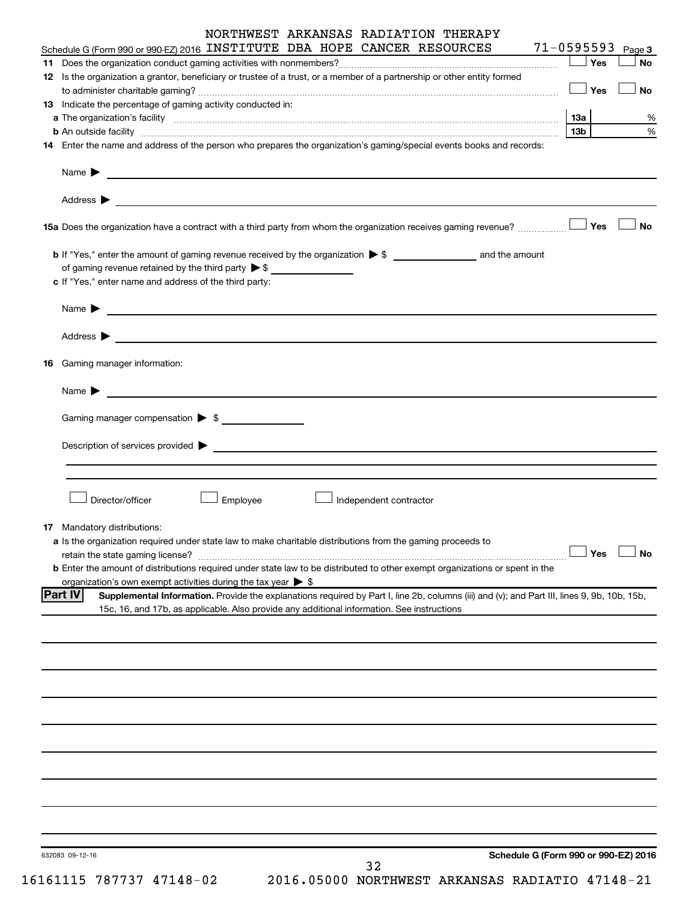|                                                                                                                                                                                                                                |          |                        | NORTHWEST ARKANSAS RADIATION THERAPY                                                                                                        |                                      |                       |           |
|--------------------------------------------------------------------------------------------------------------------------------------------------------------------------------------------------------------------------------|----------|------------------------|---------------------------------------------------------------------------------------------------------------------------------------------|--------------------------------------|-----------------------|-----------|
| Schedule G (Form 990 or 990-EZ) 2016 INSTITUTE DBA HOPE CANCER RESOURCES                                                                                                                                                       |          |                        |                                                                                                                                             |                                      | $71 - 0595593$ Page 3 |           |
|                                                                                                                                                                                                                                |          |                        |                                                                                                                                             |                                      | $\Box$ Yes            | <b>No</b> |
| 12 Is the organization a grantor, beneficiary or trustee of a trust, or a member of a partnership or other entity formed                                                                                                       |          |                        |                                                                                                                                             |                                      | $\Box$ Yes            | <b>No</b> |
| 13 Indicate the percentage of gaming activity conducted in:                                                                                                                                                                    |          |                        |                                                                                                                                             |                                      |                       |           |
| a The organization's facility encourance and contained a construction of the organization's facility                                                                                                                           |          |                        |                                                                                                                                             |                                      | 13а                   | %         |
|                                                                                                                                                                                                                                |          |                        |                                                                                                                                             |                                      | 13b l                 | $\%$      |
| 14 Enter the name and address of the person who prepares the organization's gaming/special events books and records:                                                                                                           |          |                        |                                                                                                                                             |                                      |                       |           |
| Name $\blacktriangleright$<br>and the control of the control of the control of the control of the control of the control of the control of the                                                                                 |          |                        |                                                                                                                                             |                                      |                       |           |
|                                                                                                                                                                                                                                |          |                        |                                                                                                                                             |                                      |                       |           |
|                                                                                                                                                                                                                                |          |                        |                                                                                                                                             |                                      |                       | <b>No</b> |
|                                                                                                                                                                                                                                |          |                        |                                                                                                                                             |                                      |                       |           |
| of gaming revenue retained by the third party $\triangleright$ \$                                                                                                                                                              |          |                        |                                                                                                                                             |                                      |                       |           |
| c If "Yes," enter name and address of the third party:                                                                                                                                                                         |          |                        |                                                                                                                                             |                                      |                       |           |
| Name $\blacktriangleright$<br><u> 1989 - Johann John Stein, markin f</u>                                                                                                                                                       |          |                        |                                                                                                                                             |                                      |                       |           |
|                                                                                                                                                                                                                                |          |                        |                                                                                                                                             |                                      |                       |           |
| <b>16</b> Gaming manager information:                                                                                                                                                                                          |          |                        |                                                                                                                                             |                                      |                       |           |
| Name $\blacktriangleright$                                                                                                                                                                                                     |          |                        |                                                                                                                                             |                                      |                       |           |
| Gaming manager compensation > \$                                                                                                                                                                                               |          |                        |                                                                                                                                             |                                      |                       |           |
| Description of services provided states and the contract of the contract of the contract of the contract of the contract of the contract of the contract of the contract of the contract of the contract of the contract of th |          |                        |                                                                                                                                             |                                      |                       |           |
|                                                                                                                                                                                                                                |          |                        |                                                                                                                                             |                                      |                       |           |
| Director/officer                                                                                                                                                                                                               | Employee | Independent contractor |                                                                                                                                             |                                      |                       |           |
|                                                                                                                                                                                                                                |          |                        |                                                                                                                                             |                                      |                       |           |
| 17 Mandatory distributions:<br>a Is the organization required under state law to make charitable distributions from the gaming proceeds to                                                                                     |          |                        |                                                                                                                                             |                                      |                       |           |
| retain the state gaming license?                                                                                                                                                                                               |          |                        |                                                                                                                                             |                                      | Yes                   | <b>No</b> |
| <b>b</b> Enter the amount of distributions required under state law to be distributed to other exempt organizations or spent in the                                                                                            |          |                        |                                                                                                                                             |                                      |                       |           |
| organization's own exempt activities during the tax year $\triangleright$ \$                                                                                                                                                   |          |                        |                                                                                                                                             |                                      |                       |           |
| <b>Part IV</b><br>15c, 16, and 17b, as applicable. Also provide any additional information. See instructions                                                                                                                   |          |                        | Supplemental Information. Provide the explanations required by Part I, line 2b, columns (iii) and (v); and Part III, lines 9, 9b, 10b, 15b, |                                      |                       |           |
|                                                                                                                                                                                                                                |          |                        |                                                                                                                                             |                                      |                       |           |
|                                                                                                                                                                                                                                |          |                        |                                                                                                                                             |                                      |                       |           |
|                                                                                                                                                                                                                                |          |                        |                                                                                                                                             |                                      |                       |           |
|                                                                                                                                                                                                                                |          |                        |                                                                                                                                             |                                      |                       |           |
|                                                                                                                                                                                                                                |          |                        |                                                                                                                                             |                                      |                       |           |
|                                                                                                                                                                                                                                |          |                        |                                                                                                                                             |                                      |                       |           |
|                                                                                                                                                                                                                                |          |                        |                                                                                                                                             |                                      |                       |           |
|                                                                                                                                                                                                                                |          |                        |                                                                                                                                             |                                      |                       |           |
|                                                                                                                                                                                                                                |          |                        |                                                                                                                                             |                                      |                       |           |
|                                                                                                                                                                                                                                |          |                        |                                                                                                                                             |                                      |                       |           |
|                                                                                                                                                                                                                                |          |                        |                                                                                                                                             |                                      |                       |           |
|                                                                                                                                                                                                                                |          |                        |                                                                                                                                             |                                      |                       |           |
|                                                                                                                                                                                                                                |          |                        |                                                                                                                                             |                                      |                       |           |
|                                                                                                                                                                                                                                |          |                        |                                                                                                                                             |                                      |                       |           |
| 632083 09-12-16                                                                                                                                                                                                                |          |                        |                                                                                                                                             | Schedule G (Form 990 or 990-EZ) 2016 |                       |           |
|                                                                                                                                                                                                                                |          | 32                     |                                                                                                                                             |                                      |                       |           |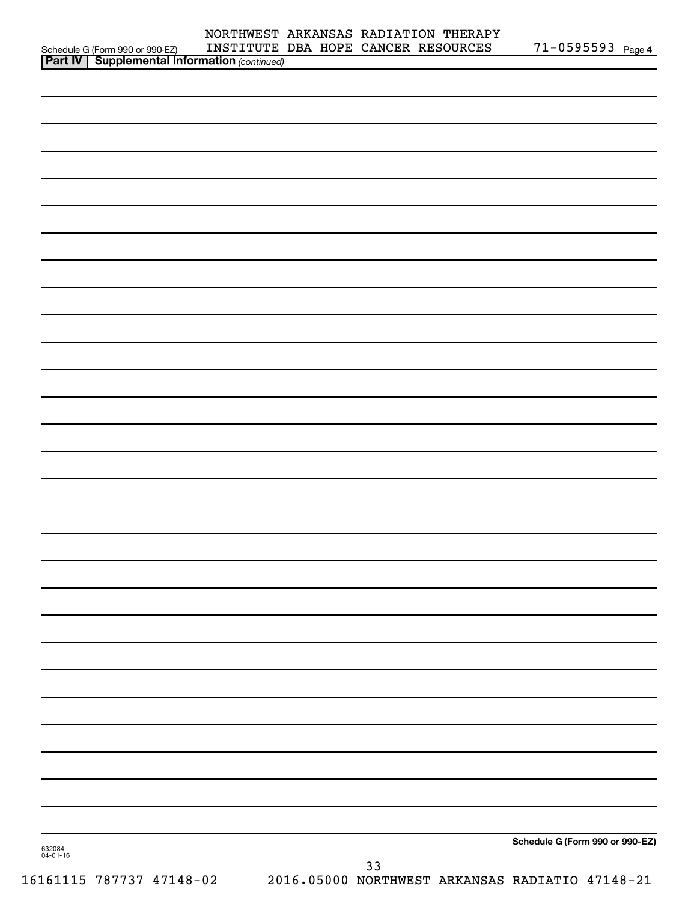|                                                                                                      |  | NORTHWEST ARKANSAS RADIATION THERAPY<br>INSTITUTE DBA HOPE CANCER RESOURCES | $71 - 0595593$ Page 4 |
|------------------------------------------------------------------------------------------------------|--|-----------------------------------------------------------------------------|-----------------------|
| Schedule G (Form 990 or 990-EZ) INSTITUTE<br><b>  Part IV   Supplemental Information</b> (continued) |  |                                                                             |                       |
|                                                                                                      |  |                                                                             |                       |
|                                                                                                      |  |                                                                             |                       |
|                                                                                                      |  |                                                                             |                       |
|                                                                                                      |  |                                                                             |                       |
|                                                                                                      |  |                                                                             |                       |
|                                                                                                      |  |                                                                             |                       |
|                                                                                                      |  |                                                                             |                       |
|                                                                                                      |  |                                                                             |                       |
|                                                                                                      |  |                                                                             |                       |
|                                                                                                      |  |                                                                             |                       |
|                                                                                                      |  |                                                                             |                       |
|                                                                                                      |  |                                                                             |                       |
|                                                                                                      |  |                                                                             |                       |
|                                                                                                      |  |                                                                             |                       |
|                                                                                                      |  |                                                                             |                       |
|                                                                                                      |  |                                                                             |                       |
|                                                                                                      |  |                                                                             |                       |
|                                                                                                      |  |                                                                             |                       |
|                                                                                                      |  |                                                                             |                       |
|                                                                                                      |  |                                                                             |                       |
|                                                                                                      |  |                                                                             |                       |
|                                                                                                      |  |                                                                             |                       |
|                                                                                                      |  |                                                                             |                       |
|                                                                                                      |  |                                                                             |                       |
|                                                                                                      |  |                                                                             |                       |
|                                                                                                      |  |                                                                             |                       |
|                                                                                                      |  |                                                                             |                       |
|                                                                                                      |  |                                                                             |                       |
|                                                                                                      |  |                                                                             |                       |
|                                                                                                      |  |                                                                             |                       |
|                                                                                                      |  |                                                                             |                       |
|                                                                                                      |  |                                                                             |                       |
|                                                                                                      |  |                                                                             |                       |
|                                                                                                      |  |                                                                             |                       |
|                                                                                                      |  |                                                                             |                       |
|                                                                                                      |  |                                                                             |                       |
|                                                                                                      |  |                                                                             |                       |
|                                                                                                      |  |                                                                             |                       |
|                                                                                                      |  |                                                                             |                       |
|                                                                                                      |  |                                                                             |                       |
|                                                                                                      |  |                                                                             |                       |
|                                                                                                      |  |                                                                             |                       |
|                                                                                                      |  |                                                                             |                       |

**Schedule G (Form 990 or 990-EZ)**

632084 04-01-16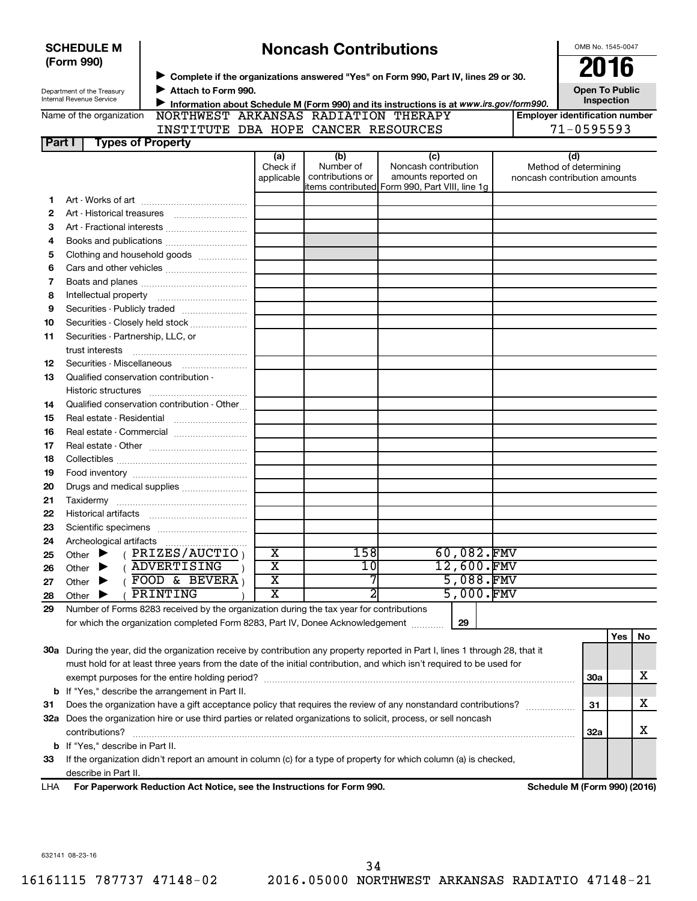|        | <b>SCHEDULE M</b>                                                                                                                                                                                                                   |                                                                                                                                 |                                                  | <b>Noncash Contributions</b> |                                                                       | OMB No. 1545-0047 |                              |                                       |     |    |
|--------|-------------------------------------------------------------------------------------------------------------------------------------------------------------------------------------------------------------------------------------|---------------------------------------------------------------------------------------------------------------------------------|--------------------------------------------------|------------------------------|-----------------------------------------------------------------------|-------------------|------------------------------|---------------------------------------|-----|----|
|        | (Form 990)                                                                                                                                                                                                                          |                                                                                                                                 |                                                  |                              |                                                                       |                   |                              | 2016                                  |     |    |
|        |                                                                                                                                                                                                                                     | ▶ Complete if the organizations answered "Yes" on Form 990, Part IV, lines 29 or 30.                                            |                                                  |                              |                                                                       |                   |                              |                                       |     |    |
|        | Department of the Treasury<br>Internal Revenue Service                                                                                                                                                                              | Attach to Form 990.                                                                                                             |                                                  |                              |                                                                       |                   |                              | <b>Open To Public</b><br>Inspection   |     |    |
|        | Name of the organization                                                                                                                                                                                                            | Information about Schedule M (Form 990) and its instructions is at www.irs.gov/form990.<br>NORTHWEST ARKANSAS RADIATION THERAPY |                                                  |                              |                                                                       |                   |                              | <b>Employer identification number</b> |     |    |
|        |                                                                                                                                                                                                                                     | INSTITUTE DBA HOPE CANCER RESOURCES                                                                                             |                                                  |                              |                                                                       |                   |                              | $71 - 0595593$                        |     |    |
| Part I |                                                                                                                                                                                                                                     | <b>Types of Property</b>                                                                                                        |                                                  |                              |                                                                       |                   |                              |                                       |     |    |
|        |                                                                                                                                                                                                                                     |                                                                                                                                 | (a)                                              | (b)                          | (c)                                                                   |                   |                              | (d)                                   |     |    |
|        |                                                                                                                                                                                                                                     |                                                                                                                                 | Check if                                         | Number of                    | Noncash contribution                                                  |                   |                              | Method of determining                 |     |    |
|        |                                                                                                                                                                                                                                     |                                                                                                                                 | applicable                                       | contributions or             | amounts reported on<br>items contributed Form 990, Part VIII, line 1g |                   | noncash contribution amounts |                                       |     |    |
| 1      |                                                                                                                                                                                                                                     |                                                                                                                                 |                                                  |                              |                                                                       |                   |                              |                                       |     |    |
| 2      |                                                                                                                                                                                                                                     |                                                                                                                                 |                                                  |                              |                                                                       |                   |                              |                                       |     |    |
| З      |                                                                                                                                                                                                                                     |                                                                                                                                 |                                                  |                              |                                                                       |                   |                              |                                       |     |    |
| 4      |                                                                                                                                                                                                                                     | Books and publications                                                                                                          |                                                  |                              |                                                                       |                   |                              |                                       |     |    |
| 5      |                                                                                                                                                                                                                                     | Clothing and household goods                                                                                                    |                                                  |                              |                                                                       |                   |                              |                                       |     |    |
| 6      |                                                                                                                                                                                                                                     |                                                                                                                                 |                                                  |                              |                                                                       |                   |                              |                                       |     |    |
| 7      |                                                                                                                                                                                                                                     |                                                                                                                                 |                                                  |                              |                                                                       |                   |                              |                                       |     |    |
| 8      |                                                                                                                                                                                                                                     |                                                                                                                                 |                                                  |                              |                                                                       |                   |                              |                                       |     |    |
| 9      |                                                                                                                                                                                                                                     | Securities - Publicly traded                                                                                                    |                                                  |                              |                                                                       |                   |                              |                                       |     |    |
| 10     |                                                                                                                                                                                                                                     | Securities - Closely held stock                                                                                                 |                                                  |                              |                                                                       |                   |                              |                                       |     |    |
| 11     | Securities - Partnership, LLC, or                                                                                                                                                                                                   |                                                                                                                                 |                                                  |                              |                                                                       |                   |                              |                                       |     |    |
|        | trust interests                                                                                                                                                                                                                     |                                                                                                                                 |                                                  |                              |                                                                       |                   |                              |                                       |     |    |
| 12     |                                                                                                                                                                                                                                     | Securities - Miscellaneous                                                                                                      |                                                  |                              |                                                                       |                   |                              |                                       |     |    |
| 13     |                                                                                                                                                                                                                                     | Qualified conservation contribution -                                                                                           |                                                  |                              |                                                                       |                   |                              |                                       |     |    |
|        |                                                                                                                                                                                                                                     |                                                                                                                                 |                                                  |                              |                                                                       |                   |                              |                                       |     |    |
| 14     |                                                                                                                                                                                                                                     | Qualified conservation contribution - Other                                                                                     |                                                  |                              |                                                                       |                   |                              |                                       |     |    |
| 15     |                                                                                                                                                                                                                                     | Real estate - Residential                                                                                                       |                                                  |                              |                                                                       |                   |                              |                                       |     |    |
| 16     |                                                                                                                                                                                                                                     | Real estate - Commercial                                                                                                        |                                                  |                              |                                                                       |                   |                              |                                       |     |    |
| 17     |                                                                                                                                                                                                                                     |                                                                                                                                 |                                                  |                              |                                                                       |                   |                              |                                       |     |    |
| 18     |                                                                                                                                                                                                                                     |                                                                                                                                 |                                                  |                              |                                                                       |                   |                              |                                       |     |    |
| 19     |                                                                                                                                                                                                                                     |                                                                                                                                 |                                                  |                              |                                                                       |                   |                              |                                       |     |    |
| 20     |                                                                                                                                                                                                                                     | Drugs and medical supplies                                                                                                      |                                                  |                              |                                                                       |                   |                              |                                       |     |    |
| 21     |                                                                                                                                                                                                                                     |                                                                                                                                 |                                                  |                              |                                                                       |                   |                              |                                       |     |    |
| 22     |                                                                                                                                                                                                                                     |                                                                                                                                 |                                                  |                              |                                                                       |                   |                              |                                       |     |    |
| 23     |                                                                                                                                                                                                                                     |                                                                                                                                 |                                                  |                              |                                                                       |                   |                              |                                       |     |    |
| 24     |                                                                                                                                                                                                                                     |                                                                                                                                 |                                                  |                              |                                                                       |                   |                              |                                       |     |    |
| 25     | Other                                                                                                                                                                                                                               | PRIZES/AUCTIO                                                                                                                   | х                                                | 158                          |                                                                       | 60,082.FMV        |                              |                                       |     |    |
| 26     | Other                                                                                                                                                                                                                               | <b>ADVERTISING</b>                                                                                                              | $\overline{\textbf{x}}$                          | 10                           |                                                                       | 12,600.FMV        |                              |                                       |     |    |
| 27     | Other                                                                                                                                                                                                                               | FOOD & BEVERA                                                                                                                   | $\overline{\text{X}}$<br>$\overline{\textbf{x}}$ | 7<br>2                       |                                                                       | 5,088.FMV         |                              |                                       |     |    |
| 28     | Other                                                                                                                                                                                                                               | PRINTING                                                                                                                        |                                                  |                              |                                                                       | 5,000.FMV         |                              |                                       |     |    |
| 29     |                                                                                                                                                                                                                                     | Number of Forms 8283 received by the organization during the tax year for contributions                                         |                                                  |                              |                                                                       |                   |                              |                                       |     |    |
|        |                                                                                                                                                                                                                                     | for which the organization completed Form 8283, Part IV, Donee Acknowledgement                                                  |                                                  |                              |                                                                       | 29                |                              |                                       |     |    |
|        |                                                                                                                                                                                                                                     | 30a During the year, did the organization receive by contribution any property reported in Part I, lines 1 through 28, that it  |                                                  |                              |                                                                       |                   |                              |                                       | Yes | No |
|        |                                                                                                                                                                                                                                     | must hold for at least three years from the date of the initial contribution, and which isn't required to be used for           |                                                  |                              |                                                                       |                   |                              |                                       |     |    |
|        |                                                                                                                                                                                                                                     |                                                                                                                                 |                                                  |                              |                                                                       |                   |                              | <b>30a</b>                            |     | х  |
|        |                                                                                                                                                                                                                                     | <b>b</b> If "Yes," describe the arrangement in Part II.                                                                         |                                                  |                              |                                                                       |                   |                              |                                       |     |    |
| 31     |                                                                                                                                                                                                                                     |                                                                                                                                 |                                                  |                              |                                                                       |                   |                              | 31                                    |     | х  |
|        | Does the organization have a gift acceptance policy that requires the review of any nonstandard contributions?<br>32a Does the organization hire or use third parties or related organizations to solicit, process, or sell noncash |                                                                                                                                 |                                                  |                              |                                                                       |                   |                              |                                       |     |    |
|        | contributions?                                                                                                                                                                                                                      |                                                                                                                                 |                                                  |                              |                                                                       |                   |                              |                                       |     | х  |
|        | <b>b</b> If "Yes," describe in Part II.                                                                                                                                                                                             |                                                                                                                                 |                                                  |                              |                                                                       |                   |                              | 32a                                   |     |    |
| 33     |                                                                                                                                                                                                                                     | If the organization didn't report an amount in column (c) for a type of property for which column (a) is checked,               |                                                  |                              |                                                                       |                   |                              |                                       |     |    |
|        | describe in Part II.                                                                                                                                                                                                                |                                                                                                                                 |                                                  |                              |                                                                       |                   |                              |                                       |     |    |
| LHA    |                                                                                                                                                                                                                                     | For Paperwork Reduction Act Notice, see the Instructions for Form 990.                                                          |                                                  |                              |                                                                       |                   |                              | Schedule M (Form 990) (2016)          |     |    |
|        |                                                                                                                                                                                                                                     |                                                                                                                                 |                                                  |                              |                                                                       |                   |                              |                                       |     |    |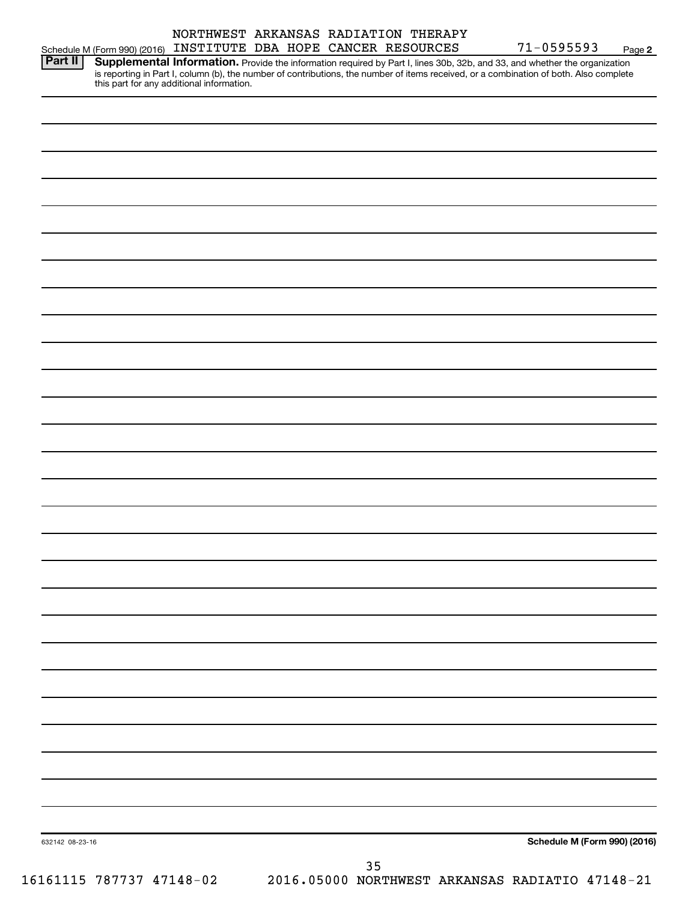| Part II         | Supplemental Information. Provide the information required by Part I, lines 30b, 32b, and 33, and whether the organization<br>is reporting in Part I, column (b), the number of contributions, the number of items received, or a combination of both. Also complete<br>this part for any additional information. |                              |  |
|-----------------|-------------------------------------------------------------------------------------------------------------------------------------------------------------------------------------------------------------------------------------------------------------------------------------------------------------------|------------------------------|--|
|                 |                                                                                                                                                                                                                                                                                                                   |                              |  |
|                 |                                                                                                                                                                                                                                                                                                                   |                              |  |
|                 |                                                                                                                                                                                                                                                                                                                   |                              |  |
|                 |                                                                                                                                                                                                                                                                                                                   |                              |  |
|                 |                                                                                                                                                                                                                                                                                                                   |                              |  |
|                 |                                                                                                                                                                                                                                                                                                                   |                              |  |
|                 |                                                                                                                                                                                                                                                                                                                   |                              |  |
|                 |                                                                                                                                                                                                                                                                                                                   |                              |  |
|                 |                                                                                                                                                                                                                                                                                                                   |                              |  |
|                 |                                                                                                                                                                                                                                                                                                                   |                              |  |
|                 |                                                                                                                                                                                                                                                                                                                   |                              |  |
|                 |                                                                                                                                                                                                                                                                                                                   |                              |  |
|                 |                                                                                                                                                                                                                                                                                                                   |                              |  |
|                 |                                                                                                                                                                                                                                                                                                                   |                              |  |
|                 |                                                                                                                                                                                                                                                                                                                   |                              |  |
|                 |                                                                                                                                                                                                                                                                                                                   |                              |  |
|                 |                                                                                                                                                                                                                                                                                                                   |                              |  |
|                 |                                                                                                                                                                                                                                                                                                                   |                              |  |
|                 |                                                                                                                                                                                                                                                                                                                   |                              |  |
|                 |                                                                                                                                                                                                                                                                                                                   |                              |  |
|                 |                                                                                                                                                                                                                                                                                                                   |                              |  |
|                 |                                                                                                                                                                                                                                                                                                                   |                              |  |
|                 |                                                                                                                                                                                                                                                                                                                   |                              |  |
|                 |                                                                                                                                                                                                                                                                                                                   |                              |  |
|                 |                                                                                                                                                                                                                                                                                                                   |                              |  |
|                 |                                                                                                                                                                                                                                                                                                                   |                              |  |
|                 |                                                                                                                                                                                                                                                                                                                   |                              |  |
| 632142 08-23-16 |                                                                                                                                                                                                                                                                                                                   | Schedule M (Form 990) (2016) |  |
|                 | 35                                                                                                                                                                                                                                                                                                                |                              |  |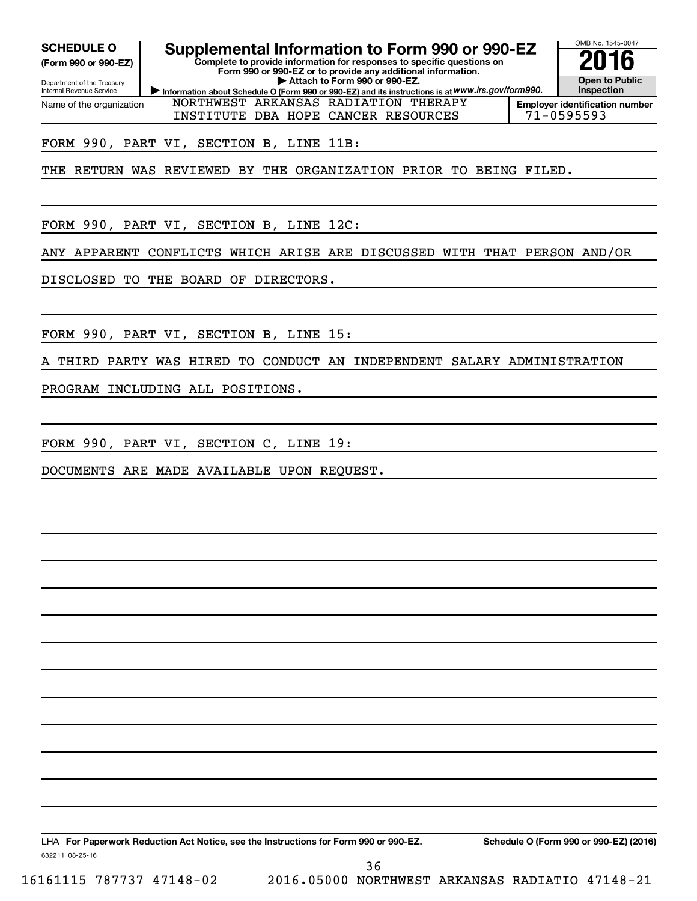**(Form 990 or 990-EZ)**

Department of the Treasury Internal Revenue Service Name of the organization

**Information about Schedule O (Form 990 or 990-EZ) and its instructions is at WWW.irs.gov/form990. Complete to provide information for responses to specific questions on Form 990 or 990-EZ or to provide any additional information. | Attach to Form 990 or 990-EZ.** SCHEDULE O **Supplemental Information to Form 990 or 990-EZ 2016**<br>(Form 990 or 990-EZ) **2016** 



**Employer identification number** INSTITUTE DBA HOPE CANCER RESOURCES 71-0595593

## FORM 990, PART VI, SECTION B, LINE 11B:

THE RETURN WAS REVIEWED BY THE ORGANIZATION PRIOR TO BEING FILED.

NORTHWEST ARKANSAS RADIATION THERAPY

FORM 990, PART VI, SECTION B, LINE 12C:

ANY APPARENT CONFLICTS WHICH ARISE ARE DISCUSSED WITH THAT PERSON AND/OR

DISCLOSED TO THE BOARD OF DIRECTORS.

FORM 990, PART VI, SECTION B, LINE 15:

THIRD PARTY WAS HIRED TO CONDUCT AN INDEPENDENT SALARY ADMINISTRATION

PROGRAM INCLUDING ALL POSITIONS.

FORM 990, PART VI, SECTION C, LINE 19:

DOCUMENTS ARE MADE AVAILABLE UPON REQUEST.

632211 08-25-16 LHA For Paperwork Reduction Act Notice, see the Instructions for Form 990 or 990-EZ. Schedule O (Form 990 or 990-EZ) (2016)

16161115 787737 47148-02 2016.05000 NORTHWEST ARKANSAS RADIATIO 47148-21 36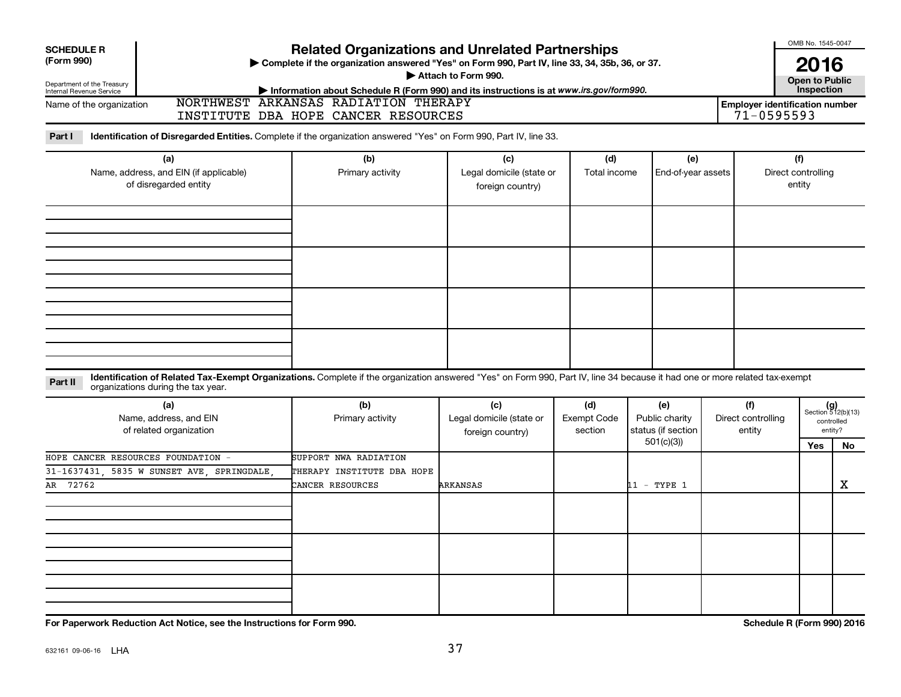| <b>SCHEDULE R</b><br>(Form 990)<br>Department of the Treasury | > Complete if the organization answered "Yes" on Form 990, Part IV, line 33, 34, 35b, 36, or 37.                                                                            |                                                                                                                                                                        |                                                     |                                      | OMB No. 1545-0047<br>2016<br><b>Open to Public</b><br>Inspection |                                     |                                                         |                                     |                                                             |
|---------------------------------------------------------------|-----------------------------------------------------------------------------------------------------------------------------------------------------------------------------|------------------------------------------------------------------------------------------------------------------------------------------------------------------------|-----------------------------------------------------|--------------------------------------|------------------------------------------------------------------|-------------------------------------|---------------------------------------------------------|-------------------------------------|-------------------------------------------------------------|
| Internal Revenue Service<br>Name of the organization          |                                                                                                                                                                             | Information about Schedule R (Form 990) and its instructions is at www.irs.gov/form990.<br>NORTHWEST ARKANSAS RADIATION THERAPY<br>INSTITUTE DBA HOPE CANCER RESOURCES |                                                     |                                      |                                                                  |                                     | <b>Employer identification number</b><br>$71 - 0595593$ |                                     |                                                             |
| Part I                                                        | Identification of Disregarded Entities. Complete if the organization answered "Yes" on Form 990, Part IV, line 33.                                                          |                                                                                                                                                                        |                                                     |                                      |                                                                  |                                     |                                                         |                                     |                                                             |
|                                                               | (a)<br>Name, address, and EIN (if applicable)<br>of disregarded entity                                                                                                      | (b)<br>Primary activity                                                                                                                                                | (c)<br>Legal domicile (state or<br>foreign country) | (d)<br>Total income                  | (e)<br>End-of-year assets                                        |                                     |                                                         | (f)<br>Direct controlling<br>entity |                                                             |
|                                                               |                                                                                                                                                                             |                                                                                                                                                                        |                                                     |                                      |                                                                  |                                     |                                                         |                                     |                                                             |
| Part II                                                       | Identification of Related Tax-Exempt Organizations. Complete if the organization answered "Yes" on Form 990, Part IV, line 34 because it had one or more related tax-exempt |                                                                                                                                                                        |                                                     |                                      |                                                                  |                                     |                                                         |                                     |                                                             |
|                                                               | organizations during the tax year.<br>(a)<br>Name, address, and EIN<br>of related organization                                                                              | (b)<br>Primary activity                                                                                                                                                | (c)<br>Legal domicile (state or<br>foreign country) | (d)<br><b>Exempt Code</b><br>section | (e)<br>Public charity<br>status (if section<br>501(c)(3)         | (f)<br>Direct controlling<br>entity |                                                         | Yes                                 | $(g)$<br>Section 512(b)(13)<br>controlled<br>entity?<br>No. |
| AR 72762                                                      | HOPE CANCER RESOURCES FOUNDATION -<br>31-1637431, 5835 W SUNSET AVE, SPRINGDALE,                                                                                            | SUPPORT NWA RADIATION<br>THERAPY INSTITUTE DBA HOPE<br>CANCER RESOURCES                                                                                                | <b>ARKANSAS</b>                                     |                                      | 11 - TYPE 1                                                      |                                     |                                                         |                                     | X                                                           |
|                                                               |                                                                                                                                                                             |                                                                                                                                                                        |                                                     |                                      |                                                                  |                                     |                                                         |                                     |                                                             |
|                                                               |                                                                                                                                                                             |                                                                                                                                                                        |                                                     |                                      |                                                                  |                                     |                                                         |                                     |                                                             |
|                                                               |                                                                                                                                                                             |                                                                                                                                                                        |                                                     |                                      |                                                                  |                                     |                                                         |                                     |                                                             |

**For Paperwork Reduction Act Notice, see the Instructions for Form 990. Schedule R (Form 990) 2016**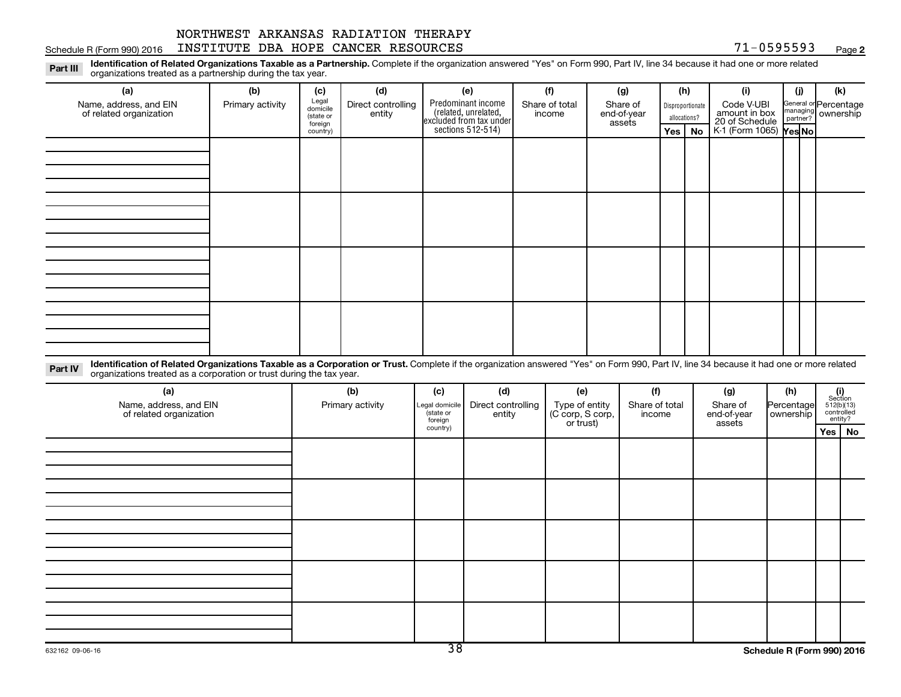Schedule R (Form 990) 2016 INSTITUTE DBA HOPE CANCER RESOURCES 71-0595593 Page

**2**

Part III Identification of Related Organizations Taxable as a Partnership. Complete if the organization answered "Yes" on Form 990, Part IV, line 34 because it had one or more related<br>Read to the organizations tracted as a organizations treated as a partnership during the tax year.

| (a)                                                                                                                                                                                                                                | (b)              | (c)                                       | (d)                          | (e)                                                                                       | (f)                      | (g)                               | (h)                              | (i)                                           | (j) | (k)                                         |
|------------------------------------------------------------------------------------------------------------------------------------------------------------------------------------------------------------------------------------|------------------|-------------------------------------------|------------------------------|-------------------------------------------------------------------------------------------|--------------------------|-----------------------------------|----------------------------------|-----------------------------------------------|-----|---------------------------------------------|
| Name, address, and EIN<br>of related organization                                                                                                                                                                                  | Primary activity | Legal<br>domicile<br>(state or<br>foreign | Direct controlling<br>entity | Predominant income<br>related, unrelated,<br>excluded from tax under<br>sections 512-514) | Share of total<br>income | Share of<br>end-of-year<br>assets | Disproportionate<br>allocations? | Code V-UBI<br>amount in box<br>20 of Schedule |     | General or Percentage<br>managing ownership |
|                                                                                                                                                                                                                                    |                  | country)                                  |                              |                                                                                           |                          |                                   | Yes   No                         | $K1$ (Form 1065) $\gamma$ es No               |     |                                             |
|                                                                                                                                                                                                                                    |                  |                                           |                              |                                                                                           |                          |                                   |                                  |                                               |     |                                             |
|                                                                                                                                                                                                                                    |                  |                                           |                              |                                                                                           |                          |                                   |                                  |                                               |     |                                             |
|                                                                                                                                                                                                                                    |                  |                                           |                              |                                                                                           |                          |                                   |                                  |                                               |     |                                             |
|                                                                                                                                                                                                                                    |                  |                                           |                              |                                                                                           |                          |                                   |                                  |                                               |     |                                             |
|                                                                                                                                                                                                                                    |                  |                                           |                              |                                                                                           |                          |                                   |                                  |                                               |     |                                             |
|                                                                                                                                                                                                                                    |                  |                                           |                              |                                                                                           |                          |                                   |                                  |                                               |     |                                             |
|                                                                                                                                                                                                                                    |                  |                                           |                              |                                                                                           |                          |                                   |                                  |                                               |     |                                             |
|                                                                                                                                                                                                                                    |                  |                                           |                              |                                                                                           |                          |                                   |                                  |                                               |     |                                             |
|                                                                                                                                                                                                                                    |                  |                                           |                              |                                                                                           |                          |                                   |                                  |                                               |     |                                             |
|                                                                                                                                                                                                                                    |                  |                                           |                              |                                                                                           |                          |                                   |                                  |                                               |     |                                             |
|                                                                                                                                                                                                                                    |                  |                                           |                              |                                                                                           |                          |                                   |                                  |                                               |     |                                             |
|                                                                                                                                                                                                                                    |                  |                                           |                              |                                                                                           |                          |                                   |                                  |                                               |     |                                             |
|                                                                                                                                                                                                                                    |                  |                                           |                              |                                                                                           |                          |                                   |                                  |                                               |     |                                             |
|                                                                                                                                                                                                                                    |                  |                                           |                              |                                                                                           |                          |                                   |                                  |                                               |     |                                             |
|                                                                                                                                                                                                                                    |                  |                                           |                              |                                                                                           |                          |                                   |                                  |                                               |     |                                             |
|                                                                                                                                                                                                                                    |                  |                                           |                              |                                                                                           |                          |                                   |                                  |                                               |     |                                             |
| The contract of the state $\mathcal{L}$ is the contract of the contract of the contract of the contract of the contract of the contract of the contract of the contract of the contract of the contract of the contract of the con |                  |                                           |                              |                                                                                           |                          |                                   |                                  |                                               |     |                                             |

Part IV Identification of Related Organizations Taxable as a Corporation or Trust. Complete if the organization answered "Yes" on Form 990, Part IV, line 34 because it had one or more related<br>Complete intervals are accompa organizations treated as a corporation or trust during the tax year.

| (a)<br>Name, address, and EIN<br>of related organization | (b)<br>Primary activity | (d)<br>(c)<br>Direct controlling<br>entity<br>Legal domicile<br>(state or<br>foreign |  | (e)<br>Type of entity<br>(C corp, S corp,<br>or trust) | (f)<br>Share of total<br>income | (g)<br>Share of<br>end-of-year<br>assets | (h)<br>Percentage<br>ownership | $\begin{array}{c} \textbf{(i)}\\ \text{Section}\\ 512 \text{(b)} \text{(13)}\\ \text{controlled} \\ \text{entity?} \end{array}$ |
|----------------------------------------------------------|-------------------------|--------------------------------------------------------------------------------------|--|--------------------------------------------------------|---------------------------------|------------------------------------------|--------------------------------|---------------------------------------------------------------------------------------------------------------------------------|
|                                                          |                         | country)                                                                             |  |                                                        |                                 |                                          |                                | Yes   No                                                                                                                        |
|                                                          |                         |                                                                                      |  |                                                        |                                 |                                          |                                |                                                                                                                                 |
|                                                          |                         |                                                                                      |  |                                                        |                                 |                                          |                                |                                                                                                                                 |
|                                                          |                         |                                                                                      |  |                                                        |                                 |                                          |                                |                                                                                                                                 |
|                                                          |                         |                                                                                      |  |                                                        |                                 |                                          |                                |                                                                                                                                 |
|                                                          |                         |                                                                                      |  |                                                        |                                 |                                          |                                |                                                                                                                                 |
|                                                          |                         |                                                                                      |  |                                                        |                                 |                                          |                                |                                                                                                                                 |
|                                                          |                         |                                                                                      |  |                                                        |                                 |                                          |                                |                                                                                                                                 |
|                                                          |                         |                                                                                      |  |                                                        |                                 |                                          |                                |                                                                                                                                 |
|                                                          |                         |                                                                                      |  |                                                        |                                 |                                          |                                |                                                                                                                                 |
|                                                          |                         |                                                                                      |  |                                                        |                                 |                                          |                                |                                                                                                                                 |
|                                                          |                         |                                                                                      |  |                                                        |                                 |                                          |                                |                                                                                                                                 |
|                                                          |                         |                                                                                      |  |                                                        |                                 |                                          |                                |                                                                                                                                 |
|                                                          |                         |                                                                                      |  |                                                        |                                 |                                          |                                |                                                                                                                                 |
|                                                          |                         |                                                                                      |  |                                                        |                                 |                                          |                                |                                                                                                                                 |
|                                                          |                         |                                                                                      |  |                                                        |                                 |                                          |                                |                                                                                                                                 |
|                                                          |                         |                                                                                      |  |                                                        |                                 |                                          |                                |                                                                                                                                 |
|                                                          |                         |                                                                                      |  |                                                        |                                 |                                          |                                |                                                                                                                                 |
|                                                          |                         |                                                                                      |  |                                                        |                                 |                                          |                                |                                                                                                                                 |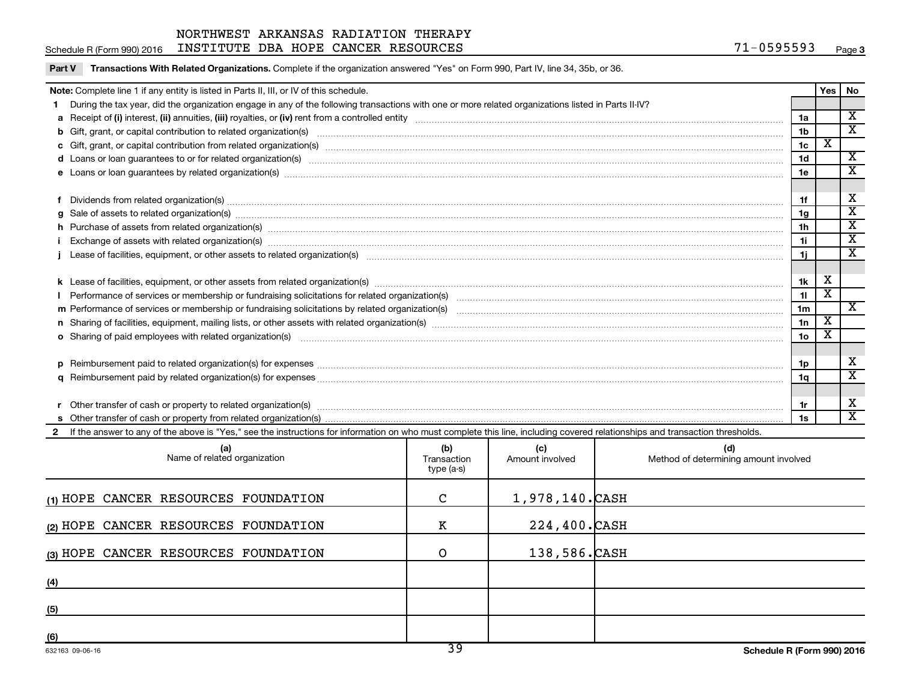Schedule R (Form 990) 2016 INSTITUTE DBA HOPE CANCER RESOURCES 71-0595593 Page

Part V Transactions With Related Organizations. Complete if the organization answered "Yes" on Form 990, Part IV, line 34, 35b, or 36.

| Note: Complete line 1 if any entity is listed in Parts II, III, or IV of this schedule.                                                                                                                                        |                 | Yes   No                |                             |
|--------------------------------------------------------------------------------------------------------------------------------------------------------------------------------------------------------------------------------|-----------------|-------------------------|-----------------------------|
| During the tax year, did the organization engage in any of the following transactions with one or more related organizations listed in Parts II-IV?                                                                            |                 |                         |                             |
|                                                                                                                                                                                                                                | 1a              |                         | $\mathbf x$                 |
|                                                                                                                                                                                                                                | 1 <sub>b</sub>  |                         | $\overline{\mathbf{x}}$     |
|                                                                                                                                                                                                                                | 1 <sub>c</sub>  | х                       |                             |
| d Loans or loan guarantees to or for related organization(s) www.communically.com/www.communically.com/www.communically.com/www.communically.com/www.communically.com/www.communically.com/www.communically.com/www.communical | 1 <sub>d</sub>  |                         | $\overline{\mathbf{X}}$     |
|                                                                                                                                                                                                                                | 1e              |                         | X                           |
|                                                                                                                                                                                                                                |                 |                         |                             |
| Dividends from related organization(s) material content and content and content and content and content and content and content and content and content and content and content and content and content and content and conten | 1f              |                         | х                           |
|                                                                                                                                                                                                                                | 1g              |                         | $\overline{\mathbf{X}}$     |
|                                                                                                                                                                                                                                | 1 <sub>h</sub>  |                         | $\overline{\textnormal{x}}$ |
| Exchange of assets with related organization(s) measurements are constructed as a constrained and constructed and constructed and constructed and constructed and constructed and constructed and constructed and constructed  | 1i.             |                         | $\overline{\textbf{x}}$     |
| Lease of facilities, equipment, or other assets to related organization(s) manufactured content to the set of facilities, equipment, or other assets to related organization(s) manufactured content to the set of facilities, | 1j.             |                         | $\overline{\mathbf{x}}$     |
|                                                                                                                                                                                                                                |                 |                         |                             |
|                                                                                                                                                                                                                                | 1k              | X                       |                             |
|                                                                                                                                                                                                                                | 11              | $\overline{\texttt{x}}$ |                             |
|                                                                                                                                                                                                                                | 1 <sub>m</sub>  |                         | $\mathbf{x}$                |
|                                                                                                                                                                                                                                | 1n              | X                       |                             |
| <b>o</b> Sharing of paid employees with related organization(s)                                                                                                                                                                | 10 <sub>o</sub> |                         |                             |
|                                                                                                                                                                                                                                |                 |                         |                             |
| p Reimbursement paid to related organization(s) for expenses [11111] and the content of the content of the content of the content of the content of the content of the content of the content of the content of the content of | 1p              |                         | х                           |
|                                                                                                                                                                                                                                | 1q              |                         | $\overline{\mathbf{x}}$     |
|                                                                                                                                                                                                                                |                 |                         |                             |
|                                                                                                                                                                                                                                | 1r              |                         | x                           |
|                                                                                                                                                                                                                                | 1s              |                         | $\overline{\mathbf{x}}$     |
| 2 If the answer to any of the above is "Yes," see the instructions for information on who must complete this line, including covered relationships and transaction thresholds.                                                 |                 |                         |                             |

| (a)<br>Name of related organization  | (b)<br>Transaction<br>type (a-s) | (c)<br>Amount involved | (d)<br>Method of determining amount involved |
|--------------------------------------|----------------------------------|------------------------|----------------------------------------------|
| (1) HOPE CANCER RESOURCES FOUNDATION | C                                | 1,978,140.CASH         |                                              |
| (2) HOPE CANCER RESOURCES FOUNDATION | к                                | 224,400.CASH           |                                              |
| (3) HOPE CANCER RESOURCES FOUNDATION | O                                | 138,586.CASH           |                                              |
| (4)                                  |                                  |                        |                                              |
| (5)                                  |                                  |                        |                                              |
| (6)                                  |                                  |                        |                                              |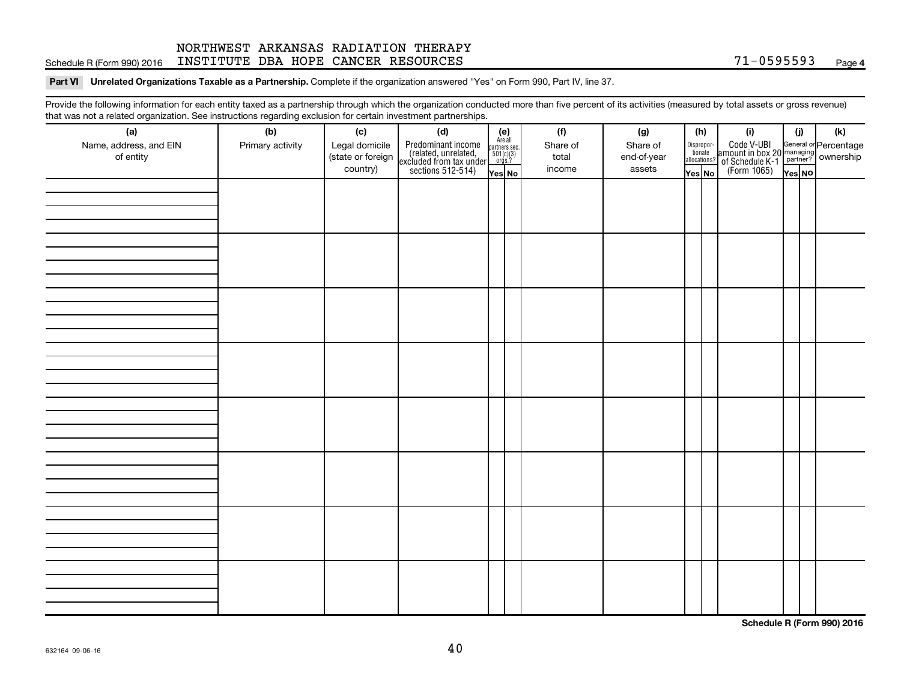### Schedule R (Form 990) 2016 INSTITUTE DBA HOPE CANCER RESOURCES 71-0595593 Page NORTHWEST ARKANSAS RADIATION THERAPY

#### Part VI Unrelated Organizations Taxable as a Partnership. Complete if the organization answered "Yes" on Form 990, Part IV, line 37.

Provide the following information for each entity taxed as a partnership through which the organization conducted more than five percent of its activities (measured by total assets or gross revenue) that was not a related organization. See instructions regarding exclusion for certain investment partnerships.

| hat neo hot a rolatod organization. Ooo motraotiono rogaranty oxolaolon for cortain invocement partnorompo.<br>(a) | (b)              | (c)                                             | (d)                                                                                        |                                                                      | (f)                         | (g)                               |                                            | (h) | (i)                                                                            | (i)    | (k) |
|--------------------------------------------------------------------------------------------------------------------|------------------|-------------------------------------------------|--------------------------------------------------------------------------------------------|----------------------------------------------------------------------|-----------------------------|-----------------------------------|--------------------------------------------|-----|--------------------------------------------------------------------------------|--------|-----|
| Name, address, and EIN<br>of entity                                                                                | Primary activity | Legal domicile<br>(state or foreign<br>country) | Predominant income<br>(related, unrelated,<br>excluded from tax under<br>sections 512-514) | $(e)$<br>Are all<br>partners sec.<br>$501(c)(3)$<br>orgs.?<br>Yes No | Share of<br>total<br>income | Share of<br>end-of-year<br>assets | Disproportionate<br>allocations?<br>Yes No |     | Code V-UBI<br>amount in box 20 managing<br>Percentage<br>(Form 1065)<br>Pes No | Yes NO |     |
|                                                                                                                    |                  |                                                 |                                                                                            |                                                                      |                             |                                   |                                            |     |                                                                                |        |     |
|                                                                                                                    |                  |                                                 |                                                                                            |                                                                      |                             |                                   |                                            |     |                                                                                |        |     |
|                                                                                                                    |                  |                                                 |                                                                                            |                                                                      |                             |                                   |                                            |     |                                                                                |        |     |
|                                                                                                                    |                  |                                                 |                                                                                            |                                                                      |                             |                                   |                                            |     |                                                                                |        |     |
|                                                                                                                    |                  |                                                 |                                                                                            |                                                                      |                             |                                   |                                            |     |                                                                                |        |     |
|                                                                                                                    |                  |                                                 |                                                                                            |                                                                      |                             |                                   |                                            |     |                                                                                |        |     |
|                                                                                                                    |                  |                                                 |                                                                                            |                                                                      |                             |                                   |                                            |     |                                                                                |        |     |
|                                                                                                                    |                  |                                                 |                                                                                            |                                                                      |                             |                                   |                                            |     |                                                                                |        |     |
|                                                                                                                    |                  |                                                 |                                                                                            |                                                                      |                             |                                   |                                            |     |                                                                                |        |     |
|                                                                                                                    |                  |                                                 |                                                                                            |                                                                      |                             |                                   |                                            |     |                                                                                |        |     |
|                                                                                                                    |                  |                                                 |                                                                                            |                                                                      |                             |                                   |                                            |     |                                                                                |        |     |
|                                                                                                                    |                  |                                                 |                                                                                            |                                                                      |                             |                                   |                                            |     |                                                                                |        |     |
|                                                                                                                    |                  |                                                 |                                                                                            |                                                                      |                             |                                   |                                            |     |                                                                                |        |     |
|                                                                                                                    |                  |                                                 |                                                                                            |                                                                      |                             |                                   |                                            |     |                                                                                |        |     |
|                                                                                                                    |                  |                                                 |                                                                                            |                                                                      |                             |                                   |                                            |     |                                                                                |        |     |
|                                                                                                                    |                  |                                                 |                                                                                            |                                                                      |                             |                                   |                                            |     |                                                                                |        |     |
|                                                                                                                    |                  |                                                 |                                                                                            |                                                                      |                             |                                   |                                            |     |                                                                                |        |     |
|                                                                                                                    |                  |                                                 |                                                                                            |                                                                      |                             |                                   |                                            |     |                                                                                |        |     |
|                                                                                                                    |                  |                                                 |                                                                                            |                                                                      |                             |                                   |                                            |     |                                                                                |        |     |
|                                                                                                                    |                  |                                                 |                                                                                            |                                                                      |                             |                                   |                                            |     |                                                                                |        |     |
|                                                                                                                    |                  |                                                 |                                                                                            |                                                                      |                             |                                   |                                            |     |                                                                                |        |     |
|                                                                                                                    |                  |                                                 |                                                                                            |                                                                      |                             |                                   |                                            |     |                                                                                |        |     |
|                                                                                                                    |                  |                                                 |                                                                                            |                                                                      |                             |                                   |                                            |     |                                                                                |        |     |
|                                                                                                                    |                  |                                                 |                                                                                            |                                                                      |                             |                                   |                                            |     |                                                                                |        |     |
|                                                                                                                    |                  |                                                 |                                                                                            |                                                                      |                             |                                   |                                            |     |                                                                                |        |     |
|                                                                                                                    |                  |                                                 |                                                                                            |                                                                      |                             |                                   |                                            |     |                                                                                |        |     |
|                                                                                                                    |                  |                                                 |                                                                                            |                                                                      |                             |                                   |                                            |     |                                                                                |        |     |
|                                                                                                                    |                  |                                                 |                                                                                            |                                                                      |                             |                                   |                                            |     |                                                                                |        |     |
|                                                                                                                    |                  |                                                 |                                                                                            |                                                                      |                             |                                   |                                            |     |                                                                                |        |     |

**Schedule R (Form 990) 2016**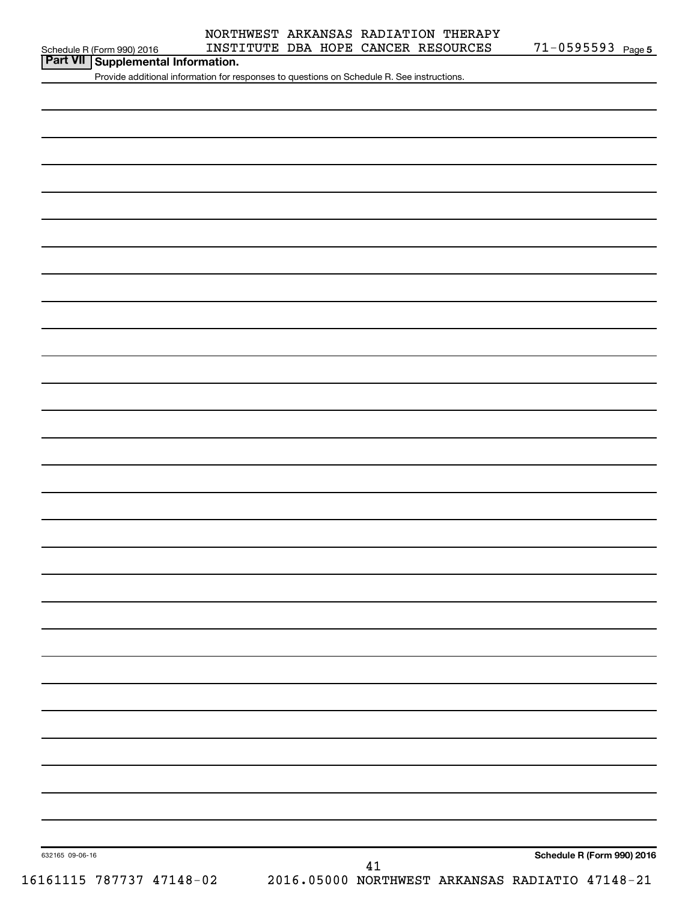#### Schedule R (Form 990) 2016 INSTITUTE DBA HOPE CANCER RESOURCES 71-0595593 Page NORTHWEST ARKANSAS RADIATION THERAPY

71-0595593 Page 5

| Part VII   Supplemental Information. |  |
|--------------------------------------|--|
|--------------------------------------|--|

Provide additional information for responses to questions on Schedule R. See instructions.

632165 09-06-16